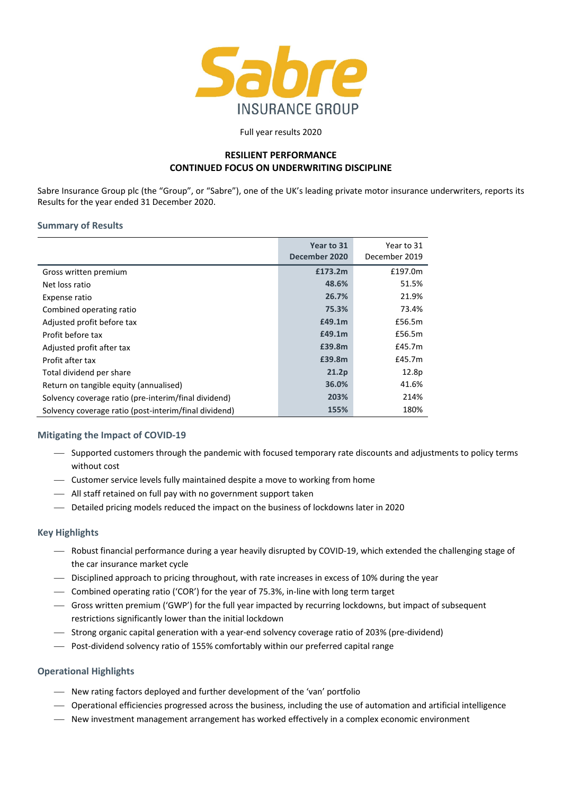

Full year results 2020

## **RESILIENT PERFORMANCE CONTINUED FOCUS ON UNDERWRITING DISCIPLINE**

Sabre Insurance Group plc (the "Group", or "Sabre"), one of the UK's leading private motor insurance underwriters, reports its Results for the year ended 31 December 2020.

## **Summary of Results**

|                                                       | Year to 31<br>December 2020 | Year to 31<br>December 2019 |
|-------------------------------------------------------|-----------------------------|-----------------------------|
| Gross written premium                                 | £173.2m                     | £197.0m                     |
| Net loss ratio                                        | 48.6%                       | 51.5%                       |
| Expense ratio                                         | 26.7%                       | 21.9%                       |
| Combined operating ratio                              | 75.3%                       | 73.4%                       |
| Adjusted profit before tax                            | £49.1m                      | £56.5m                      |
| Profit before tax                                     | £49.1m                      | £56.5m                      |
| Adjusted profit after tax                             | £39.8m                      | £45.7m                      |
| Profit after tax                                      | £39.8m                      | £45.7m                      |
| Total dividend per share                              | 21.2p                       | 12.8p                       |
| Return on tangible equity (annualised)                | 36.0%                       | 41.6%                       |
| Solvency coverage ratio (pre-interim/final dividend)  | 203%                        | 214%                        |
| Solvency coverage ratio (post-interim/final dividend) | 155%                        | 180%                        |

## **Mitigating the Impact of COVID‐19**

- Supported customers through the pandemic with focused temporary rate discounts and adjustments to policy terms without cost
- Customer service levels fully maintained despite a move to working from home
- All staff retained on full pay with no government support taken
- Detailed pricing models reduced the impact on the business of lockdowns later in 2020

## **Key Highlights**

- Robust financial performance during a year heavily disrupted by COVID‐19, which extended the challenging stage of the car insurance market cycle
- Disciplined approach to pricing throughout, with rate increases in excess of 10% during the year
- Combined operating ratio ('COR') for the year of 75.3%, in‐line with long term target
- Gross written premium ('GWP') for the full year impacted by recurring lockdowns, but impact of subsequent restrictions significantly lower than the initial lockdown
- Strong organic capital generation with a year‐end solvency coverage ratio of 203% (pre‐dividend)
- Post‐dividend solvency ratio of 155% comfortably within our preferred capital range

## **Operational Highlights**

- New rating factors deployed and further development of the 'van' portfolio
- Operational efficiencies progressed across the business, including the use of automation and artificial intelligence
- New investment management arrangement has worked effectively in a complex economic environment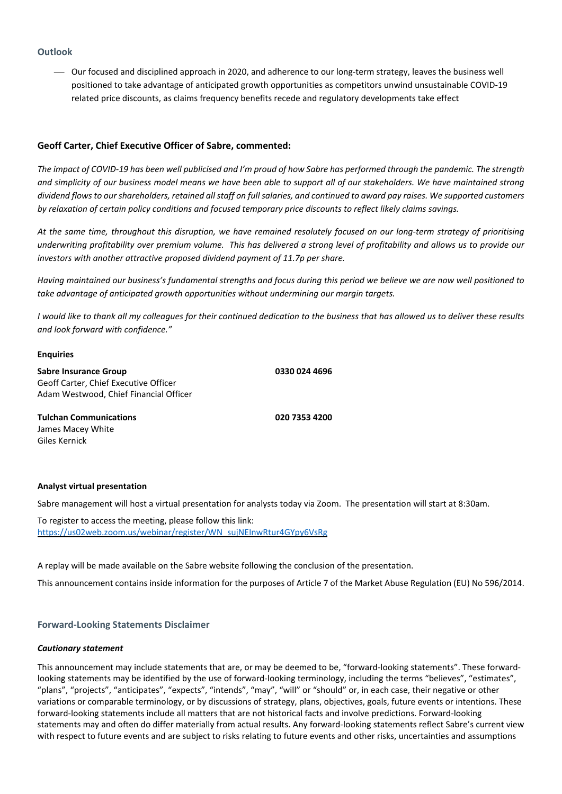## **Outlook**

 Our focused and disciplined approach in 2020, and adherence to our long‐term strategy, leaves the business well positioned to take advantage of anticipated growth opportunities as competitors unwind unsustainable COVID‐19 related price discounts, as claims frequency benefits recede and regulatory developments take effect

## **Geoff Carter, Chief Executive Officer of Sabre, commented:**

The impact of COVID-19 has been well publicised and I'm proud of how Sabre has performed through the pandemic. The strength and simplicity of our business model means we have been able to support all of our stakeholders. We have maintained strong dividend flows to our shareholders, retained all staff on full salaries, and continued to award pay raises. We supported customers by relaxation of certain policy conditions and focused temporary price discounts to reflect likely claims savings.

At the same time, throughout this disruption, we have remained resolutely focused on our long-term strategy of prioritising underwriting profitability over premium volume. This has delivered a strong level of profitability and allows us to provide our *investors with another attractive proposed dividend payment of 11.7p per share.*

Having maintained our business's fundamental strengths and focus during this period we believe we are now well positioned to *take advantage of anticipated growth opportunities without undermining our margin targets.* 

I would like to thank all my colleagues for their continued dedication to the business that has allowed us to deliver these results *and look forward with confidence."*

### **Enquiries**

**Sabre Insurance Group 0330 024 4696** Geoff Carter, Chief Executive Officer Adam Westwood, Chief Financial Officer

**Tulchan Communications 020 7353 4200** James Macey White Giles Kernick

### **Analyst virtual presentation**

Sabre management will host a virtual presentation for analysts today via Zoom. The presentation will start at 8:30am.

To register to access the meeting, please follow this link: https://us02web.zoom.us/webinar/register/WN\_sujNEInwRtur4GYpy6VsRg

A replay will be made available on the Sabre website following the conclusion of the presentation.

This announcement contains inside information for the purposes of Article 7 of the Market Abuse Regulation (EU) No 596/2014.

## **Forward‐Looking Statements Disclaimer**

### *Cautionary statement*

This announcement may include statements that are, or may be deemed to be, "forward‐looking statements". These forward‐ looking statements may be identified by the use of forward-looking terminology, including the terms "believes", "estimates", "plans", "projects", "anticipates", "expects", "intends", "may", "will" or "should" or, in each case, their negative or other variations or comparable terminology, or by discussions of strategy, plans, objectives, goals, future events or intentions. These forward‐looking statements include all matters that are not historical facts and involve predictions. Forward‐looking statements may and often do differ materially from actual results. Any forward‐looking statements reflect Sabre's current view with respect to future events and are subject to risks relating to future events and other risks, uncertainties and assumptions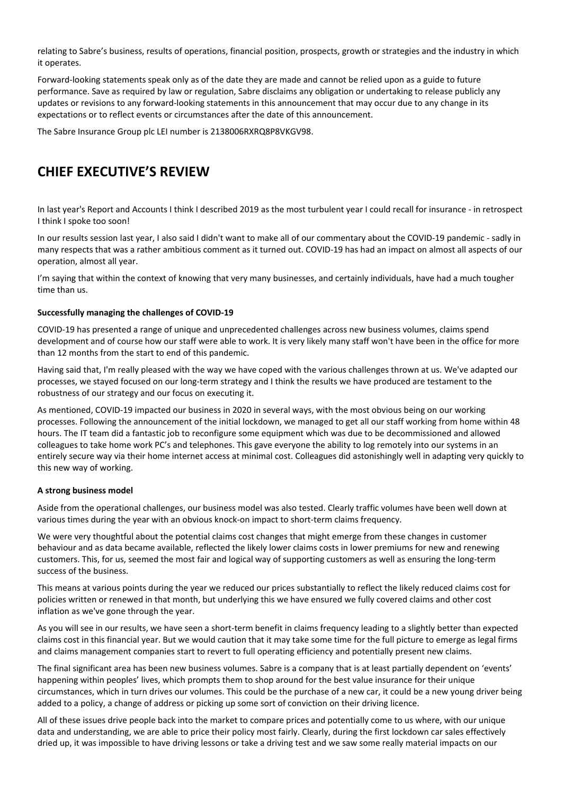relating to Sabre's business, results of operations, financial position, prospects, growth or strategies and the industry in which it operates.

Forward‐looking statements speak only as of the date they are made and cannot be relied upon as a guide to future performance. Save as required by law or regulation, Sabre disclaims any obligation or undertaking to release publicly any updates or revisions to any forward-looking statements in this announcement that may occur due to any change in its expectations or to reflect events or circumstances after the date of this announcement.

The Sabre Insurance Group plc LEI number is 2138006RXRQ8P8VKGV98.

# **CHIEF EXECUTIVE'S REVIEW**

In last year's Report and Accounts I think I described 2019 as the most turbulent year I could recall for insurance ‐ in retrospect I think I spoke too soon!

In our results session last year, I also said I didn't want to make all of our commentary about the COVID‐19 pandemic ‐ sadly in many respects that was a rather ambitious comment as it turned out. COVID‐19 has had an impact on almost all aspects of our operation, almost all year.

I'm saying that within the context of knowing that very many businesses, and certainly individuals, have had a much tougher time than us.

## **Successfully managing the challenges of COVID‐19**

COVID‐19 has presented a range of unique and unprecedented challenges across new business volumes, claims spend development and of course how our staff were able to work. It is very likely many staff won't have been in the office for more than 12 months from the start to end of this pandemic.

Having said that, I'm really pleased with the way we have coped with the various challenges thrown at us. We've adapted our processes, we stayed focused on our long‐term strategy and I think the results we have produced are testament to the robustness of our strategy and our focus on executing it.

As mentioned, COVID‐19 impacted our business in 2020 in several ways, with the most obvious being on our working processes. Following the announcement of the initial lockdown, we managed to get all our staff working from home within 48 hours. The IT team did a fantastic job to reconfigure some equipment which was due to be decommissioned and allowed colleagues to take home work PC's and telephones. This gave everyone the ability to log remotely into our systems in an entirely secure way via their home internet access at minimal cost. Colleagues did astonishingly well in adapting very quickly to this new way of working.

## **A strong business model**

Aside from the operational challenges, our business model was also tested. Clearly traffic volumes have been well down at various times during the year with an obvious knock‐on impact to short‐term claims frequency.

We were very thoughtful about the potential claims cost changes that might emerge from these changes in customer behaviour and as data became available, reflected the likely lower claims costs in lower premiums for new and renewing customers. This, for us, seemed the most fair and logical way of supporting customers as well as ensuring the long‐term success of the business.

This means at various points during the year we reduced our prices substantially to reflect the likely reduced claims cost for policies written or renewed in that month, but underlying this we have ensured we fully covered claims and other cost inflation as we've gone through the year.

As you will see in our results, we have seen a short-term benefit in claims frequency leading to a slightly better than expected claims cost in this financial year. But we would caution that it may take some time for the full picture to emerge as legal firms and claims management companies start to revert to full operating efficiency and potentially present new claims.

The final significant area has been new business volumes. Sabre is a company that is at least partially dependent on 'events' happening within peoples' lives, which prompts them to shop around for the best value insurance for their unique circumstances, which in turn drives our volumes. This could be the purchase of a new car, it could be a new young driver being added to a policy, a change of address or picking up some sort of conviction on their driving licence.

All of these issues drive people back into the market to compare prices and potentially come to us where, with our unique data and understanding, we are able to price their policy most fairly. Clearly, during the first lockdown car sales effectively dried up, it was impossible to have driving lessons or take a driving test and we saw some really material impacts on our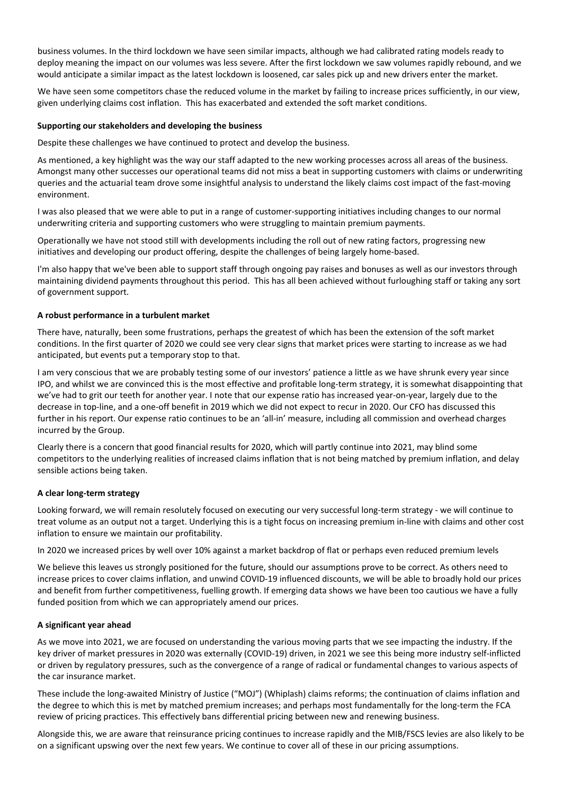business volumes. In the third lockdown we have seen similar impacts, although we had calibrated rating models ready to deploy meaning the impact on our volumes was less severe. After the first lockdown we saw volumes rapidly rebound, and we would anticipate a similar impact as the latest lockdown is loosened, car sales pick up and new drivers enter the market.

We have seen some competitors chase the reduced volume in the market by failing to increase prices sufficiently, in our view, given underlying claims cost inflation. This has exacerbated and extended the soft market conditions.

## **Supporting our stakeholders and developing the business**

Despite these challenges we have continued to protect and develop the business.

As mentioned, a key highlight was the way our staff adapted to the new working processes across all areas of the business. Amongst many other successes our operational teams did not miss a beat in supporting customers with claims or underwriting queries and the actuarial team drove some insightful analysis to understand the likely claims cost impact of the fast‐moving environment.

I was also pleased that we were able to put in a range of customer‐supporting initiatives including changes to our normal underwriting criteria and supporting customers who were struggling to maintain premium payments.

Operationally we have not stood still with developments including the roll out of new rating factors, progressing new initiatives and developing our product offering, despite the challenges of being largely home‐based.

I'm also happy that we've been able to support staff through ongoing pay raises and bonuses as well as our investors through maintaining dividend payments throughout this period. This has all been achieved without furloughing staff or taking any sort of government support.

### **A robust performance in a turbulent market**

There have, naturally, been some frustrations, perhaps the greatest of which has been the extension of the soft market conditions. In the first quarter of 2020 we could see very clear signs that market prices were starting to increase as we had anticipated, but events put a temporary stop to that.

I am very conscious that we are probably testing some of our investors' patience a little as we have shrunk every year since IPO, and whilst we are convinced this is the most effective and profitable long-term strategy, it is somewhat disappointing that we've had to grit our teeth for another year. I note that our expense ratio has increased year-on-year, largely due to the decrease in top-line, and a one-off benefit in 2019 which we did not expect to recur in 2020. Our CFO has discussed this further in his report. Our expense ratio continues to be an 'all-in' measure, including all commission and overhead charges incurred by the Group.

Clearly there is a concern that good financial results for 2020, which will partly continue into 2021, may blind some competitors to the underlying realities of increased claims inflation that is not being matched by premium inflation, and delay sensible actions being taken.

## **A clear long‐term strategy**

Looking forward, we will remain resolutely focused on executing our very successful long-term strategy - we will continue to treat volume as an output not a target. Underlying this is a tight focus on increasing premium in‐line with claims and other cost inflation to ensure we maintain our profitability.

In 2020 we increased prices by well over 10% against a market backdrop of flat or perhaps even reduced premium levels

We believe this leaves us strongly positioned for the future, should our assumptions prove to be correct. As others need to increase prices to cover claims inflation, and unwind COVID‐19 influenced discounts, we will be able to broadly hold our prices and benefit from further competitiveness, fuelling growth. If emerging data shows we have been too cautious we have a fully funded position from which we can appropriately amend our prices.

### **A significant year ahead**

As we move into 2021, we are focused on understanding the various moving parts that we see impacting the industry. If the key driver of market pressures in 2020 was externally (COVID‐19) driven, in 2021 we see this being more industry self‐inflicted or driven by regulatory pressures, such as the convergence of a range of radical or fundamental changes to various aspects of the car insurance market.

These include the long‐awaited Ministry of Justice ("MOJ") (Whiplash) claims reforms; the continuation of claims inflation and the degree to which this is met by matched premium increases; and perhaps most fundamentally for the long-term the FCA review of pricing practices. This effectively bans differential pricing between new and renewing business.

Alongside this, we are aware that reinsurance pricing continues to increase rapidly and the MIB/FSCS levies are also likely to be on a significant upswing over the next few years. We continue to cover all of these in our pricing assumptions.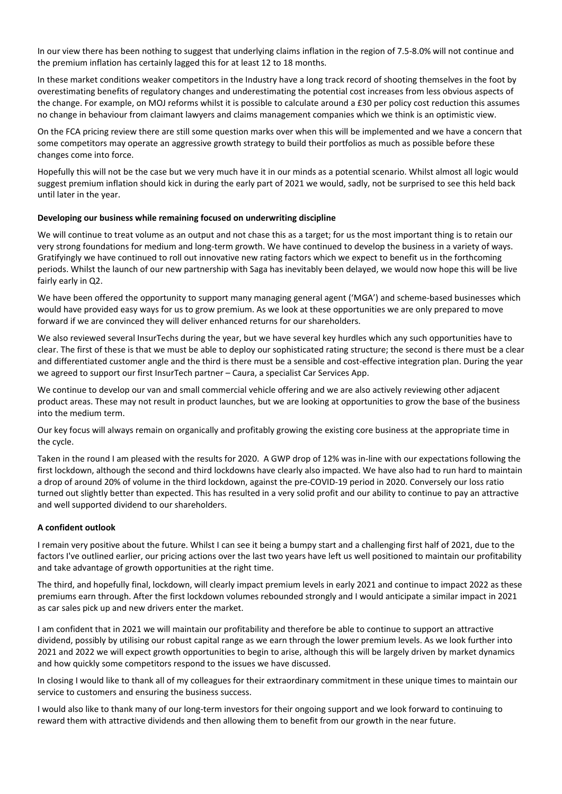In our view there has been nothing to suggest that underlying claims inflation in the region of 7.5‐8.0% will not continue and the premium inflation has certainly lagged this for at least 12 to 18 months.

In these market conditions weaker competitors in the Industry have a long track record of shooting themselves in the foot by overestimating benefits of regulatory changes and underestimating the potential cost increases from less obvious aspects of the change. For example, on MOJ reforms whilst it is possible to calculate around a £30 per policy cost reduction this assumes no change in behaviour from claimant lawyers and claims management companies which we think is an optimistic view.

On the FCA pricing review there are still some question marks over when this will be implemented and we have a concern that some competitors may operate an aggressive growth strategy to build their portfolios as much as possible before these changes come into force.

Hopefully this will not be the case but we very much have it in our minds as a potential scenario. Whilst almost all logic would suggest premium inflation should kick in during the early part of 2021 we would, sadly, not be surprised to see this held back until later in the year.

## **Developing our business while remaining focused on underwriting discipline**

We will continue to treat volume as an output and not chase this as a target; for us the most important thing is to retain our very strong foundations for medium and long‐term growth. We have continued to develop the business in a variety of ways. Gratifyingly we have continued to roll out innovative new rating factors which we expect to benefit us in the forthcoming periods. Whilst the launch of our new partnership with Saga has inevitably been delayed, we would now hope this will be live fairly early in Q2.

We have been offered the opportunity to support many managing general agent ('MGA') and scheme-based businesses which would have provided easy ways for us to grow premium. As we look at these opportunities we are only prepared to move forward if we are convinced they will deliver enhanced returns for our shareholders.

We also reviewed several InsurTechs during the year, but we have several key hurdles which any such opportunities have to clear. The first of these is that we must be able to deploy our sophisticated rating structure; the second is there must be a clear and differentiated customer angle and the third is there must be a sensible and cost-effective integration plan. During the year we agreed to support our first InsurTech partner – Caura, a specialist Car Services App.

We continue to develop our van and small commercial vehicle offering and we are also actively reviewing other adjacent product areas. These may not result in product launches, but we are looking at opportunities to grow the base of the business into the medium term.

Our key focus will always remain on organically and profitably growing the existing core business at the appropriate time in the cycle.

Taken in the round I am pleased with the results for 2020. A GWP drop of 12% was in-line with our expectations following the first lockdown, although the second and third lockdowns have clearly also impacted. We have also had to run hard to maintain a drop of around 20% of volume in the third lockdown, against the pre‐COVID‐19 period in 2020. Conversely our loss ratio turned out slightly better than expected. This has resulted in a very solid profit and our ability to continue to pay an attractive and well supported dividend to our shareholders.

## **A confident outlook**

I remain very positive about the future. Whilst I can see it being a bumpy start and a challenging first half of 2021, due to the factors I've outlined earlier, our pricing actions over the last two years have left us well positioned to maintain our profitability and take advantage of growth opportunities at the right time.

The third, and hopefully final, lockdown, will clearly impact premium levels in early 2021 and continue to impact 2022 as these premiums earn through. After the first lockdown volumes rebounded strongly and I would anticipate a similar impact in 2021 as car sales pick up and new drivers enter the market.

I am confident that in 2021 we will maintain our profitability and therefore be able to continue to support an attractive dividend, possibly by utilising our robust capital range as we earn through the lower premium levels. As we look further into 2021 and 2022 we will expect growth opportunities to begin to arise, although this will be largely driven by market dynamics and how quickly some competitors respond to the issues we have discussed.

In closing I would like to thank all of my colleagues for their extraordinary commitment in these unique times to maintain our service to customers and ensuring the business success.

I would also like to thank many of our long‐term investors for their ongoing support and we look forward to continuing to reward them with attractive dividends and then allowing them to benefit from our growth in the near future.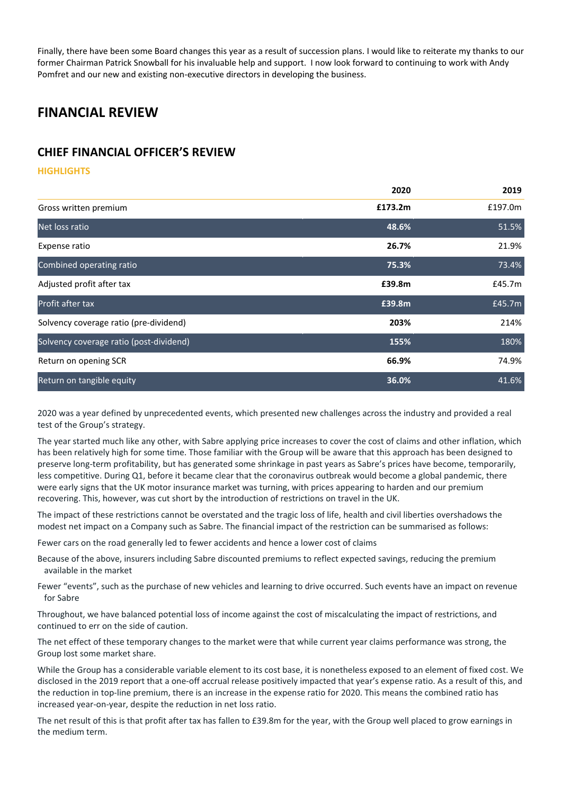Finally, there have been some Board changes this year as a result of succession plans. I would like to reiterate my thanks to our former Chairman Patrick Snowball for his invaluable help and support. I now look forward to continuing to work with Andy Pomfret and our new and existing non‐executive directors in developing the business.

# **FINANCIAL REVIEW**

# **CHIEF FINANCIAL OFFICER'S REVIEW**

## **HIGHLIGHTS**

| 2020    | 2019    |
|---------|---------|
| £173.2m | £197.0m |
| 48.6%   | 51.5%   |
| 26.7%   | 21.9%   |
| 75.3%   | 73.4%   |
| £39.8m  | £45.7m  |
| £39.8m  | £45.7m  |
| 203%    | 214%    |
| 155%    | 180%    |
| 66.9%   | 74.9%   |
| 36.0%   | 41.6%   |
|         |         |

2020 was a year defined by unprecedented events, which presented new challenges across the industry and provided a real test of the Group's strategy.

The year started much like any other, with Sabre applying price increases to cover the cost of claims and other inflation, which has been relatively high for some time. Those familiar with the Group will be aware that this approach has been designed to preserve long-term profitability, but has generated some shrinkage in past years as Sabre's prices have become, temporarily, less competitive. During Q1, before it became clear that the coronavirus outbreak would become a global pandemic, there were early signs that the UK motor insurance market was turning, with prices appearing to harden and our premium recovering. This, however, was cut short by the introduction of restrictions on travel in the UK.

The impact of these restrictions cannot be overstated and the tragic loss of life, health and civil liberties overshadows the modest net impact on a Company such as Sabre. The financial impact of the restriction can be summarised as follows:

Fewer cars on the road generally led to fewer accidents and hence a lower cost of claims

- Because of the above, insurers including Sabre discounted premiums to reflect expected savings, reducing the premium available in the market
- Fewer "events", such as the purchase of new vehicles and learning to drive occurred. Such events have an impact on revenue for Sabre

Throughout, we have balanced potential loss of income against the cost of miscalculating the impact of restrictions, and continued to err on the side of caution.

The net effect of these temporary changes to the market were that while current year claims performance was strong, the Group lost some market share.

While the Group has a considerable variable element to its cost base, it is nonetheless exposed to an element of fixed cost. We disclosed in the 2019 report that a one‐off accrual release positively impacted that year's expense ratio. As a result of this, and the reduction in top‐line premium, there is an increase in the expense ratio for 2020. This means the combined ratio has increased year‐on‐year, despite the reduction in net loss ratio.

The net result of this is that profit after tax has fallen to £39.8m for the year, with the Group well placed to grow earnings in the medium term.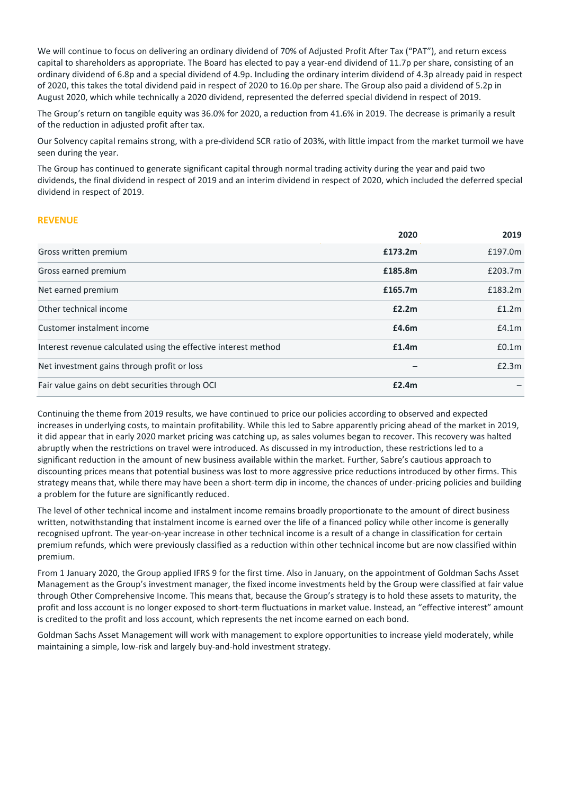We will continue to focus on delivering an ordinary dividend of 70% of Adjusted Profit After Tax ("PAT"), and return excess capital to shareholders as appropriate. The Board has elected to pay a year‐end dividend of 11.7p per share, consisting of an ordinary dividend of 6.8p and a special dividend of 4.9p. Including the ordinary interim dividend of 4.3p already paid in respect of 2020, this takes the total dividend paid in respect of 2020 to 16.0p per share. The Group also paid a dividend of 5.2p in August 2020, which while technically a 2020 dividend, represented the deferred special dividend in respect of 2019.

The Group's return on tangible equity was 36.0% for 2020, a reduction from 41.6% in 2019. The decrease is primarily a result of the reduction in adjusted profit after tax.

Our Solvency capital remains strong, with a pre‐dividend SCR ratio of 203%, with little impact from the market turmoil we have seen during the year.

The Group has continued to generate significant capital through normal trading activity during the year and paid two dividends, the final dividend in respect of 2019 and an interim dividend in respect of 2020, which included the deferred special dividend in respect of 2019.

## **REVENUE**

|                                                                 | 2020    | 2019              |
|-----------------------------------------------------------------|---------|-------------------|
| Gross written premium                                           | £173.2m | £197.0m           |
| Gross earned premium                                            | £185.8m | £203.7m           |
| Net earned premium                                              | £165.7m | £183.2m           |
| Other technical income                                          | £2.2m   | £1.2m             |
| Customer instalment income                                      | £4.6m   | £4.1m             |
| Interest revenue calculated using the effective interest method | £1.4m   | £0.1 <sub>m</sub> |
| Net investment gains through profit or loss                     |         | £2.3m             |
| Fair value gains on debt securities through OCI                 | £2.4m   |                   |

Continuing the theme from 2019 results, we have continued to price our policies according to observed and expected increases in underlying costs, to maintain profitability. While this led to Sabre apparently pricing ahead of the market in 2019, it did appear that in early 2020 market pricing was catching up, as sales volumes began to recover. This recovery was halted abruptly when the restrictions on travel were introduced. As discussed in my introduction, these restrictions led to a significant reduction in the amount of new business available within the market. Further, Sabre's cautious approach to discounting prices means that potential business was lost to more aggressive price reductions introduced by other firms. This strategy means that, while there may have been a short-term dip in income, the chances of under-pricing policies and building a problem for the future are significantly reduced.

The level of other technical income and instalment income remains broadly proportionate to the amount of direct business written, notwithstanding that instalment income is earned over the life of a financed policy while other income is generally recognised upfront. The year‐on‐year increase in other technical income is a result of a change in classification for certain premium refunds, which were previously classified as a reduction within other technical income but are now classified within premium.

From 1 January 2020, the Group applied IFRS 9 for the first time. Also in January, on the appointment of Goldman Sachs Asset Management as the Group's investment manager, the fixed income investments held by the Group were classified at fair value through Other Comprehensive Income. This means that, because the Group's strategy is to hold these assets to maturity, the profit and loss account is no longer exposed to short‐term fluctuations in market value. Instead, an "effective interest" amount is credited to the profit and loss account, which represents the net income earned on each bond.

Goldman Sachs Asset Management will work with management to explore opportunities to increase yield moderately, while maintaining a simple, low-risk and largely buy-and-hold investment strategy.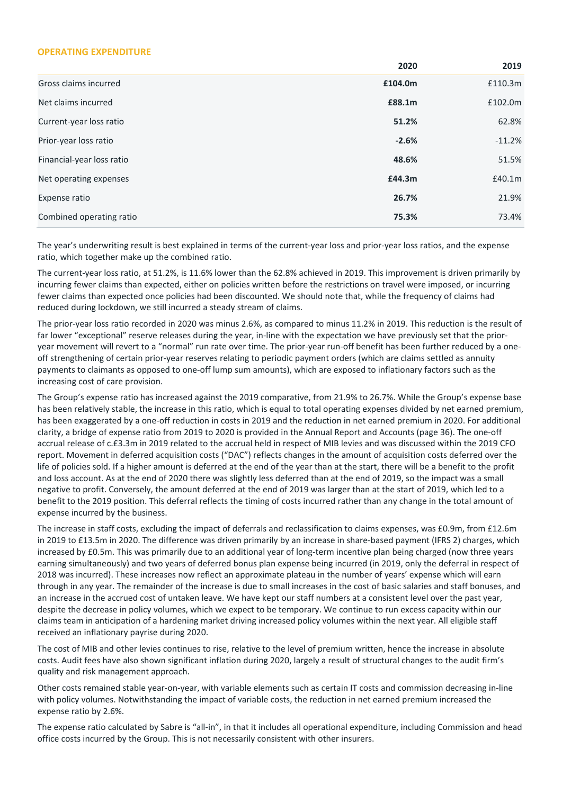### **OPERATING EXPENDITURE**

|                           | 2020    | 2019     |
|---------------------------|---------|----------|
| Gross claims incurred     | £104.0m | £110.3m  |
| Net claims incurred       | £88.1m  | £102.0m  |
| Current-year loss ratio   | 51.2%   | 62.8%    |
| Prior-year loss ratio     | $-2.6%$ | $-11.2%$ |
| Financial-year loss ratio | 48.6%   | 51.5%    |
| Net operating expenses    | £44.3m  | £40.1m   |
| Expense ratio             | 26.7%   | 21.9%    |
| Combined operating ratio  | 75.3%   | 73.4%    |

The year's underwriting result is best explained in terms of the current‐year loss and prior‐year loss ratios, and the expense ratio, which together make up the combined ratio.

The current‐year loss ratio, at 51.2%, is 11.6% lower than the 62.8% achieved in 2019. This improvement is driven primarily by incurring fewer claims than expected, either on policies written before the restrictions on travel were imposed, or incurring fewer claims than expected once policies had been discounted. We should note that, while the frequency of claims had reduced during lockdown, we still incurred a steady stream of claims.

The prior‐year loss ratio recorded in 2020 was minus 2.6%, as compared to minus 11.2% in 2019. This reduction is the result of far lower "exceptional" reserve releases during the year, in-line with the expectation we have previously set that the prioryear movement will revert to a "normal" run rate over time. The prior‐year run‐off benefit has been further reduced by a one‐ off strengthening of certain prior‐year reserves relating to periodic payment orders (which are claims settled as annuity payments to claimants as opposed to one‐off lump sum amounts), which are exposed to inflationary factors such as the increasing cost of care provision.

The Group's expense ratio has increased against the 2019 comparative, from 21.9% to 26.7%. While the Group's expense base has been relatively stable, the increase in this ratio, which is equal to total operating expenses divided by net earned premium, has been exaggerated by a one‐off reduction in costs in 2019 and the reduction in net earned premium in 2020. For additional clarity, a bridge of expense ratio from 2019 to 2020 is provided in the Annual Report and Accounts (page 36). The one‐off accrual release of c.£3.3m in 2019 related to the accrual held in respect of MIB levies and was discussed within the 2019 CFO report. Movement in deferred acquisition costs ("DAC") reflects changes in the amount of acquisition costs deferred over the life of policies sold. If a higher amount is deferred at the end of the year than at the start, there will be a benefit to the profit and loss account. As at the end of 2020 there was slightly less deferred than at the end of 2019, so the impact was a small negative to profit. Conversely, the amount deferred at the end of 2019 was larger than at the start of 2019, which led to a benefit to the 2019 position. This deferral reflects the timing of costs incurred rather than any change in the total amount of expense incurred by the business.

The increase in staff costs, excluding the impact of deferrals and reclassification to claims expenses, was £0.9m, from £12.6m in 2019 to £13.5m in 2020. The difference was driven primarily by an increase in share-based payment (IFRS 2) charges, which increased by £0.5m. This was primarily due to an additional year of long-term incentive plan being charged (now three years earning simultaneously) and two years of deferred bonus plan expense being incurred (in 2019, only the deferral in respect of 2018 was incurred). These increases now reflect an approximate plateau in the number of years' expense which will earn through in any year. The remainder of the increase is due to small increases in the cost of basic salaries and staff bonuses, and an increase in the accrued cost of untaken leave. We have kept our staff numbers at a consistent level over the past year, despite the decrease in policy volumes, which we expect to be temporary. We continue to run excess capacity within our claims team in anticipation of a hardening market driving increased policy volumes within the next year. All eligible staff received an inflationary payrise during 2020.

The cost of MIB and other levies continues to rise, relative to the level of premium written, hence the increase in absolute costs. Audit fees have also shown significant inflation during 2020, largely a result of structural changes to the audit firm's quality and risk management approach.

Other costs remained stable year‐on‐year, with variable elements such as certain IT costs and commission decreasing in‐line with policy volumes. Notwithstanding the impact of variable costs, the reduction in net earned premium increased the expense ratio by 2.6%.

The expense ratio calculated by Sabre is "all‐in", in that it includes all operational expenditure, including Commission and head office costs incurred by the Group. This is not necessarily consistent with other insurers.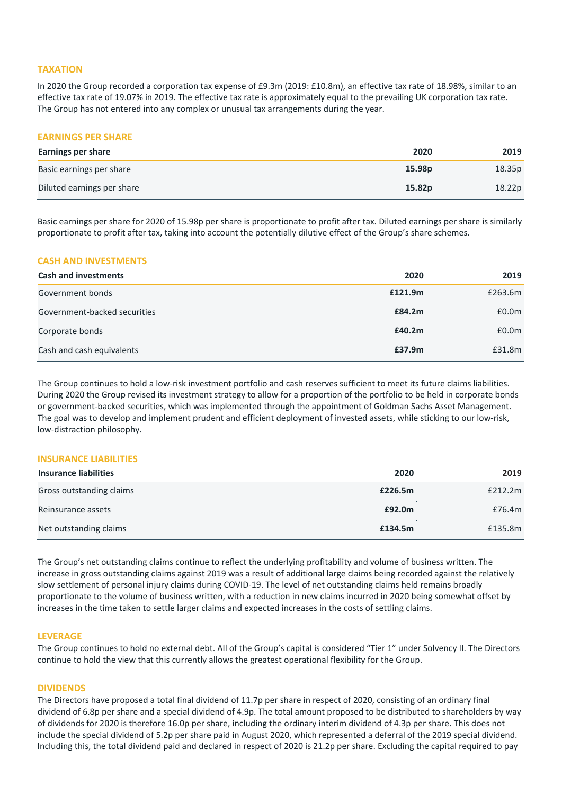## **TAXATION**

In 2020 the Group recorded a corporation tax expense of £9.3m (2019: £10.8m), an effective tax rate of 18.98%, similar to an effective tax rate of 19.07% in 2019. The effective tax rate is approximately equal to the prevailing UK corporation tax rate. The Group has not entered into any complex or unusual tax arrangements during the year.

### **EARNINGS PER SHARE**

| <b>Earnings per share</b>  | 2020   | 2019   |
|----------------------------|--------|--------|
| Basic earnings per share   | 15.98p | 18.35p |
| Diluted earnings per share | 15.82p | 18.22p |

Basic earnings per share for 2020 of 15.98p per share is proportionate to profit after tax. Diluted earnings per share is similarly proportionate to profit after tax, taking into account the potentially dilutive effect of the Group's share schemes.

### **CASH AND INVESTMENTS**

| <b>Cash and investments</b>  | 2020    | 2019              |
|------------------------------|---------|-------------------|
| Government bonds             | £121.9m | £263.6m           |
| Government-backed securities | £84.2m  | £0.0 <sub>m</sub> |
| Corporate bonds              | £40.2m  | £0.0 <sub>m</sub> |
| Cash and cash equivalents    | £37.9m  | £31.8m            |

The Group continues to hold a low-risk investment portfolio and cash reserves sufficient to meet its future claims liabilities. During 2020 the Group revised its investment strategy to allow for a proportion of the portfolio to be held in corporate bonds or government‐backed securities, which was implemented through the appointment of Goldman Sachs Asset Management. The goal was to develop and implement prudent and efficient deployment of invested assets, while sticking to our low‐risk, low‐distraction philosophy.

## **INSURANCE LIABILITIES**

| <b>Insurance liabilities</b> | 2020    | 2019    |
|------------------------------|---------|---------|
| Gross outstanding claims     | £226.5m | £212.2m |
| Reinsurance assets           | £92.0m  | £76.4m  |
| Net outstanding claims       | £134.5m | £135.8m |

The Group's net outstanding claims continue to reflect the underlying profitability and volume of business written. The increase in gross outstanding claims against 2019 was a result of additional large claims being recorded against the relatively slow settlement of personal injury claims during COVID‐19. The level of net outstanding claims held remains broadly proportionate to the volume of business written, with a reduction in new claims incurred in 2020 being somewhat offset by increases in the time taken to settle larger claims and expected increases in the costs of settling claims.

### **LEVERAGE**

The Group continues to hold no external debt. All of the Group's capital is considered "Tier 1" under Solvency II. The Directors continue to hold the view that this currently allows the greatest operational flexibility for the Group.

## **DIVIDENDS**

The Directors have proposed a total final dividend of 11.7p per share in respect of 2020, consisting of an ordinary final dividend of 6.8p per share and a special dividend of 4.9p. The total amount proposed to be distributed to shareholders by way of dividends for 2020 is therefore 16.0p per share, including the ordinary interim dividend of 4.3p per share. This does not include the special dividend of 5.2p per share paid in August 2020, which represented a deferral of the 2019 special dividend. Including this, the total dividend paid and declared in respect of 2020 is 21.2p per share. Excluding the capital required to pay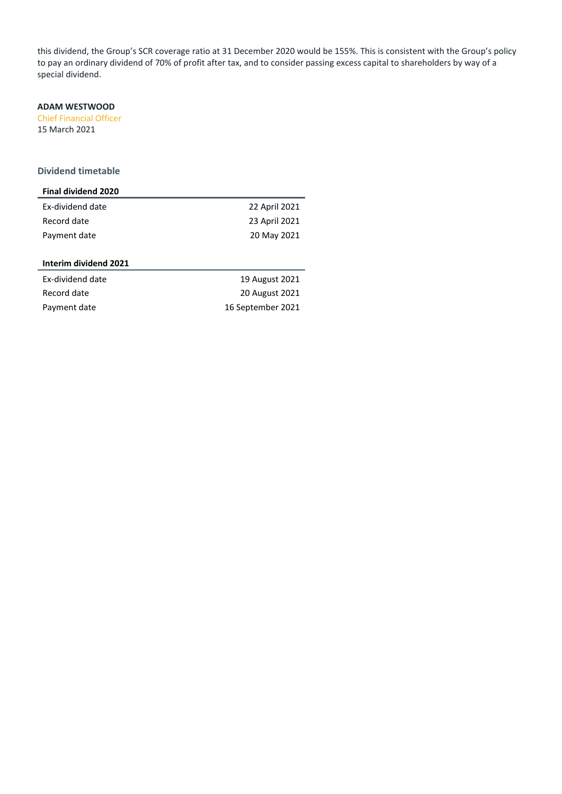this dividend, the Group's SCR coverage ratio at 31 December 2020 would be 155%. This is consistent with the Group's policy to pay an ordinary dividend of 70% of profit after tax, and to consider passing excess capital to shareholders by way of a special dividend.

## **ADAM WESTWOOD**

Chief Financial Officer 15 March 2021

## **Dividend timetable**

| <b>Final dividend 2020</b> |               |
|----------------------------|---------------|
| Ex-dividend date           | 22 April 2021 |
| Record date                | 23 April 2021 |
| Payment date               | 20 May 2021   |

## **Interim dividend 2021**

| Ex-dividend date | 19 August 2021    |
|------------------|-------------------|
| Record date      | 20 August 2021    |
| Payment date     | 16 September 2021 |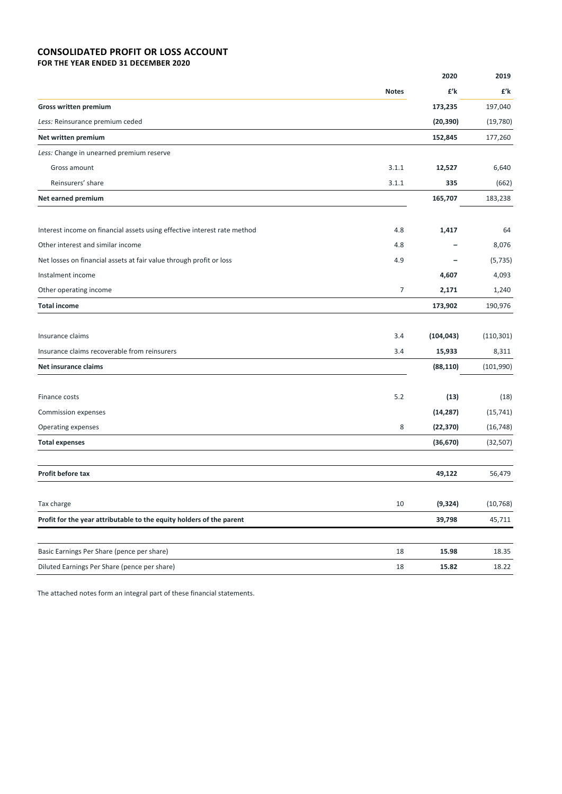## **CONSOLIDATED PROFIT OR LOSS ACCOUNT FOR THE YEAR ENDED 31 DECEMBER 2020**

|                                                                          |              | 2020                     | 2019       |
|--------------------------------------------------------------------------|--------------|--------------------------|------------|
|                                                                          | <b>Notes</b> | £'k                      | £'k        |
| <b>Gross written premium</b>                                             |              | 173,235                  | 197,040    |
| Less: Reinsurance premium ceded                                          |              | (20, 390)                | (19,780)   |
| Net written premium                                                      |              | 152,845                  | 177,260    |
| Less: Change in unearned premium reserve                                 |              |                          |            |
| Gross amount                                                             | 3.1.1        | 12,527                   | 6,640      |
| Reinsurers' share                                                        | 3.1.1        | 335                      | (662)      |
| Net earned premium                                                       |              | 165,707                  | 183,238    |
| Interest income on financial assets using effective interest rate method | 4.8          | 1,417                    | 64         |
| Other interest and similar income                                        | 4.8          | $\overline{\phantom{0}}$ | 8,076      |
| Net losses on financial assets at fair value through profit or loss      | 4.9          |                          | (5, 735)   |
| Instalment income                                                        |              | 4,607                    | 4,093      |
| Other operating income                                                   | 7            | 2,171                    | 1,240      |
| <b>Total income</b>                                                      |              | 173,902                  | 190,976    |
| Insurance claims                                                         | 3.4          | (104, 043)               | (110, 301) |
| Insurance claims recoverable from reinsurers                             | 3.4          | 15,933                   | 8,311      |
| Net insurance claims                                                     |              | (88, 110)                | (101,990)  |
| Finance costs                                                            | 5.2          | (13)                     | (18)       |
| Commission expenses                                                      |              | (14, 287)                | (15, 741)  |
| Operating expenses                                                       | 8            | (22, 370)                | (16, 748)  |
| <b>Total expenses</b>                                                    |              | (36, 670)                | (32, 507)  |
| Profit before tax                                                        |              | 49,122                   | 56,479     |
|                                                                          |              |                          |            |
| Tax charge                                                               | 10           | (9, 324)                 | (10, 768)  |
| Profit for the year attributable to the equity holders of the parent     |              | 39,798                   | 45,711     |
| Basic Earnings Per Share (pence per share)                               | 18           | 15.98                    | 18.35      |
| Diluted Earnings Per Share (pence per share)                             | 18           | 15.82                    | 18.22      |

The attached notes form an integral part of these financial statements.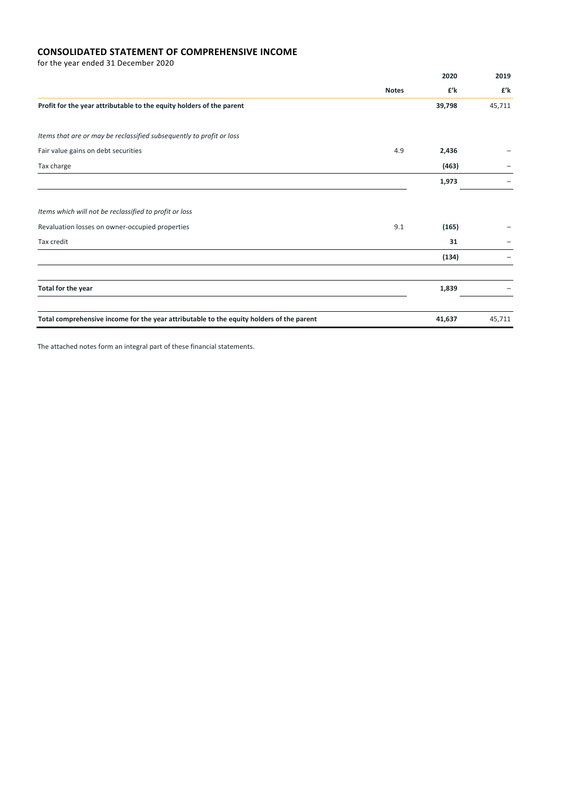## **CONSOLIDATED STATEMENT OF COMPREHENSIVE INCOME**

for the year ended 31 December 2020

|                                                                                          |              | 2020   | 2019   |
|------------------------------------------------------------------------------------------|--------------|--------|--------|
|                                                                                          | <b>Notes</b> | £'k    | £'k    |
| Profit for the year attributable to the equity holders of the parent                     |              | 39,798 | 45,711 |
| Items that are or may be reclassified subsequently to profit or loss                     |              |        |        |
| Fair value gains on debt securities                                                      | 4.9          | 2,436  |        |
| Tax charge                                                                               |              | (463)  |        |
|                                                                                          |              | 1,973  |        |
| Items which will not be reclassified to profit or loss                                   |              |        |        |
| Revaluation losses on owner-occupied properties                                          | 9.1          | (165)  |        |
| Tax credit                                                                               |              | 31     |        |
|                                                                                          |              | (134)  |        |
|                                                                                          |              |        |        |
| Total for the year                                                                       |              | 1,839  |        |
| Total comprehensive income for the year attributable to the equity holders of the parent |              | 41,637 | 45,711 |

The attached notes form an integral part of these financial statements.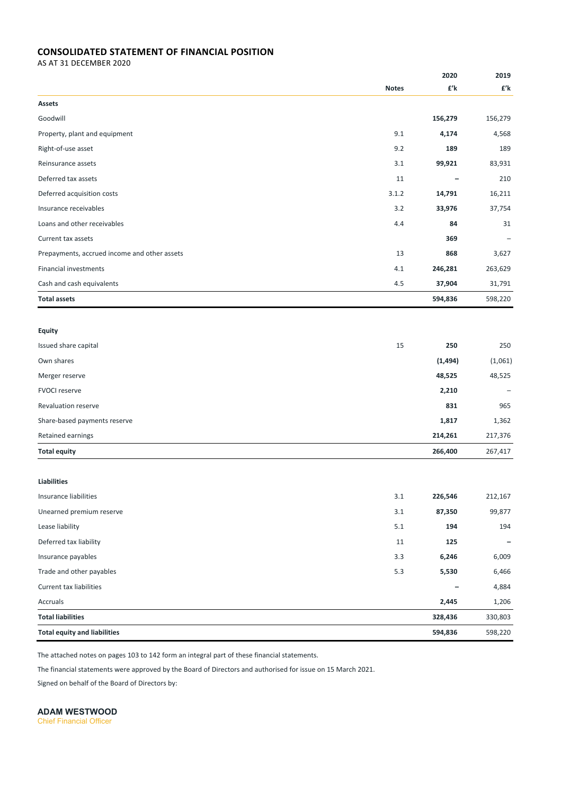## **CONSOLIDATED STATEMENT OF FINANCIAL POSITION**

AS AT 31 DECEMBER 2020

|                                              |              | 2020     | 2019    |
|----------------------------------------------|--------------|----------|---------|
|                                              | <b>Notes</b> | £'k      | £'k     |
| Assets                                       |              |          |         |
| Goodwill                                     |              | 156,279  | 156,279 |
| Property, plant and equipment                | 9.1          | 4,174    | 4,568   |
| Right-of-use asset                           | 9.2          | 189      | 189     |
| Reinsurance assets                           | 3.1          | 99,921   | 83,931  |
| Deferred tax assets                          | 11           |          | 210     |
| Deferred acquisition costs                   | 3.1.2        | 14,791   | 16,211  |
| Insurance receivables                        | 3.2          | 33,976   | 37,754  |
| Loans and other receivables                  | 4.4          | 84       | 31      |
| Current tax assets                           |              | 369      |         |
| Prepayments, accrued income and other assets | 13           | 868      | 3,627   |
| <b>Financial investments</b>                 | 4.1          | 246,281  | 263,629 |
| Cash and cash equivalents                    | 4.5          | 37,904   | 31,791  |
| <b>Total assets</b>                          |              | 594,836  | 598,220 |
|                                              |              |          |         |
| <b>Equity</b>                                |              |          |         |
| Issued share capital                         | 15           | 250      | 250     |
| Own shares                                   |              | (1, 494) | (1,061) |
| Merger reserve                               |              | 48,525   | 48,525  |
| <b>FVOCI reserve</b>                         |              | 2,210    |         |
| Revaluation reserve                          |              | 831      | 965     |
| Share-based payments reserve                 |              | 1,817    | 1,362   |
| Retained earnings                            |              | 214,261  | 217,376 |
| <b>Total equity</b>                          |              | 266,400  | 267,417 |
|                                              |              |          |         |
| <b>Liabilities</b>                           |              |          |         |
| Insurance liabilities                        | 3.1          | 226,546  | 212,167 |
| Unearned premium reserve                     | $3.1\,$      | 87,350   | 99,877  |
| Lease liability                              | 5.1          | 194      | 194     |
| Deferred tax liability                       | 11           | 125      |         |
| Insurance payables                           | 3.3          | 6,246    | 6,009   |
| Trade and other payables                     | 5.3          | 5,530    | 6,466   |
| Current tax liabilities                      |              |          | 4,884   |
| Accruals                                     |              | 2,445    | 1,206   |
| <b>Total liabilities</b>                     |              | 328,436  | 330,803 |
| <b>Total equity and liabilities</b>          |              | 594,836  | 598,220 |

The attached notes on pages 103 to 142 form an integral part of these financial statements.

The financial statements were approved by the Board of Directors and authorised for issue on 15 March 2021.

Signed on behalf of the Board of Directors by:

**ADAM WESTWOOD** 

Chief Financial Officer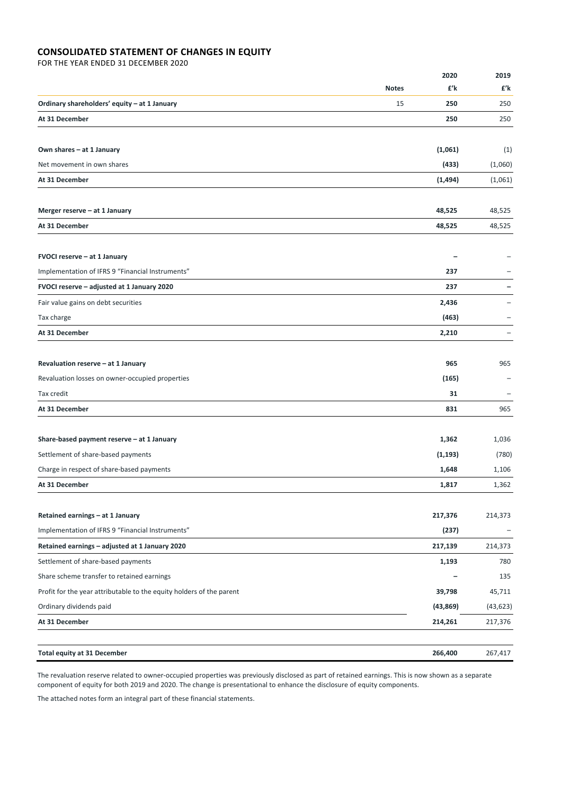## **CONSOLIDATED STATEMENT OF CHANGES IN EQUITY**

FOR THE YEAR ENDED 31 DECEMBER 2020

| £'k<br>£'k<br><b>Notes</b><br>15<br>250<br>250<br>250<br>250<br>Own shares - at 1 January<br>(1,061)<br>(1)<br>(433)<br>(1,060)<br>(1, 494)<br>(1,061)<br>48,525<br>48,525<br>48,525<br>48,525<br>FVOCI reserve - at 1 January<br>Implementation of IFRS 9 "Financial Instruments"<br>237<br>FVOCI reserve - adjusted at 1 January 2020<br>237<br>Fair value gains on debt securities<br>2,436<br>(463)<br>Tax charge<br>2,210<br>$\qquad \qquad -$<br>965<br>965<br>(165)<br>31<br>$\overline{a}$<br>831<br>965<br>Share-based payment reserve - at 1 January<br>1,362<br>1,036<br>Settlement of share-based payments<br>(1, 193)<br>(780)<br>Charge in respect of share-based payments<br>1,648<br>1,106<br>1,817<br>1,362<br>217,376<br>214,373<br>(237)<br>217,139<br>214,373<br>780<br>1,193<br>135<br>39,798<br>45,711<br>(43, 869)<br>(43, 623)<br>214,261<br>217,376<br>266,400<br>267,417 |                                                                      | 2020 | 2019 |
|----------------------------------------------------------------------------------------------------------------------------------------------------------------------------------------------------------------------------------------------------------------------------------------------------------------------------------------------------------------------------------------------------------------------------------------------------------------------------------------------------------------------------------------------------------------------------------------------------------------------------------------------------------------------------------------------------------------------------------------------------------------------------------------------------------------------------------------------------------------------------------------------------|----------------------------------------------------------------------|------|------|
|                                                                                                                                                                                                                                                                                                                                                                                                                                                                                                                                                                                                                                                                                                                                                                                                                                                                                                    |                                                                      |      |      |
|                                                                                                                                                                                                                                                                                                                                                                                                                                                                                                                                                                                                                                                                                                                                                                                                                                                                                                    | Ordinary shareholders' equity - at 1 January                         |      |      |
|                                                                                                                                                                                                                                                                                                                                                                                                                                                                                                                                                                                                                                                                                                                                                                                                                                                                                                    | At 31 December                                                       |      |      |
|                                                                                                                                                                                                                                                                                                                                                                                                                                                                                                                                                                                                                                                                                                                                                                                                                                                                                                    |                                                                      |      |      |
|                                                                                                                                                                                                                                                                                                                                                                                                                                                                                                                                                                                                                                                                                                                                                                                                                                                                                                    | Net movement in own shares                                           |      |      |
|                                                                                                                                                                                                                                                                                                                                                                                                                                                                                                                                                                                                                                                                                                                                                                                                                                                                                                    | At 31 December                                                       |      |      |
|                                                                                                                                                                                                                                                                                                                                                                                                                                                                                                                                                                                                                                                                                                                                                                                                                                                                                                    |                                                                      |      |      |
|                                                                                                                                                                                                                                                                                                                                                                                                                                                                                                                                                                                                                                                                                                                                                                                                                                                                                                    | Merger reserve - at 1 January                                        |      |      |
|                                                                                                                                                                                                                                                                                                                                                                                                                                                                                                                                                                                                                                                                                                                                                                                                                                                                                                    | At 31 December                                                       |      |      |
|                                                                                                                                                                                                                                                                                                                                                                                                                                                                                                                                                                                                                                                                                                                                                                                                                                                                                                    |                                                                      |      |      |
|                                                                                                                                                                                                                                                                                                                                                                                                                                                                                                                                                                                                                                                                                                                                                                                                                                                                                                    |                                                                      |      |      |
|                                                                                                                                                                                                                                                                                                                                                                                                                                                                                                                                                                                                                                                                                                                                                                                                                                                                                                    |                                                                      |      |      |
|                                                                                                                                                                                                                                                                                                                                                                                                                                                                                                                                                                                                                                                                                                                                                                                                                                                                                                    |                                                                      |      |      |
|                                                                                                                                                                                                                                                                                                                                                                                                                                                                                                                                                                                                                                                                                                                                                                                                                                                                                                    |                                                                      |      |      |
|                                                                                                                                                                                                                                                                                                                                                                                                                                                                                                                                                                                                                                                                                                                                                                                                                                                                                                    | At 31 December                                                       |      |      |
|                                                                                                                                                                                                                                                                                                                                                                                                                                                                                                                                                                                                                                                                                                                                                                                                                                                                                                    |                                                                      |      |      |
|                                                                                                                                                                                                                                                                                                                                                                                                                                                                                                                                                                                                                                                                                                                                                                                                                                                                                                    | Revaluation reserve - at 1 January                                   |      |      |
|                                                                                                                                                                                                                                                                                                                                                                                                                                                                                                                                                                                                                                                                                                                                                                                                                                                                                                    | Revaluation losses on owner-occupied properties                      |      |      |
|                                                                                                                                                                                                                                                                                                                                                                                                                                                                                                                                                                                                                                                                                                                                                                                                                                                                                                    | Tax credit                                                           |      |      |
|                                                                                                                                                                                                                                                                                                                                                                                                                                                                                                                                                                                                                                                                                                                                                                                                                                                                                                    | At 31 December                                                       |      |      |
|                                                                                                                                                                                                                                                                                                                                                                                                                                                                                                                                                                                                                                                                                                                                                                                                                                                                                                    |                                                                      |      |      |
|                                                                                                                                                                                                                                                                                                                                                                                                                                                                                                                                                                                                                                                                                                                                                                                                                                                                                                    |                                                                      |      |      |
|                                                                                                                                                                                                                                                                                                                                                                                                                                                                                                                                                                                                                                                                                                                                                                                                                                                                                                    |                                                                      |      |      |
|                                                                                                                                                                                                                                                                                                                                                                                                                                                                                                                                                                                                                                                                                                                                                                                                                                                                                                    | At 31 December                                                       |      |      |
|                                                                                                                                                                                                                                                                                                                                                                                                                                                                                                                                                                                                                                                                                                                                                                                                                                                                                                    |                                                                      |      |      |
|                                                                                                                                                                                                                                                                                                                                                                                                                                                                                                                                                                                                                                                                                                                                                                                                                                                                                                    | Retained earnings - at 1 January                                     |      |      |
|                                                                                                                                                                                                                                                                                                                                                                                                                                                                                                                                                                                                                                                                                                                                                                                                                                                                                                    | Implementation of IFRS 9 "Financial Instruments"                     |      |      |
|                                                                                                                                                                                                                                                                                                                                                                                                                                                                                                                                                                                                                                                                                                                                                                                                                                                                                                    | Retained earnings - adjusted at 1 January 2020                       |      |      |
|                                                                                                                                                                                                                                                                                                                                                                                                                                                                                                                                                                                                                                                                                                                                                                                                                                                                                                    | Settlement of share-based payments                                   |      |      |
|                                                                                                                                                                                                                                                                                                                                                                                                                                                                                                                                                                                                                                                                                                                                                                                                                                                                                                    | Share scheme transfer to retained earnings                           |      |      |
|                                                                                                                                                                                                                                                                                                                                                                                                                                                                                                                                                                                                                                                                                                                                                                                                                                                                                                    | Profit for the year attributable to the equity holders of the parent |      |      |
|                                                                                                                                                                                                                                                                                                                                                                                                                                                                                                                                                                                                                                                                                                                                                                                                                                                                                                    | Ordinary dividends paid                                              |      |      |
|                                                                                                                                                                                                                                                                                                                                                                                                                                                                                                                                                                                                                                                                                                                                                                                                                                                                                                    | At 31 December                                                       |      |      |
|                                                                                                                                                                                                                                                                                                                                                                                                                                                                                                                                                                                                                                                                                                                                                                                                                                                                                                    | <b>Total equity at 31 December</b>                                   |      |      |

The revaluation reserve related to owner‐occupied properties was previously disclosed as part of retained earnings. This is now shown as a separate component of equity for both 2019 and 2020. The change is presentational to enhance the disclosure of equity components.

The attached notes form an integral part of these financial statements.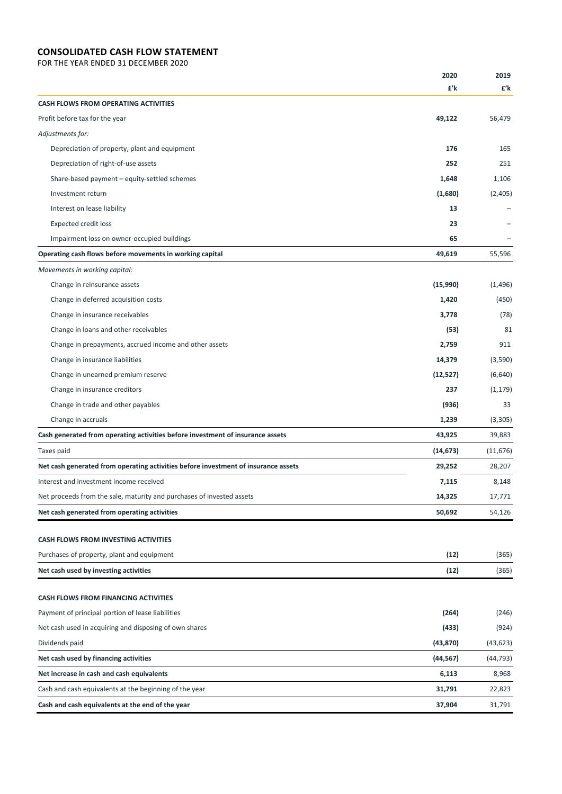## **CONSOLIDATED CASH FLOW STATEMENT**

FOR THE YEAR ENDED 31 DECEMBER 2020

|                                                                                    | 2020      | 2019      |
|------------------------------------------------------------------------------------|-----------|-----------|
|                                                                                    | £'k       | £'k       |
| <b>CASH FLOWS FROM OPERATING ACTIVITIES</b>                                        |           |           |
| Profit before tax for the year                                                     | 49,122    | 56,479    |
| Adjustments for:                                                                   |           |           |
| Depreciation of property, plant and equipment                                      | 176       | 165       |
| Depreciation of right-of-use assets                                                | 252       | 251       |
| Share-based payment - equity-settled schemes                                       | 1,648     | 1,106     |
| Investment return                                                                  | (1,680)   | (2,405)   |
| Interest on lease liability                                                        | 13        |           |
| <b>Expected credit loss</b>                                                        | 23        |           |
| Impairment loss on owner-occupied buildings                                        | 65        |           |
| Operating cash flows before movements in working capital                           | 49,619    | 55,596    |
| Movements in working capital:                                                      |           |           |
| Change in reinsurance assets                                                       | (15,990)  | (1, 496)  |
| Change in deferred acquisition costs                                               | 1,420     | (450)     |
| Change in insurance receivables                                                    | 3,778     | (78)      |
| Change in loans and other receivables                                              | (53)      | 81        |
| Change in prepayments, accrued income and other assets                             | 2,759     | 911       |
| Change in insurance liabilities                                                    | 14,379    | (3,590)   |
| Change in unearned premium reserve                                                 | (12, 527) | (6,640)   |
| Change in insurance creditors                                                      | 237       | (1, 179)  |
| Change in trade and other payables                                                 | (936)     | 33        |
| Change in accruals                                                                 | 1,239     | (3,305)   |
| Cash generated from operating activities before investment of insurance assets     | 43,925    | 39,883    |
| Taxes paid                                                                         | (14, 673) | (11, 676) |
| Net cash generated from operating activities before investment of insurance assets | 29,252    | 28,207    |
| Interest and investment income received                                            | 7,115     | 8,148     |
| Net proceeds from the sale, maturity and purchases of invested assets              | 14,325    | 17,771    |
| Net cash generated from operating activities                                       | 50,692    | 54,126    |
|                                                                                    |           |           |
| <b>CASH FLOWS FROM INVESTING ACTIVITIES</b>                                        |           |           |
| Purchases of property, plant and equipment                                         | (12)      | (365)     |
| Net cash used by investing activities                                              | (12)      | (365)     |
| <b>CASH FLOWS FROM FINANCING ACTIVITIES</b>                                        |           |           |
| Payment of principal portion of lease liabilities                                  | (264)     | (246)     |
| Net cash used in acquiring and disposing of own shares                             | (433)     | (924)     |
| Dividends paid                                                                     | (43, 870) | (43, 623) |
| Net cash used by financing activities                                              | (44, 567) | (44, 793) |
| Net increase in cash and cash equivalents                                          | 6,113     | 8,968     |
| Cash and cash equivalents at the beginning of the year                             | 31,791    | 22,823    |
| Cash and cash equivalents at the end of the year                                   | 37,904    | 31,791    |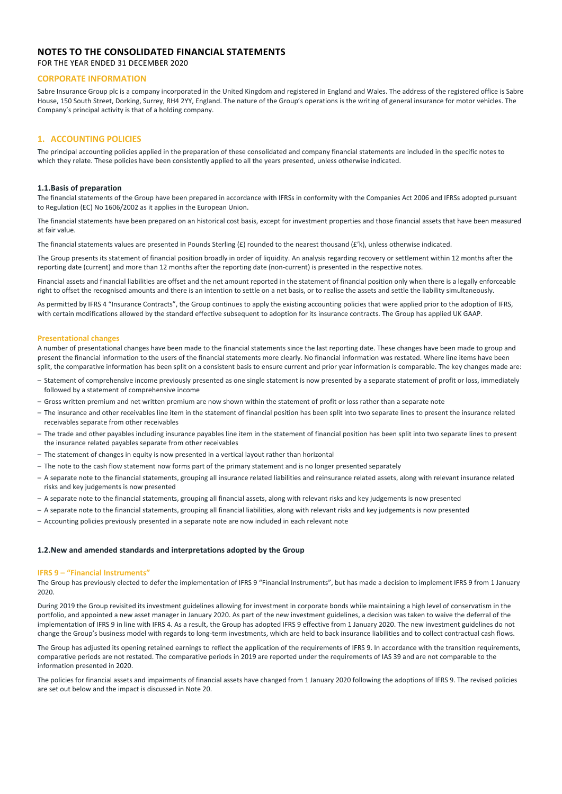## **NOTES TO THE CONSOLIDATED FINANCIAL STATEMENTS**

FOR THE YEAR ENDED 31 DECEMBER 2020

### **CORPORATE INFORMATION**

Sabre Insurance Group plc is a company incorporated in the United Kingdom and registered in England and Wales. The address of the registered office is Sabre House, 150 South Street, Dorking, Surrey, RH4 2YY, England. The nature of the Group's operations is the writing of general insurance for motor vehicles. The Company's principal activity is that of a holding company.

## **1. ACCOUNTING POLICIES**

The principal accounting policies applied in the preparation of these consolidated and company financial statements are included in the specific notes to which they relate. These policies have been consistently applied to all the years presented, unless otherwise indicated.

### **1.1.Basis of preparation**

The financial statements of the Group have been prepared in accordance with IFRSs in conformity with the Companies Act 2006 and IFRSs adopted pursuant to Regulation (EC) No 1606/2002 as it applies in the European Union.

The financial statements have been prepared on an historical cost basis, except for investment properties and those financial assets that have been measured at fair value.

The financial statements values are presented in Pounds Sterling (£) rounded to the nearest thousand ( $f$ k), unless otherwise indicated.

The Group presents its statement of financial position broadly in order of liquidity. An analysis regarding recovery or settlement within 12 months after the reporting date (current) and more than 12 months after the reporting date (non-current) is presented in the respective notes.

Financial assets and financial liabilities are offset and the net amount reported in the statement of financial position only when there is a legally enforceable right to offset the recognised amounts and there is an intention to settle on a net basis, or to realise the assets and settle the liability simultaneously.

As permitted by IFRS 4 "Insurance Contracts", the Group continues to apply the existing accounting policies that were applied prior to the adoption of IFRS, with certain modifications allowed by the standard effective subsequent to adoption for its insurance contracts. The Group has applied UK GAAP.

#### **Presentational changes**

A number of presentational changes have been made to the financial statements since the last reporting date. These changes have been made to group and present the financial information to the users of the financial statements more clearly. No financial information was restated. Where line items have been split, the comparative information has been split on a consistent basis to ensure current and prior year information is comparable. The key changes made are:

- Statement of comprehensive income previously presented as one single statement is now presented by a separate statement of profit or loss, immediately followed by a statement of comprehensive income
- Gross written premium and net written premium are now shown within the statement of profit or loss rather than a separate note
- The insurance and other receivables line item in the statement of financial position has been split into two separate lines to present the insurance related receivables separate from other receivables
- The trade and other payables including insurance payables line item in the statement of financial position has been split into two separate lines to present the insurance related payables separate from other receivables
- The statement of changes in equity is now presented in a vertical layout rather than horizontal
- The note to the cash flow statement now forms part of the primary statement and is no longer presented separately
- A separate note to the financial statements, grouping all insurance related liabilities and reinsurance related assets, along with relevant insurance related risks and key judgements is now presented
- A separate note to the financial statements, grouping all financial assets, along with relevant risks and key judgements is now presented
- A separate note to the financial statements, grouping all financial liabilities, along with relevant risks and key judgements is now presented
- Accounting policies previously presented in a separate note are now included in each relevant note

### **1.2.New and amended standards and interpretations adopted by the Group**

#### **IFRS 9 – "Financial Instruments"**

The Group has previously elected to defer the implementation of IFRS 9 "Financial Instruments", but has made a decision to implement IFRS 9 from 1 January 2020.

During 2019 the Group revisited its investment guidelines allowing for investment in corporate bonds while maintaining a high level of conservatism in the portfolio, and appointed a new asset manager in January 2020. As part of the new investment guidelines, a decision was taken to waive the deferral of the implementation of IFRS 9 in line with IFRS 4. As a result, the Group has adopted IFRS 9 effective from 1 January 2020. The new investment guidelines do not change the Group's business model with regards to long-term investments, which are held to back insurance liabilities and to collect contractual cash flows.

The Group has adjusted its opening retained earnings to reflect the application of the requirements of IFRS 9. In accordance with the transition requirements, comparative periods are not restated. The comparative periods in 2019 are reported under the requirements of IAS 39 and are not comparable to the information presented in 2020.

The policies for financial assets and impairments of financial assets have changed from 1 January 2020 following the adoptions of IFRS 9. The revised policies are set out below and the impact is discussed in Note 20.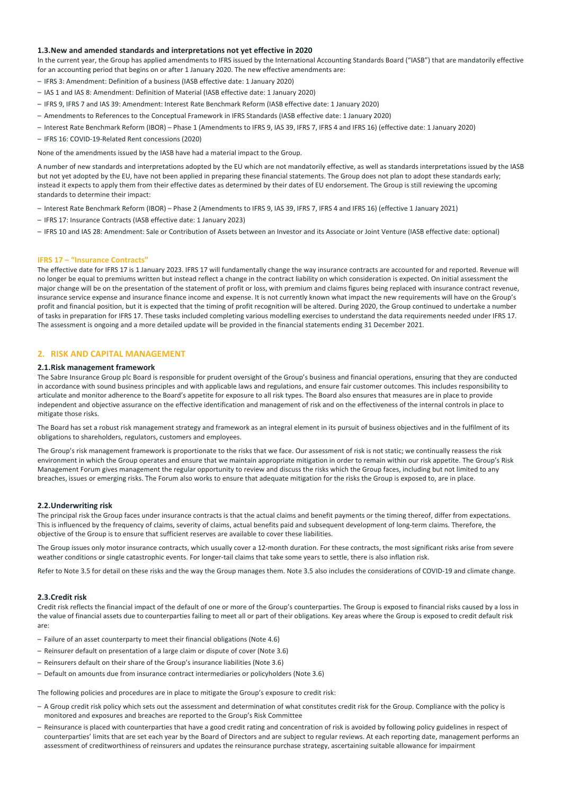### **1.3.New and amended standards and interpretations not yet effective in 2020**

In the current year, the Group has applied amendments to IFRS issued by the International Accounting Standards Board ("IASB") that are mandatorily effective for an accounting period that begins on or after 1 January 2020. The new effective amendments are:

- IFRS 3: Amendment: Definition of a business (IASB effective date: 1 January 2020)
- IAS 1 and IAS 8: Amendment: Definition of Material (IASB effective date: 1 January 2020)
- IFRS 9, IFRS 7 and IAS 39: Amendment: Interest Rate Benchmark Reform (IASB effective date: 1 January 2020)
- Amendments to References to the Conceptual Framework in IFRS Standards (IASB effective date: 1 January 2020)
- Interest Rate Benchmark Reform (IBOR) Phase 1 (Amendments to IFRS 9, IAS 39, IFRS 7, IFRS 4 and IFRS 16) (effective date: 1 January 2020)
- IFRS 16: COVID‐19‐Related Rent concessions (2020)

None of the amendments issued by the IASB have had a material impact to the Group.

A number of new standards and interpretations adopted by the EU which are not mandatorily effective, as well as standards interpretations issued by the IASB but not yet adopted by the EU, have not been applied in preparing these financial statements. The Group does not plan to adopt these standards early; instead it expects to apply them from their effective dates as determined by their dates of EU endorsement. The Group is still reviewing the upcoming standards to determine their impact:

- Interest Rate Benchmark Reform (IBOR) Phase 2 (Amendments to IFRS 9, IAS 39, IFRS 7, IFRS 4 and IFRS 16) (effective 1 January 2021)
- IFRS 17: Insurance Contracts (IASB effective date: 1 January 2023)
- IFRS 10 and IAS 28: Amendment: Sale or Contribution of Assets between an Investor and its Associate or Joint Venture (IASB effective date: optional)

#### **IFRS 17 – "Insurance Contracts"**

The effective date for IFRS 17 is 1 January 2023. IFRS 17 will fundamentally change the way insurance contracts are accounted for and reported. Revenue will no longer be equal to premiums written but instead reflect a change in the contract liability on which consideration is expected. On initial assessment the major change will be on the presentation of the statement of profit or loss, with premium and claims figures being replaced with insurance contract revenue, insurance service expense and insurance finance income and expense. It is not currently known what impact the new requirements will have on the Group's profit and financial position, but it is expected that the timing of profit recognition will be altered. During 2020, the Group continued to undertake a number of tasks in preparation for IFRS 17. These tasks included completing various modelling exercises to understand the data requirements needed under IFRS 17. The assessment is ongoing and a more detailed update will be provided in the financial statements ending 31 December 2021.

### **2. RISK AND CAPITAL MANAGEMENT**

### **2.1.Risk management framework**

The Sabre Insurance Group plc Board is responsible for prudent oversight of the Group's business and financial operations, ensuring that they are conducted in accordance with sound business principles and with applicable laws and regulations, and ensure fair customer outcomes. This includes responsibility to articulate and monitor adherence to the Board's appetite for exposure to all risk types. The Board also ensures that measures are in place to provide independent and objective assurance on the effective identification and management of risk and on the effectiveness of the internal controls in place to mitigate those risks.

The Board has set a robust risk management strategy and framework as an integral element in its pursuit of business objectives and in the fulfilment of its obligations to shareholders, regulators, customers and employees.

The Group's risk management framework is proportionate to the risks that we face. Our assessment of risk is not static; we continually reassess the risk environment in which the Group operates and ensure that we maintain appropriate mitigation in order to remain within our risk appetite. The Group's Risk Management Forum gives management the regular opportunity to review and discuss the risks which the Group faces, including but not limited to any breaches, issues or emerging risks. The Forum also works to ensure that adequate mitigation for the risks the Group is exposed to, are in place.

#### **2.2.Underwriting risk**

The principal risk the Group faces under insurance contracts is that the actual claims and benefit payments or the timing thereof, differ from expectations. This is influenced by the frequency of claims, severity of claims, actual benefits paid and subsequent development of long‐term claims. Therefore, the objective of the Group is to ensure that sufficient reserves are available to cover these liabilities.

The Group issues only motor insurance contracts, which usually cover a 12-month duration. For these contracts, the most significant risks arise from severe weather conditions or single catastrophic events. For longer-tail claims that take some years to settle, there is also inflation risk.

Refer to Note 3.5 for detail on these risks and the way the Group manages them. Note 3.5 also includes the considerations of COVID‐19 and climate change.

#### **2.3.Credit risk**

Credit risk reflects the financial impact of the default of one or more of the Group's counterparties. The Group is exposed to financial risks caused by a loss in the value of financial assets due to counterparties failing to meet all or part of their obligations. Key areas where the Group is exposed to credit default risk are:

- Failure of an asset counterparty to meet their financial obligations (Note 4.6)
- Reinsurer default on presentation of a large claim or dispute of cover (Note 3.6)
- Reinsurers default on their share of the Group's insurance liabilities (Note 3.6)
- Default on amounts due from insurance contract intermediaries or policyholders (Note 3.6)

The following policies and procedures are in place to mitigate the Group's exposure to credit risk:

- A Group credit risk policy which sets out the assessment and determination of what constitutes credit risk for the Group. Compliance with the policy is monitored and exposures and breaches are reported to the Group's Risk Committee
- Reinsurance is placed with counterparties that have a good credit rating and concentration of risk is avoided by following policy guidelines in respect of counterparties' limits that are set each year by the Board of Directors and are subject to regular reviews. At each reporting date, management performs an assessment of creditworthiness of reinsurers and updates the reinsurance purchase strategy, ascertaining suitable allowance for impairment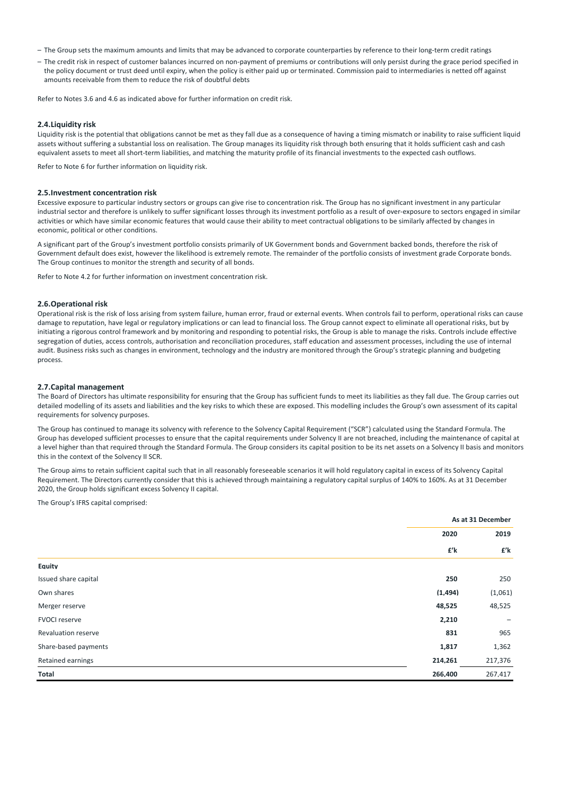- The Group sets the maximum amounts and limits that may be advanced to corporate counterparties by reference to their long‐term credit ratings
- The credit risk in respect of customer balances incurred on non‐payment of premiums or contributions will only persist during the grace period specified in the policy document or trust deed until expiry, when the policy is either paid up or terminated. Commission paid to intermediaries is netted off against amounts receivable from them to reduce the risk of doubtful debts

Refer to Notes 3.6 and 4.6 as indicated above for further information on credit risk.

#### **2.4.Liquidity risk**

Liquidity risk is the potential that obligations cannot be met as they fall due as a consequence of having a timing mismatch or inability to raise sufficient liquid assets without suffering a substantial loss on realisation. The Group manages its liquidity risk through both ensuring that it holds sufficient cash and cash equivalent assets to meet all short-term liabilities, and matching the maturity profile of its financial investments to the expected cash outflows.

Refer to Note 6 for further information on liquidity risk.

#### **2.5.Investment concentration risk**

Excessive exposure to particular industry sectors or groups can give rise to concentration risk. The Group has no significant investment in any particular industrial sector and therefore is unlikely to suffer significant losses through its investment portfolio as a result of over-exposure to sectors engaged in similar activities or which have similar economic features that would cause their ability to meet contractual obligations to be similarly affected by changes in economic, political or other conditions.

A significant part of the Group's investment portfolio consists primarily of UK Government bonds and Government backed bonds, therefore the risk of Government default does exist, however the likelihood is extremely remote. The remainder of the portfolio consists of investment grade Corporate bonds. The Group continues to monitor the strength and security of all bonds.

Refer to Note 4.2 for further information on investment concentration risk.

### **2.6.Operational risk**

Operational risk is the risk of loss arising from system failure, human error, fraud or external events. When controls fail to perform, operational risks can cause damage to reputation, have legal or regulatory implications or can lead to financial loss. The Group cannot expect to eliminate all operational risks, but by initiating a rigorous control framework and by monitoring and responding to potential risks, the Group is able to manage the risks. Controls include effective segregation of duties, access controls, authorisation and reconciliation procedures, staff education and assessment processes, including the use of internal audit. Business risks such as changes in environment, technology and the industry are monitored through the Group's strategic planning and budgeting process.

### **2.7.Capital management**

The Board of Directors has ultimate responsibility for ensuring that the Group has sufficient funds to meet its liabilities as they fall due. The Group carries out detailed modelling of its assets and liabilities and the key risks to which these are exposed. This modelling includes the Group's own assessment of its capital requirements for solvency purposes.

The Group has continued to manage its solvency with reference to the Solvency Capital Requirement ("SCR") calculated using the Standard Formula. The Group has developed sufficient processes to ensure that the capital requirements under Solvency II are not breached, including the maintenance of capital at a level higher than that required through the Standard Formula. The Group considers its capital position to be its net assets on a Solvency II basis and monitors this in the context of the Solvency II SCR.

The Group aims to retain sufficient capital such that in all reasonably foreseeable scenarios it will hold regulatory capital in excess of its Solvency Capital Requirement. The Directors currently consider that this is achieved through maintaining a regulatory capital surplus of 140% to 160%. As at 31 December 2020, the Group holds significant excess Solvency II capital.

The Group's IFRS capital comprised:

|                      |          | As at 31 December |
|----------------------|----------|-------------------|
|                      | 2020     | 2019              |
|                      | £'k      | £'k               |
| Equity               |          |                   |
| Issued share capital | 250      | 250               |
| Own shares           | (1, 494) | (1,061)           |
| Merger reserve       | 48,525   | 48,525            |
| <b>FVOCI reserve</b> | 2,210    | $\qquad \qquad -$ |
| Revaluation reserve  | 831      | 965               |
| Share-based payments | 1,817    | 1,362             |
| Retained earnings    | 214,261  | 217,376           |
| Total                | 266.400  | 267,417           |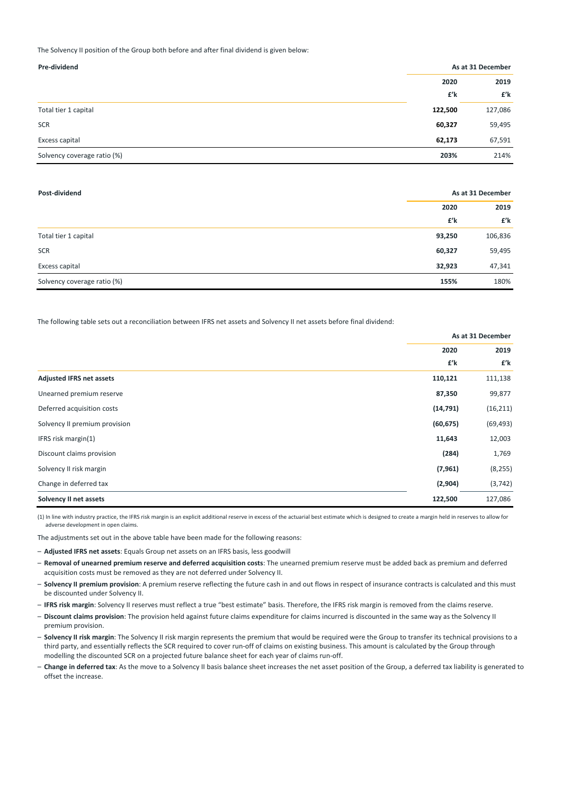The Solvency II position of the Group both before and after final dividend is given below:

| Pre-dividend                | As at 31 December |         |
|-----------------------------|-------------------|---------|
|                             | 2020              | 2019    |
|                             | £'k               | £'k     |
| Total tier 1 capital        | 122,500           | 127,086 |
| <b>SCR</b>                  | 60,327            | 59,495  |
| Excess capital              | 62,173            | 67,591  |
| Solvency coverage ratio (%) | 203%              | 214%    |

| Post-dividend               | As at 31 December |         |
|-----------------------------|-------------------|---------|
|                             | 2020              | 2019    |
|                             | £'k               | £'k     |
| Total tier 1 capital        | 93,250            | 106,836 |
| <b>SCR</b>                  | 60,327            | 59,495  |
| Excess capital              | 32,923            | 47,341  |
| Solvency coverage ratio (%) | 155%              | 180%    |

The following table sets out a reconciliation between IFRS net assets and Solvency II net assets before final dividend:

|                                 | As at 31 December |           |
|---------------------------------|-------------------|-----------|
|                                 | 2020              | 2019      |
|                                 | £'k               | £'k       |
| <b>Adjusted IFRS net assets</b> | 110,121           | 111,138   |
| Unearned premium reserve        | 87,350            | 99,877    |
| Deferred acquisition costs      | (14, 791)         | (16, 211) |
| Solvency II premium provision   | (60, 675)         | (69, 493) |
| IFRS risk margin(1)             | 11,643            | 12,003    |
| Discount claims provision       | (284)             | 1,769     |
| Solvency II risk margin         | (7, 961)          | (8, 255)  |
| Change in deferred tax          | (2,904)           | (3, 742)  |
| Solvency II net assets          | 122,500           | 127,086   |

(1) In line with industry practice, the IFRS risk margin is an explicit additional reserve in excess of the actuarial best estimate which is designed to create a margin held in reserves to allow for adverse development in open claims.

The adjustments set out in the above table have been made for the following reasons:

– **Adjusted IFRS net assets**: Equals Group net assets on an IFRS basis, less goodwill

- **Removal of unearned premium reserve and deferred acquisition costs**: The unearned premium reserve must be added back as premium and deferred acquisition costs must be removed as they are not deferred under Solvency II.
- **Solvency II premium provision**: A premium reserve reflecting the future cash in and out flows in respect of insurance contracts is calculated and this must be discounted under Solvency II.
- **IFRS risk margin**: Solvency II reserves must reflect a true "best estimate" basis. Therefore, the IFRS risk margin is removed from the claims reserve.
- **Discount claims provision**: The provision held against future claims expenditure for claims incurred is discounted in the same way as the Solvency II premium provision.
- **Solvency II risk margin**: The Solvency II risk margin represents the premium that would be required were the Group to transfer its technical provisions to a third party, and essentially reflects the SCR required to cover run-off of claims on existing business. This amount is calculated by the Group through modelling the discounted SCR on a projected future balance sheet for each year of claims run‐off.
- **Change in deferred tax**: As the move to a Solvency II basis balance sheet increases the net asset position of the Group, a deferred tax liability is generated to offset the increase.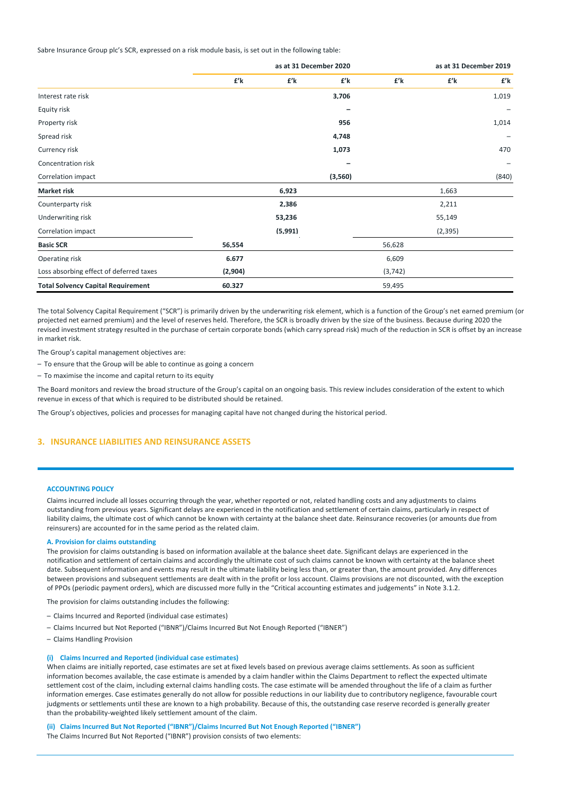Sabre Insurance Group plc's SCR, expressed on a risk module basis, is set out in the following table:

|                                           | as at 31 December 2020 |         |         |          |          | as at 31 December 2019 |
|-------------------------------------------|------------------------|---------|---------|----------|----------|------------------------|
|                                           | £'k                    | £'k     | £'k     | £'k      | £'k      | £'k                    |
| Interest rate risk                        |                        |         | 3.706   |          |          | 1,019                  |
| Equity risk                               |                        |         |         |          |          |                        |
| Property risk                             |                        |         | 956     |          |          | 1,014                  |
| Spread risk                               |                        |         | 4,748   |          |          | -                      |
| Currency risk                             |                        |         | 1,073   |          |          | 470                    |
| Concentration risk                        |                        |         |         |          |          |                        |
| Correlation impact                        |                        |         | (3,560) |          |          | (840)                  |
| <b>Market risk</b>                        |                        | 6.923   |         |          | 1,663    |                        |
| Counterparty risk                         |                        | 2.386   |         |          | 2,211    |                        |
| Underwriting risk                         |                        | 53,236  |         |          | 55,149   |                        |
| Correlation impact                        |                        | (5,991) |         |          | (2, 395) |                        |
| <b>Basic SCR</b>                          | 56.554                 |         |         | 56,628   |          |                        |
| Operating risk                            | 6.677                  |         |         | 6,609    |          |                        |
| Loss absorbing effect of deferred taxes   | (2,904)                |         |         | (3, 742) |          |                        |
| <b>Total Solvency Capital Requirement</b> | 60.327                 |         |         | 59,495   |          |                        |

The total Solvency Capital Requirement ("SCR") is primarily driven by the underwriting risk element, which is a function of the Group's net earned premium (or projected net earned premium) and the level of reserves held. Therefore, the SCR is broadly driven by the size of the business. Because during 2020 the revised investment strategy resulted in the purchase of certain corporate bonds (which carry spread risk) much of the reduction in SCR is offset by an increase in market risk.

The Group's capital management objectives are:

– To ensure that the Group will be able to continue as going a concern

– To maximise the income and capital return to its equity

The Board monitors and review the broad structure of the Group's capital on an ongoing basis. This review includes consideration of the extent to which revenue in excess of that which is required to be distributed should be retained.

The Group's objectives, policies and processes for managing capital have not changed during the historical period.

### **3. INSURANCE LIABILITIES AND REINSURANCE ASSETS**

#### **ACCOUNTING POLICY**

Claims incurred include all losses occurring through the year, whether reported or not, related handling costs and any adjustments to claims outstanding from previous years. Significant delays are experienced in the notification and settlement of certain claims, particularly in respect of liability claims, the ultimate cost of which cannot be known with certainty at the balance sheet date. Reinsurance recoveries (or amounts due from reinsurers) are accounted for in the same period as the related claim.

### **A. Provision for claims outstanding**

The provision for claims outstanding is based on information available at the balance sheet date. Significant delays are experienced in the notification and settlement of certain claims and accordingly the ultimate cost of such claims cannot be known with certainty at the balance sheet date. Subsequent information and events may result in the ultimate liability being less than, or greater than, the amount provided. Any differences between provisions and subsequent settlements are dealt with in the profit or loss account. Claims provisions are not discounted, with the exception of PPOs (periodic payment orders), which are discussed more fully in the "Critical accounting estimates and judgements" in Note 3.1.2.

The provision for claims outstanding includes the following:

- Claims Incurred and Reported (individual case estimates)
- Claims Incurred but Not Reported ("IBNR")/Claims Incurred But Not Enough Reported ("IBNER")
- Claims Handling Provision

#### **(i) Claims Incurred and Reported (individual case estimates)**

When claims are initially reported, case estimates are set at fixed levels based on previous average claims settlements. As soon as sufficient information becomes available, the case estimate is amended by a claim handler within the Claims Department to reflect the expected ultimate settlement cost of the claim, including external claims handling costs. The case estimate will be amended throughout the life of a claim as further information emerges. Case estimates generally do not allow for possible reductions in our liability due to contributory negligence, favourable court judgments or settlements until these are known to a high probability. Because of this, the outstanding case reserve recorded is generally greater than the probability‐weighted likely settlement amount of the claim.

**(ii) Claims Incurred But Not Reported ("IBNR")/Claims Incurred But Not Enough Reported ("IBNER")**

The Claims Incurred But Not Reported ("IBNR") provision consists of two elements: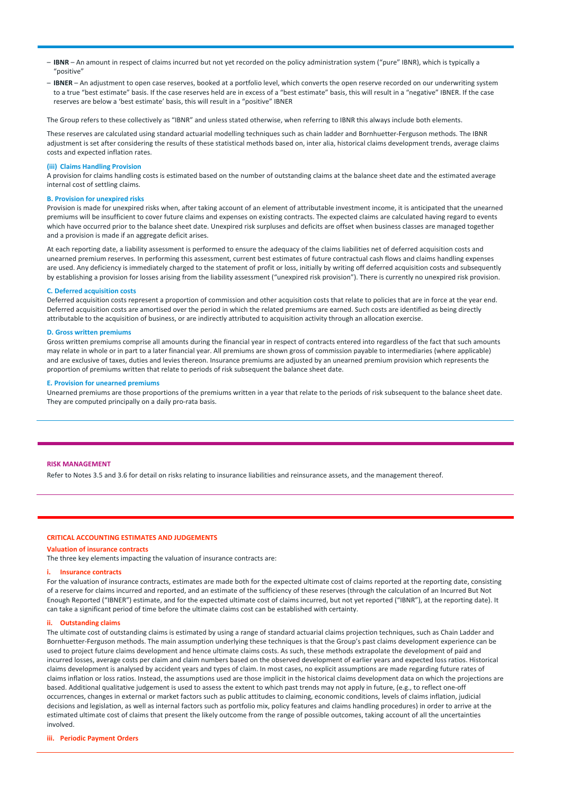- **IBNR** An amount in respect of claims incurred but not yet recorded on the policy administration system ("pure" IBNR), which is typically a "positive"
- **IBNER** An adjustment to open case reserves, booked at a portfolio level, which converts the open reserve recorded on our underwriting system to a true "best estimate" basis. If the case reserves held are in excess of a "best estimate" basis, this will result in a "negative" IBNER. If the case reserves are below a 'best estimate' basis, this will result in a "positive" IBNER

The Group refers to these collectively as "IBNR" and unless stated otherwise, when referring to IBNR this always include both elements.

These reserves are calculated using standard actuarial modelling techniques such as chain ladder and Bornhuetter‐Ferguson methods. The IBNR adjustment is set after considering the results of these statistical methods based on, inter alia, historical claims development trends, average claims costs and expected inflation rates.

### **(iii) Claims Handling Provision**

A provision for claims handling costs is estimated based on the number of outstanding claims at the balance sheet date and the estimated average internal cost of settling claims.

### **B. Provision for unexpired risks**

Provision is made for unexpired risks when, after taking account of an element of attributable investment income, it is anticipated that the unearned premiums will be insufficient to cover future claims and expenses on existing contracts. The expected claims are calculated having regard to events which have occurred prior to the balance sheet date. Unexpired risk surpluses and deficits are offset when business classes are managed together and a provision is made if an aggregate deficit arises.

At each reporting date, a liability assessment is performed to ensure the adequacy of the claims liabilities net of deferred acquisition costs and unearned premium reserves. In performing this assessment, current best estimates of future contractual cash flows and claims handling expenses are used. Any deficiency is immediately charged to the statement of profit or loss, initially by writing off deferred acquisition costs and subsequently by establishing a provision for losses arising from the liability assessment ("unexpired risk provision"). There is currently no unexpired risk provision.

#### **C. Deferred acquisition costs**

Deferred acquisition costs represent a proportion of commission and other acquisition costs that relate to policies that are in force at the year end. Deferred acquisition costs are amortised over the period in which the related premiums are earned. Such costs are identified as being directly attributable to the acquisition of business, or are indirectly attributed to acquisition activity through an allocation exercise.

#### **D. Gross written premiums**

Gross written premiums comprise all amounts during the financial year in respect of contracts entered into regardless of the fact that such amounts may relate in whole or in part to a later financial year. All premiums are shown gross of commission payable to intermediaries (where applicable) and are exclusive of taxes, duties and levies thereon. Insurance premiums are adjusted by an unearned premium provision which represents the proportion of premiums written that relate to periods of risk subsequent the balance sheet date.

#### **E. Provision for unearned premiums**

Unearned premiums are those proportions of the premiums written in a year that relate to the periods of risk subsequent to the balance sheet date. They are computed principally on a daily pro-rata basis.

#### **RISK MANAGEMENT**

Refer to Notes 3.5 and 3.6 for detail on risks relating to insurance liabilities and reinsurance assets, and the management thereof.

#### **CRITICAL ACCOUNTING ESTIMATES AND JUDGEMENTS**

### **Valuation of insurance contracts**

The three key elements impacting the valuation of insurance contracts are:

#### **i. Insurance contracts**

For the valuation of insurance contracts, estimates are made both for the expected ultimate cost of claims reported at the reporting date, consisting of a reserve for claims incurred and reported, and an estimate of the sufficiency of these reserves (through the calculation of an Incurred But Not Enough Reported ("IBNER") estimate, and for the expected ultimate cost of claims incurred, but not yet reported ("IBNR"), at the reporting date). It can take a significant period of time before the ultimate claims cost can be established with certainty.

### **ii. Outstanding claims**

The ultimate cost of outstanding claims is estimated by using a range of standard actuarial claims projection techniques, such as Chain Ladder and Bornhuetter‐Ferguson methods. The main assumption underlying these techniques is that the Group's past claims development experience can be used to project future claims development and hence ultimate claims costs. As such, these methods extrapolate the development of paid and incurred losses, average costs per claim and claim numbers based on the observed development of earlier years and expected loss ratios. Historical claims development is analysed by accident years and types of claim. In most cases, no explicit assumptions are made regarding future rates of claims inflation or loss ratios. Instead, the assumptions used are those implicit in the historical claims development data on which the projections are based. Additional qualitative judgement is used to assess the extent to which past trends may not apply in future, (e.g., to reflect one‐off occurrences, changes in external or market factors such as public attitudes to claiming, economic conditions, levels of claims inflation, judicial decisions and legislation, as well as internal factors such as portfolio mix, policy features and claims handling procedures) in order to arrive at the estimated ultimate cost of claims that present the likely outcome from the range of possible outcomes, taking account of all the uncertainties involved.

#### **iii. Periodic Payment Orders**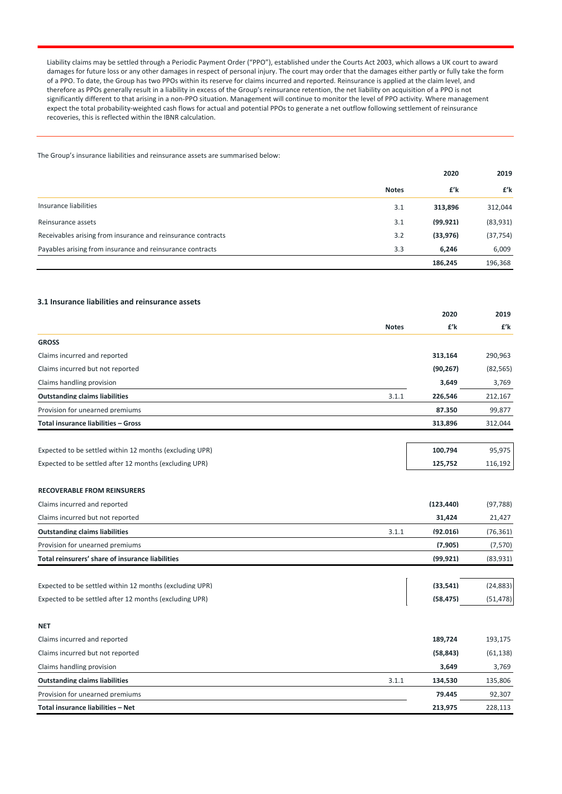Liability claims may be settled through a Periodic Payment Order ("PPO"), established under the Courts Act 2003, which allows a UK court to award damages for future loss or any other damages in respect of personal injury. The court may order that the damages either partly or fully take the form of a PPO. To date, the Group has two PPOs within its reserve for claims incurred and reported. Reinsurance is applied at the claim level, and therefore as PPOs generally result in a liability in excess of the Group's reinsurance retention, the net liability on acquisition of a PPO is not significantly different to that arising in a non-PPO situation. Management will continue to monitor the level of PPO activity. Where management expect the total probability‐weighted cash flows for actual and potential PPOs to generate a net outflow following settlement of reinsurance recoveries, this is reflected within the IBNR calculation.

The Group's insurance liabilities and reinsurance assets are summarised below:

|                                                              |              | 2020     |           |
|--------------------------------------------------------------|--------------|----------|-----------|
|                                                              | <b>Notes</b> | £'k      | £'k       |
| Insurance liabilities                                        | 3.1          | 313,896  | 312,044   |
| Reinsurance assets                                           | 3.1          | (99.921) | (83,931)  |
| Receivables arising from insurance and reinsurance contracts | 3.2          | (33.976) | (37, 754) |
| Payables arising from insurance and reinsurance contracts    | 3.3          | 6.246    | 6,009     |
|                                                              |              | 186.245  | 196.368   |

### **3.1 Insurance liabilities and reinsurance assets**

|                                                         |              | 2020       | 2019      |
|---------------------------------------------------------|--------------|------------|-----------|
|                                                         | <b>Notes</b> | £'k        | £'k       |
| <b>GROSS</b>                                            |              |            |           |
| Claims incurred and reported                            |              | 313,164    | 290,963   |
| Claims incurred but not reported                        |              | (90.267)   | (82, 565) |
| Claims handling provision                               |              | 3,649      | 3,769     |
| <b>Outstanding claims liabilities</b>                   | 3.1.1        | 226.546    | 212,167   |
| Provision for unearned premiums                         |              | 87.350     | 99,877    |
| <b>Total insurance liabilities - Gross</b>              |              | 313.896    | 312,044   |
| Expected to be settled within 12 months (excluding UPR) |              | 100.794    | 95.975    |
| Expected to be settled after 12 months (excluding UPR)  |              | 125,752    | 116,192   |
| <b>RECOVERABLE FROM REINSURERS</b>                      |              |            |           |
| Claims incurred and reported                            |              | (123, 440) | (97, 788) |
| Claims incurred but not reported                        |              | 31,424     | 21,427    |
| <b>Outstanding claims liabilities</b>                   | 3.1.1        | (92.016)   | (76, 361) |
| Provision for unearned premiums                         |              | (7.905)    | (7.570)   |
| Total reinsurers' share of insurance liabilities        |              | (99.921)   | (83.931)  |
| Expected to be settled within 12 months (excluding UPR) |              | (33.541)   | (24, 883) |
| Expected to be settled after 12 months (excluding UPR)  |              | (58, 475)  | (51, 478) |
| <b>NET</b>                                              |              |            |           |
| Claims incurred and reported                            |              | 189,724    | 193,175   |
| Claims incurred but not reported                        |              | (58, 843)  | (61, 138) |
| Claims handling provision                               |              | 3.649      | 3,769     |
| <b>Outstanding claims liabilities</b>                   | 3.1.1        | 134.530    | 135,806   |
| Provision for unearned premiums                         |              | 79.445     | 92.307    |
| Total insurance liabilities - Net                       |              | 213.975    | 228,113   |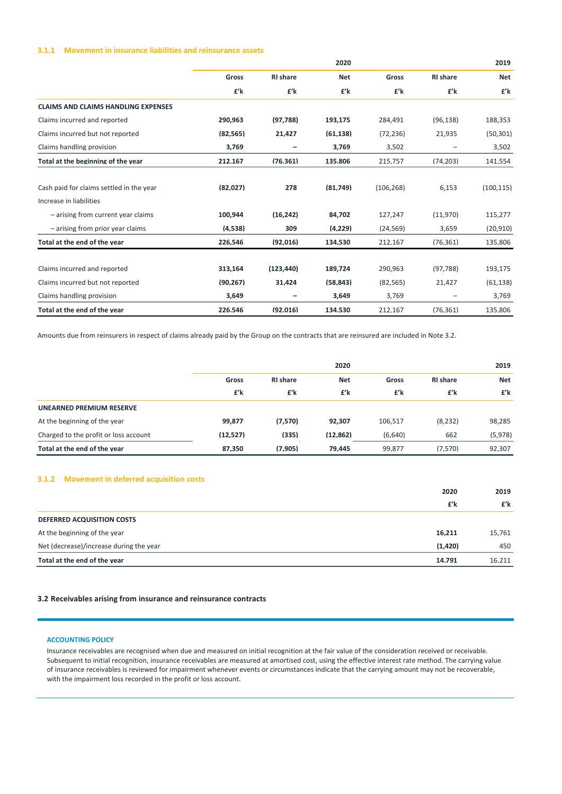### **3.1.1 Movement in insurance liabilities and reinsurance assets**

|                                            | 2020      |                   |            |            |                 | 2019       |
|--------------------------------------------|-----------|-------------------|------------|------------|-----------------|------------|
|                                            | Gross     | <b>RI</b> share   | <b>Net</b> | Gross      | <b>RI</b> share | <b>Net</b> |
|                                            | £'k       | £'k               | £'k        | £'k        | £'k             | £'k        |
| <b>CLAIMS AND CLAIMS HANDLING EXPENSES</b> |           |                   |            |            |                 |            |
| Claims incurred and reported               | 290.963   | (97.788)          | 193.175    | 284.491    | (96, 138)       | 188,353    |
| Claims incurred but not reported           | (82, 565) | 21,427            | (61, 138)  | (72, 236)  | 21,935          | (50, 301)  |
| Claims handling provision                  | 3,769     | $\qquad \qquad -$ | 3,769      | 3,502      |                 | 3,502      |
| Total at the beginning of the year         | 212.167   | (76.361)          | 135.806    | 215,757    | (74, 203)       | 141,554    |
| Cash paid for claims settled in the year   | (82,027)  | 278               | (81.749)   | (106, 268) | 6,153           | (100, 115) |
| Increase in liabilities                    |           |                   |            |            |                 |            |
| - arising from current year claims         | 100.944   | (16.242)          | 84.702     | 127,247    | (11,970)        | 115,277    |
| - arising from prior year claims           | (4.538)   | 309               | (4.229)    | (24, 569)  | 3,659           | (20, 910)  |
| Total at the end of the year               | 226.546   | (92.016)          | 134.530    | 212.167    | (76.361)        | 135.806    |
| Claims incurred and reported               | 313.164   | (123.440)         | 189.724    | 290,963    | (97.788)        | 193,175    |
| Claims incurred but not reported           | (90.267)  | 31.424            | (58.843)   | (82, 565)  | 21,427          | (61, 138)  |
| Claims handling provision                  | 3.649     | -                 | 3.649      | 3,769      | -               | 3,769      |
| Total at the end of the year               | 226.546   | (92.016)          | 134.530    | 212,167    | (76.361)        | 135.806    |

Amounts due from reinsurers in respect of claims already paid by the Group on the contracts that are reinsured are included in Note 3.2.

|                                       |           | 2020            |            |         |                 | 2019       |
|---------------------------------------|-----------|-----------------|------------|---------|-----------------|------------|
|                                       | Gross     | <b>RI</b> share | <b>Net</b> | Gross   | <b>RI</b> share | <b>Net</b> |
|                                       | £'k       | £'k             | £'k        | £'k     | £'k             | £'k        |
| UNEARNED PREMIUM RESERVE              |           |                 |            |         |                 |            |
| At the beginning of the year          | 99.877    | (7.570)         | 92.307     | 106,517 | (8, 232)        | 98,285     |
| Charged to the profit or loss account | (12, 527) | (335)           | (12.862)   | (6,640) | 662             | (5,978)    |
| Total at the end of the year          | 87.350    | (7.905)         | 79.445     | 99.877  | (7.570)         | 92.307     |

## **3.1.2 Movement in deferred acquisition costs**

| Total at the end of the year            | 14.791   | 16.211 |
|-----------------------------------------|----------|--------|
| Net (decrease)/increase during the year | (1, 420) | 450    |
| At the beginning of the year            | 16,211   | 15,761 |
| <b>DEFERRED ACQUISITION COSTS</b>       |          |        |
|                                         | £'k      | £'k    |
|                                         | 2020     | 2019   |

### **3.2 Receivables arising from insurance and reinsurance contracts**

### **ACCOUNTING POLICY**

Insurance receivables are recognised when due and measured on initial recognition at the fair value of the consideration received or receivable. Subsequent to initial recognition, insurance receivables are measured at amortised cost, using the effective interest rate method. The carrying value of insurance receivables is reviewed for impairment whenever events or circumstances indicate that the carrying amount may not be recoverable, with the impairment loss recorded in the profit or loss account.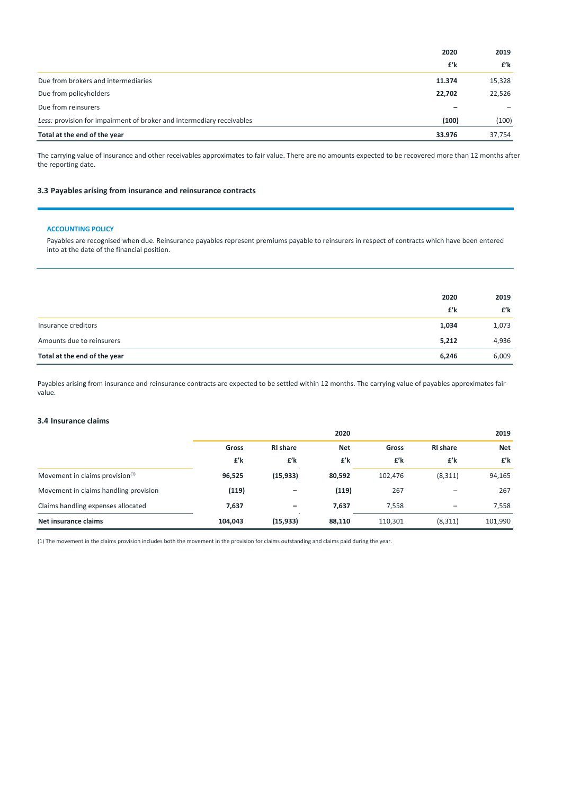|                                                                       | 2020   | 2019   |
|-----------------------------------------------------------------------|--------|--------|
|                                                                       | £'k    | £'k    |
| Due from brokers and intermediaries                                   | 11.374 | 15.328 |
| Due from policyholders                                                | 22.702 | 22,526 |
| Due from reinsurers                                                   |        |        |
| Less: provision for impairment of broker and intermediary receivables | (100)  | (100)  |
| Total at the end of the year                                          | 33.976 | 37.754 |

The carrying value of insurance and other receivables approximates to fair value. There are no amounts expected to be recovered more than 12 months after the reporting date.

## **3.3 Payables arising from insurance and reinsurance contracts**

### **ACCOUNTING POLICY**

Payables are recognised when due. Reinsurance payables represent premiums payable to reinsurers in respect of contracts which have been entered into at the date of the financial position.

|                              | 2020  | 2019  |
|------------------------------|-------|-------|
|                              | £'k   | £'k   |
| Insurance creditors          | 1,034 | 1,073 |
| Amounts due to reinsurers    | 5,212 | 4,936 |
| Total at the end of the year | 6,246 | 6,009 |

Payables arising from insurance and reinsurance contracts are expected to be settled within 12 months. The carrying value of payables approximates fair value.

### **3.4 Insurance claims**

|                                             |         |                   | 2020       |         |                 | 2019       |  |
|---------------------------------------------|---------|-------------------|------------|---------|-----------------|------------|--|
|                                             | Gross   | <b>RI</b> share   | <b>Net</b> | Gross   | <b>RI</b> share | <b>Net</b> |  |
|                                             | £'k     | £'k               | £'k        | £'k     | £'k             | £'k        |  |
| Movement in claims provision <sup>(1)</sup> | 96,525  | (15, 933)         | 80,592     | 102,476 | (8, 311)        | 94,165     |  |
| Movement in claims handling provision       | (119)   | $\qquad \qquad -$ | (119)      | 267     |                 | 267        |  |
| Claims handling expenses allocated          | 7,637   | $\qquad \qquad -$ | 7,637      | 7,558   |                 | 7,558      |  |
| Net insurance claims                        | 104,043 | (15, 933)         | 88,110     | 110,301 | (8, 311)        | 101,990    |  |

(1) The movement in the claims provision includes both the movement in the provision for claims outstanding and claims paid during the year.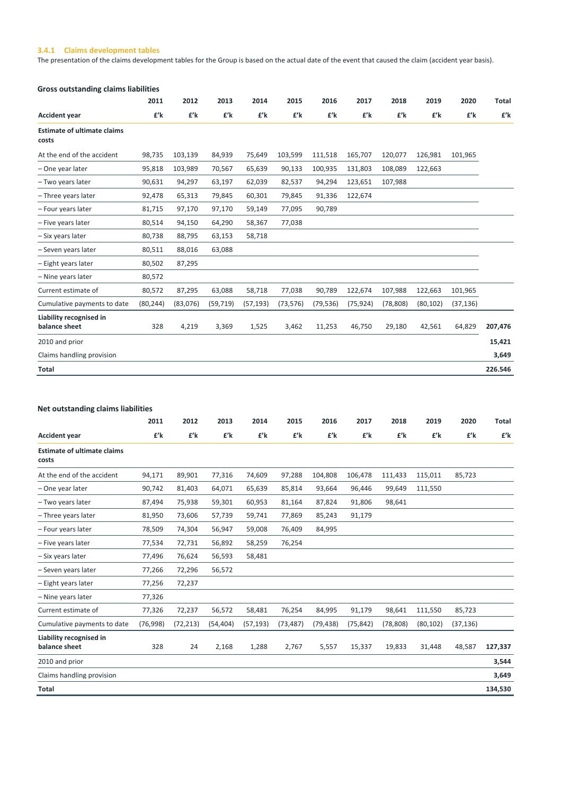## **3.4.1 Claims development tables**

The presentation of the claims development tables for the Group is based on the actual date of the event that caused the claim (accident year basis).

| <b>Gross outstanding claims liabilities</b> |           |          |           |           |           |           |           |           |           |           |              |
|---------------------------------------------|-----------|----------|-----------|-----------|-----------|-----------|-----------|-----------|-----------|-----------|--------------|
|                                             | 2011      | 2012     | 2013      | 2014      | 2015      | 2016      | 2017      | 2018      | 2019      | 2020      | <b>Total</b> |
| <b>Accident year</b>                        | £'k       | £'k      | £'k       | £'k       | £'k       | £'k       | £'k       | £'k       | £'k       | £'k       | £'k          |
| <b>Estimate of ultimate claims</b><br>costs |           |          |           |           |           |           |           |           |           |           |              |
| At the end of the accident                  | 98,735    | 103,139  | 84,939    | 75,649    | 103,599   | 111,518   | 165,707   | 120,077   | 126,981   | 101,965   |              |
| - One year later                            | 95,818    | 103,989  | 70,567    | 65,639    | 90,133    | 100,935   | 131,803   | 108,089   | 122,663   |           |              |
| - Two years later                           | 90,631    | 94,297   | 63,197    | 62,039    | 82,537    | 94,294    | 123,651   | 107,988   |           |           |              |
| - Three years later                         | 92,478    | 65,313   | 79,845    | 60,301    | 79,845    | 91,336    | 122,674   |           |           |           |              |
| - Four years later                          | 81,715    | 97,170   | 97,170    | 59,149    | 77,095    | 90,789    |           |           |           |           |              |
| - Five years later                          | 80,514    | 94,150   | 64,290    | 58,367    | 77,038    |           |           |           |           |           |              |
| - Six years later                           | 80,738    | 88,795   | 63,153    | 58,718    |           |           |           |           |           |           |              |
| - Seven years later                         | 80,511    | 88,016   | 63,088    |           |           |           |           |           |           |           |              |
| - Eight years later                         | 80,502    | 87,295   |           |           |           |           |           |           |           |           |              |
| - Nine years later                          | 80,572    |          |           |           |           |           |           |           |           |           |              |
| Current estimate of                         | 80,572    | 87,295   | 63,088    | 58,718    | 77,038    | 90,789    | 122,674   | 107,988   | 122,663   | 101,965   |              |
| Cumulative payments to date                 | (80, 244) | (83,076) | (59, 719) | (57, 193) | (73, 576) | (79, 536) | (75, 924) | (78, 808) | (80, 102) | (37, 136) |              |
| Liability recognised in<br>balance sheet    | 328       | 4,219    | 3,369     | 1,525     | 3,462     | 11,253    | 46,750    | 29,180    | 42,561    | 64,829    | 207,476      |
| 2010 and prior                              |           |          |           |           |           |           |           |           |           |           | 15,421       |
| Claims handling provision                   |           |          |           |           |           |           |           |           |           |           | 3,649        |
| Total                                       |           |          |           |           |           |           |           |           |           |           | 226.546      |

|                                             | 2011     | 2012      | 2013      | 2014      | 2015      | 2016      | 2017      | 2018      | 2019      | 2020      | Total   |
|---------------------------------------------|----------|-----------|-----------|-----------|-----------|-----------|-----------|-----------|-----------|-----------|---------|
| <b>Accident year</b>                        | £'k      | £'k       | £'k       | £'k       | £'k       | £'k       | £'k       | £'k       | £'k       | £'k       | £'k     |
| <b>Estimate of ultimate claims</b><br>costs |          |           |           |           |           |           |           |           |           |           |         |
| At the end of the accident                  | 94,171   | 89,901    | 77,316    | 74,609    | 97,288    | 104,808   | 106,478   | 111,433   | 115,011   | 85,723    |         |
| - One year later                            | 90,742   | 81,403    | 64,071    | 65,639    | 85,814    | 93,664    | 96,446    | 99,649    | 111,550   |           |         |
| - Two vears later                           | 87,494   | 75,938    | 59,301    | 60,953    | 81,164    | 87,824    | 91,806    | 98,641    |           |           |         |
| - Three years later                         | 81,950   | 73,606    | 57,739    | 59,741    | 77,869    | 85,243    | 91,179    |           |           |           |         |
| - Four years later                          | 78,509   | 74,304    | 56,947    | 59,008    | 76,409    | 84,995    |           |           |           |           |         |
| - Five years later                          | 77,534   | 72,731    | 56,892    | 58,259    | 76,254    |           |           |           |           |           |         |
| - Six vears later                           | 77,496   | 76,624    | 56,593    | 58,481    |           |           |           |           |           |           |         |
| - Seven years later                         | 77,266   | 72,296    | 56,572    |           |           |           |           |           |           |           |         |
| - Eight years later                         | 77,256   | 72,237    |           |           |           |           |           |           |           |           |         |
| - Nine years later                          | 77,326   |           |           |           |           |           |           |           |           |           |         |
| Current estimate of                         | 77,326   | 72,237    | 56,572    | 58,481    | 76,254    | 84,995    | 91,179    | 98,641    | 111,550   | 85,723    |         |
| Cumulative payments to date                 | (76,998) | (72, 213) | (54, 404) | (57, 193) | (73, 487) | (79, 438) | (75, 842) | (78, 808) | (80, 102) | (37, 136) |         |
| Liability recognised in<br>balance sheet    | 328      | 24        | 2,168     | 1,288     | 2,767     | 5,557     | 15,337    | 19,833    | 31,448    | 48,587    | 127,337 |
| 2010 and prior                              |          |           |           |           |           |           |           |           |           |           | 3,544   |
| Claims handling provision                   |          |           |           |           |           |           |           |           |           |           | 3,649   |
| Total                                       |          |           |           |           |           |           |           |           |           |           | 134,530 |
|                                             |          |           |           |           |           |           |           |           |           |           |         |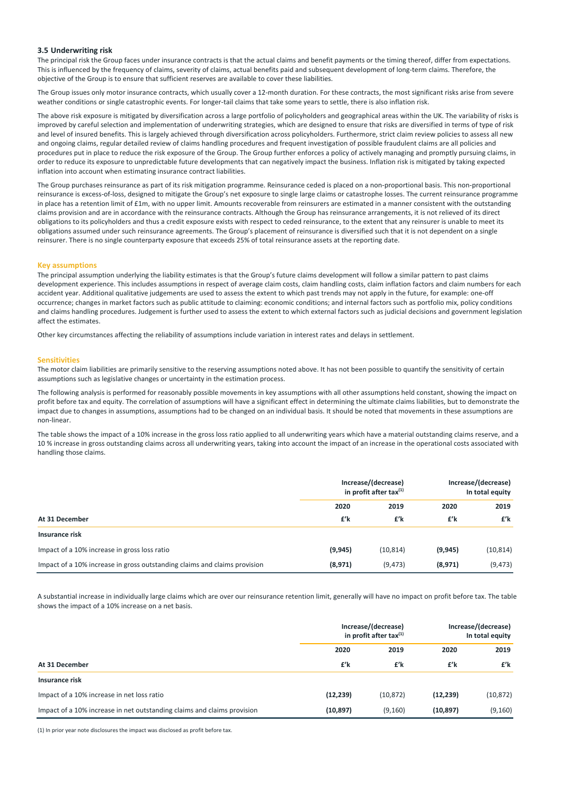### **3.5 Underwriting risk**

The principal risk the Group faces under insurance contracts is that the actual claims and benefit payments or the timing thereof, differ from expectations. This is influenced by the frequency of claims, severity of claims, actual benefits paid and subsequent development of long‐term claims. Therefore, the objective of the Group is to ensure that sufficient reserves are available to cover these liabilities.

The Group issues only motor insurance contracts, which usually cover a 12-month duration. For these contracts, the most significant risks arise from severe weather conditions or single catastrophic events. For longer-tail claims that take some years to settle, there is also inflation risk.

The above risk exposure is mitigated by diversification across a large portfolio of policyholders and geographical areas within the UK. The variability of risks is improved by careful selection and implementation of underwriting strategies, which are designed to ensure that risks are diversified in terms of type of risk and level of insured benefits. This is largely achieved through diversification across policyholders. Furthermore, strict claim review policies to assess all new and ongoing claims, regular detailed review of claims handling procedures and frequent investigation of possible fraudulent claims are all policies and procedures put in place to reduce the risk exposure of the Group. The Group further enforces a policy of actively managing and promptly pursuing claims, in order to reduce its exposure to unpredictable future developments that can negatively impact the business. Inflation risk is mitigated by taking expected inflation into account when estimating insurance contract liabilities.

The Group purchases reinsurance as part of its risk mitigation programme. Reinsurance ceded is placed on a non-proportional basis. This non-proportional reinsurance is excess‐of‐loss, designed to mitigate the Group's net exposure to single large claims or catastrophe losses. The current reinsurance programme in place has a retention limit of £1m, with no upper limit. Amounts recoverable from reinsurers are estimated in a manner consistent with the outstanding claims provision and are in accordance with the reinsurance contracts. Although the Group has reinsurance arrangements, it is not relieved of its direct obligations to its policyholders and thus a credit exposure exists with respect to ceded reinsurance, to the extent that any reinsurer is unable to meet its obligations assumed under such reinsurance agreements. The Group's placement of reinsurance is diversified such that it is not dependent on a single reinsurer. There is no single counterparty exposure that exceeds 25% of total reinsurance assets at the reporting date.

### **Key assumptions**

The principal assumption underlying the liability estimates is that the Group's future claims development will follow a similar pattern to past claims development experience. This includes assumptions in respect of average claim costs, claim handling costs, claim inflation factors and claim numbers for each accident year. Additional qualitative judgements are used to assess the extent to which past trends may not apply in the future, for example: one-off occurrence; changes in market factors such as public attitude to claiming: economic conditions; and internal factors such as portfolio mix, policy conditions and claims handling procedures. Judgement is further used to assess the extent to which external factors such as judicial decisions and government legislation affect the estimates.

Other key circumstances affecting the reliability of assumptions include variation in interest rates and delays in settlement.

#### **Sensitivities**

The motor claim liabilities are primarily sensitive to the reserving assumptions noted above. It has not been possible to quantify the sensitivity of certain assumptions such as legislative changes or uncertainty in the estimation process.

The following analysis is performed for reasonably possible movements in key assumptions with all other assumptions held constant, showing the impact on profit before tax and equity. The correlation of assumptions will have a significant effect in determining the ultimate claims liabilities, but to demonstrate the impact due to changes in assumptions, assumptions had to be changed on an individual basis. It should be noted that movements in these assumptions are non‐linear.

The table shows the impact of a 10% increase in the gross loss ratio applied to all underwriting years which have a material outstanding claims reserve, and a 10 % increase in gross outstanding claims across all underwriting years, taking into account the impact of an increase in the operational costs associated with handling those claims.

|                                                                           |          | Increase/(decrease)<br>in profit after tax $(1)$ | Increase/(decrease)<br>In total equity |           |  |
|---------------------------------------------------------------------------|----------|--------------------------------------------------|----------------------------------------|-----------|--|
|                                                                           | 2020     | 2019                                             | 2020                                   | 2019      |  |
| At 31 December                                                            | £'k      | £'k                                              | £'k                                    | £'k       |  |
| Insurance risk                                                            |          |                                                  |                                        |           |  |
| Impact of a 10% increase in gross loss ratio                              | (9, 945) | (10, 814)                                        | (9, 945)                               | (10, 814) |  |
| Impact of a 10% increase in gross outstanding claims and claims provision | (8,971)  | (9, 473)                                         | (8,971)                                | (9, 473)  |  |

A substantial increase in individually large claims which are over our reinsurance retention limit, generally will have no impact on profit before tax. The table shows the impact of a 10% increase on a net basis.

|                                                                         |           | Increase/(decrease)<br>in profit after tax $(1)$ | Increase/(decrease)<br>In total equity |           |  |
|-------------------------------------------------------------------------|-----------|--------------------------------------------------|----------------------------------------|-----------|--|
|                                                                         | 2020      | 2019                                             | 2020                                   | 2019      |  |
| At 31 December                                                          | £'k       | £'k                                              | £'k                                    | £'k       |  |
| <b>Insurance risk</b>                                                   |           |                                                  |                                        |           |  |
| Impact of a 10% increase in net loss ratio                              | (12, 239) | (10, 872)                                        | (12, 239)                              | (10, 872) |  |
| Impact of a 10% increase in net outstanding claims and claims provision | (10, 897) | (9, 160)                                         | (10, 897)                              | (9, 160)  |  |

(1) In prior year note disclosures the impact was disclosed as profit before tax.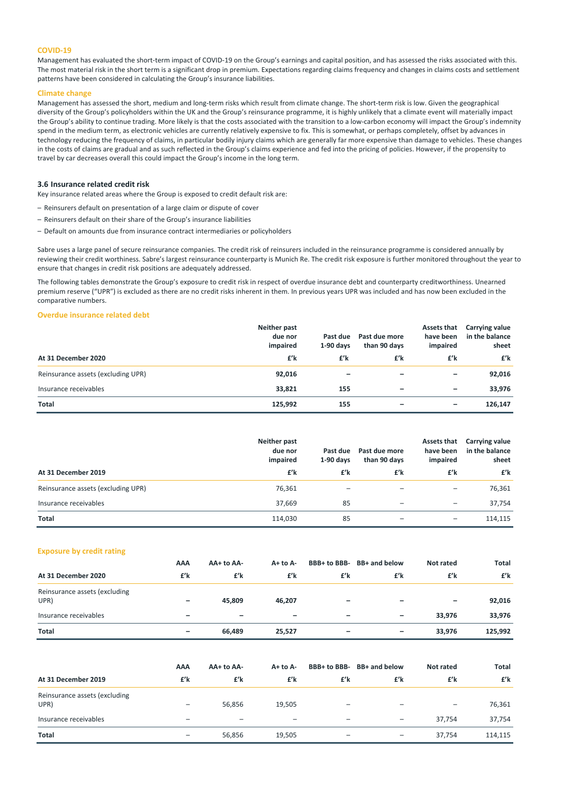### **COVID‐19**

Management has evaluated the short-term impact of COVID-19 on the Group's earnings and capital position, and has assessed the risks associated with this. The most material risk in the short term is a significant drop in premium. Expectations regarding claims frequency and changes in claims costs and settlement patterns have been considered in calculating the Group's insurance liabilities.

### **Climate change**

Management has assessed the short, medium and long-term risks which result from climate change. The short-term risk is low. Given the geographical diversity of the Group's policyholders within the UK and the Group's reinsurance programme, it is highly unlikely that a climate event will materially impact the Group's ability to continue trading. More likely is that the costs associated with the transition to a low-carbon economy will impact the Group's indemnity spend in the medium term, as electronic vehicles are currently relatively expensive to fix. This is somewhat, or perhaps completely, offset by advances in technology reducing the frequency of claims, in particular bodily injury claims which are generally far more expensive than damage to vehicles. These changes in the costs of claims are gradual and as such reflected in the Group's claims experience and fed into the pricing of policies. However, if the propensity to travel by car decreases overall this could impact the Group's income in the long term.

#### **3.6 Insurance related credit risk**

Key insurance related areas where the Group is exposed to credit default risk are:

- Reinsurers default on presentation of a large claim or dispute of cover
- Reinsurers default on their share of the Group's insurance liabilities
- Default on amounts due from insurance contract intermediaries or policyholders

Sabre uses a large panel of secure reinsurance companies. The credit risk of reinsurers included in the reinsurance programme is considered annually by reviewing their credit worthiness. Sabre's largest reinsurance counterparty is Munich Re. The credit risk exposure is further monitored throughout the year to ensure that changes in credit risk positions are adequately addressed.

The following tables demonstrate the Group's exposure to credit risk in respect of overdue insurance debt and counterparty creditworthiness. Unearned premium reserve ("UPR") is excluded as there are no credit risks inherent in them. In previous years UPR was included and has now been excluded in the comparative numbers.

### **Overdue insurance related debt**

|                                    | Neither past<br>due nor<br>impaired | Past due<br>$1-90$ days | Past due more<br>than 90 days | Assets that<br>have been<br>impaired | Carrying value<br>in the balance<br>sheet |
|------------------------------------|-------------------------------------|-------------------------|-------------------------------|--------------------------------------|-------------------------------------------|
| At 31 December 2020                | £'k                                 | £'k                     | £'k                           | £'k                                  | £'k                                       |
| Reinsurance assets (excluding UPR) | 92,016                              |                         |                               | -                                    | 92,016                                    |
| Insurance receivables              | 33,821                              | 155                     | -                             | $\overline{\phantom{0}}$             | 33,976                                    |
| <b>Total</b>                       | 125,992                             | 155                     | -                             | -                                    | 126,147                                   |

|                                    | Neither past<br>due nor<br>impaired | Past due<br>$1-90$ days | Past due more<br>than 90 days | Assets that<br>have been<br>impaired | Carrying value<br>in the balance<br>sheet |
|------------------------------------|-------------------------------------|-------------------------|-------------------------------|--------------------------------------|-------------------------------------------|
| At 31 December 2019                | £'k                                 | £'k                     | £'k                           | £'k                                  | £'k                                       |
| Reinsurance assets (excluding UPR) | 76,361                              |                         |                               | $\overline{\phantom{0}}$             | 76,361                                    |
| Insurance receivables              | 37.669                              | 85                      | $\overline{\phantom{0}}$      | $\qquad \qquad -$                    | 37.754                                    |
| <b>Total</b>                       | 114,030                             | 85                      |                               | $\overline{\phantom{0}}$             | 114,115                                   |

### **Exposure by credit rating**

|                                       | AAA             | AA+ to AA-               | $A+$ to $A-$      |                 | BBB+ to BBB- BB+ and below | Not rated                | Total   |
|---------------------------------------|-----------------|--------------------------|-------------------|-----------------|----------------------------|--------------------------|---------|
| At 31 December 2020                   | £'k             | £'k                      | £'k               | £'k             | £'k                        | £'k                      | £'k     |
| Reinsurance assets (excluding<br>UPR) | -               | 45.809                   | 46,207            | -               | -                          | $\overline{\phantom{m}}$ | 92,016  |
| Insurance receivables                 | $\qquad \qquad$ | $\overline{\phantom{0}}$ | $\qquad \qquad -$ | $\qquad \qquad$ | $\overline{\phantom{0}}$   | 33,976                   | 33,976  |
| <b>Total</b>                          | $\qquad \qquad$ | 66.489                   | 25,527            |                 | $\overline{\phantom{0}}$   | 33,976                   | 125,992 |

|                                       | AAA                      | AA+ to AA- | $A+$ to $A-$             | BBB+ to BBB- | BB+ and below | Not rated | Total   |
|---------------------------------------|--------------------------|------------|--------------------------|--------------|---------------|-----------|---------|
| At 31 December 2019                   | £'k                      | £'k        | £'k                      | £'k          | £'k           | £'k       | £'k     |
| Reinsurance assets (excluding<br>UPR) | -                        | 56,856     | 19,505                   |              |               |           | 76,361  |
| Insurance receivables                 |                          |            | $\overline{\phantom{m}}$ |              |               | 37.754    | 37,754  |
| <b>Total</b>                          | $\overline{\phantom{0}}$ | 56,856     | 19,505                   | -            |               | 37.754    | 114,115 |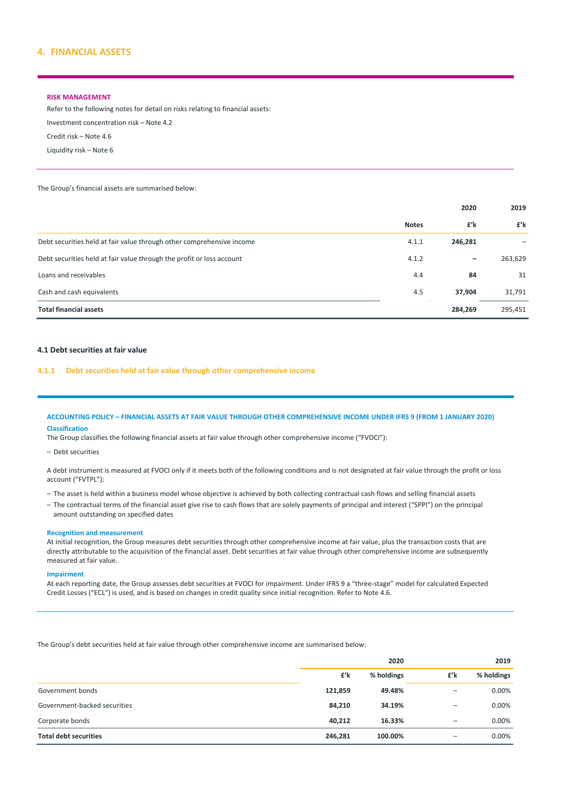### **4. FINANCIAL ASSETS**

### **RISK MANAGEMENT**

Refer to the following notes for detail on risks relating to financial assets: Investment concentration risk – Note 4.2 Credit risk – Note 4.6 Liquidity risk – Note 6

The Group's financial assets are summarised below:

|                                                                       |              | 2020                     | 2019    |
|-----------------------------------------------------------------------|--------------|--------------------------|---------|
|                                                                       | <b>Notes</b> | £'k                      | £'k     |
| Debt securities held at fair value through other comprehensive income | 4.1.1        | 246,281                  |         |
| Debt securities held at fair value through the profit or loss account | 4.1.2        | $\overline{\phantom{m}}$ | 263,629 |
| Loans and receivables                                                 | 4.4          | 84                       | 31      |
| Cash and cash equivalents                                             | 4.5          | 37,904                   | 31,791  |
| <b>Total financial assets</b>                                         |              | 284,269                  | 295,451 |

### **4.1 Debt securities at fair value**

### **4.1.1 Debt securities held at fair value through other comprehensive income**

### ACCOUNTING POLICY - FINANCIAL ASSETS AT FAIR VALUE THROUGH OTHER COMPREHENSIVE INCOME UNDER IFRS 9 (FROM 1 JANUARY 2020) **Classification**

The Group classifies the following financial assets at fair value through other comprehensive income ("FVOCI"):

– Debt securities

A debt instrument is measured at FVOCI only if it meets both of the following conditions and is not designated at fair value through the profit or loss account ("FVTPL"):

- The asset is held within a business model whose objective is achieved by both collecting contractual cash flows and selling financial assets
- The contractual terms of the financial asset give rise to cash flows that are solely payments of principal and interest ("SPPI") on the principal amount outstanding on specified dates

#### **Recognition and measurement**

At initial recognition, the Group measures debt securities through other comprehensive income at fair value, plus the transaction costs that are directly attributable to the acquisition of the financial asset. Debt securities at fair value through other comprehensive income are subsequently measured at fair value.

### **Impairment**

At each reporting date, the Group assesses debt securities at FVOCI for impairment. Under IFRS 9 a "three‐stage" model for calculated Expected Credit Losses ("ECL") is used, and is based on changes in credit quality since initial recognition. Refer to Note 4.6.

The Group's debt securities held at fair value through other comprehensive income are summarised below:

|                              |         | 2020       |                   | 2019       |  |
|------------------------------|---------|------------|-------------------|------------|--|
|                              | £'k     | % holdings | £'k               | % holdings |  |
| Government bonds             | 121,859 | 49.48%     | $\qquad \qquad -$ | 0.00%      |  |
| Government-backed securities | 84,210  | 34.19%     | $\qquad \qquad$   | 0.00%      |  |
| Corporate bonds              | 40,212  | 16.33%     |                   | 0.00%      |  |
| <b>Total debt securities</b> | 246,281 | 100.00%    | $\qquad \qquad -$ | 0.00%      |  |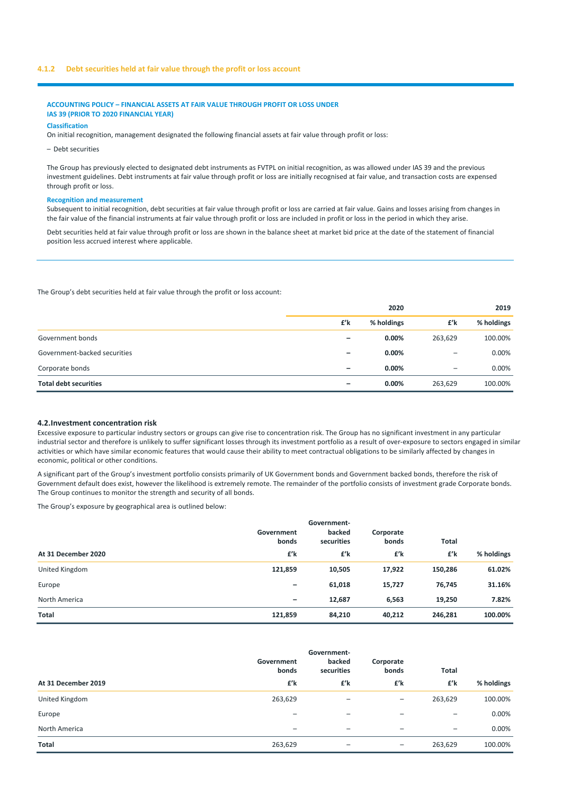### **4.1.2 Debt securities held at fair value through the profit or loss account**

### **ACCOUNTING POLICY – FINANCIAL ASSETS AT FAIR VALUE THROUGH PROFIT OR LOSS UNDER IAS 39 (PRIOR TO 2020 FINANCIAL YEAR)**

**Classification**

On initial recognition, management designated the following financial assets at fair value through profit or loss:

– Debt securities

The Group has previously elected to designated debt instruments as FVTPL on initial recognition, as was allowed under IAS 39 and the previous investment guidelines. Debt instruments at fair value through profit or loss are initially recognised at fair value, and transaction costs are expensed through profit or loss.

#### **Recognition and measurement**

Subsequent to initial recognition, debt securities at fair value through profit or loss are carried at fair value. Gains and losses arising from changes in the fair value of the financial instruments at fair value through profit or loss are included in profit or loss in the period in which they arise.

Debt securities held at fair value through profit or loss are shown in the balance sheet at market bid price at the date of the statement of financial position less accrued interest where applicable.

The Group's debt securities held at fair value through the profit or loss account:

|                              |                          | 2020       |                   | 2019       |  |
|------------------------------|--------------------------|------------|-------------------|------------|--|
|                              | £'k                      | % holdings | £'k               | % holdings |  |
| Government bonds             | $\overline{\phantom{0}}$ | $0.00\%$   | 263,629           | 100.00%    |  |
| Government-backed securities |                          | 0.00%      | $\qquad \qquad -$ | 0.00%      |  |
| Corporate bonds              | $\overline{\phantom{0}}$ | $0.00\%$   | -                 | 0.00%      |  |
| <b>Total debt securities</b> |                          | 0.00%      | 263,629           | 100.00%    |  |

#### **4.2.Investment concentration risk**

Excessive exposure to particular industry sectors or groups can give rise to concentration risk. The Group has no significant investment in any particular industrial sector and therefore is unlikely to suffer significant losses through its investment portfolio as a result of over-exposure to sectors engaged in similar activities or which have similar economic features that would cause their ability to meet contractual obligations to be similarly affected by changes in economic, political or other conditions.

A significant part of the Group's investment portfolio consists primarily of UK Government bonds and Government backed bonds, therefore the risk of Government default does exist, however the likelihood is extremely remote. The remainder of the portfolio consists of investment grade Corporate bonds. The Group continues to monitor the strength and security of all bonds.

The Group's exposure by geographical area is outlined below:

|                     | Government<br>bonds      | Government-<br>backed<br>securities | Corporate<br>bonds | <b>Total</b> |            |
|---------------------|--------------------------|-------------------------------------|--------------------|--------------|------------|
| At 31 December 2020 | £'k                      | £'k                                 | £'k                | £'k          | % holdings |
| United Kingdom      | 121,859                  | 10,505                              | 17,922             | 150,286      | 61.02%     |
| Europe              | $\overline{\phantom{m}}$ | 61,018                              | 15,727             | 76,745       | 31.16%     |
| North America       | $\overline{\phantom{m}}$ | 12,687                              | 6,563              | 19,250       | 7.82%      |
| <b>Total</b>        | 121,859                  | 84,210                              | 40,212             | 246,281      | 100.00%    |

|                     | Government<br>bonds          | Government-<br>backed<br>securities | Corporate<br>bonds       | <b>Total</b>             |            |
|---------------------|------------------------------|-------------------------------------|--------------------------|--------------------------|------------|
| At 31 December 2019 | £'k                          | £'k                                 | £'k                      | £'k                      | % holdings |
| United Kingdom      | 263,629                      |                                     | $\qquad \qquad$          | 263,629                  | 100.00%    |
| Europe              | $\qquad \qquad -$            | $\overline{\phantom{m}}$            | $\overline{\phantom{0}}$ | $\qquad \qquad -$        | $0.00\%$   |
| North America       | $\qquad \qquad \blacksquare$ | $\overline{\phantom{a}}$            | $\overline{\phantom{0}}$ | $\overline{\phantom{m}}$ | $0.00\%$   |
| Total               | 263,629                      |                                     | $\qquad \qquad$          | 263,629                  | 100.00%    |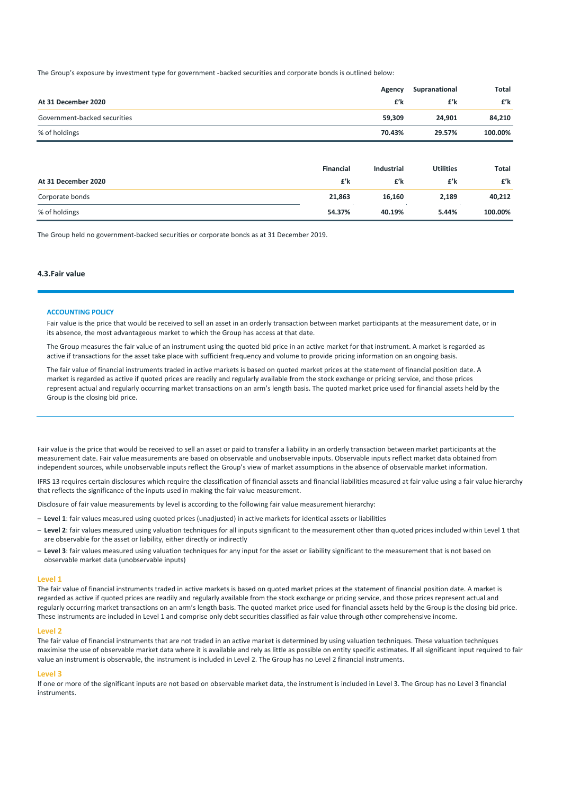The Group's exposure by investment type for government ‐backed securities and corporate bonds is outlined below:

|                              |                  | Agency            | Supranational    | Total   |
|------------------------------|------------------|-------------------|------------------|---------|
| At 31 December 2020          |                  | £'k               | £'k              | £'k     |
| Government-backed securities |                  | 59,309            | 24,901           | 84,210  |
| % of holdings                |                  | 70.43%            | 29.57%           | 100.00% |
|                              |                  |                   |                  |         |
|                              | <b>Financial</b> | <b>Industrial</b> | <b>Utilities</b> | Total   |
| At 31 December 2020          | £'k              | £'k               | £'k              | £'k     |
| Corporate bonds              | 21,863           | 16,160            | 2,189            | 40,212  |

% of holdings **54.37% 40.19% 5.44% 100.00%**

The Group held no government‐backed securities or corporate bonds as at 31 December 2019.

### **4.3.Fair value**

#### **ACCOUNTING POLICY**

Fair value is the price that would be received to sell an asset in an orderly transaction between market participants at the measurement date, or in its absence, the most advantageous market to which the Group has access at that date.

The Group measures the fair value of an instrument using the quoted bid price in an active market for that instrument. A market is regarded as active if transactions for the asset take place with sufficient frequency and volume to provide pricing information on an ongoing basis.

The fair value of financial instruments traded in active markets is based on quoted market prices at the statement of financial position date. A market is regarded as active if quoted prices are readily and regularly available from the stock exchange or pricing service, and those prices represent actual and regularly occurring market transactions on an arm's length basis. The quoted market price used for financial assets held by the Group is the closing bid price.

Fair value is the price that would be received to sell an asset or paid to transfer a liability in an orderly transaction between market participants at the measurement date. Fair value measurements are based on observable and unobservable inputs. Observable inputs reflect market data obtained from independent sources, while unobservable inputs reflect the Group's view of market assumptions in the absence of observable market information.

IFRS 13 requires certain disclosures which require the classification of financial assets and financial liabilities measured at fair value using a fair value hierarchy that reflects the significance of the inputs used in making the fair value measurement.

Disclosure of fair value measurements by level is according to the following fair value measurement hierarchy:

- **Level 1**: fair values measured using quoted prices (unadjusted) in active markets for identical assets or liabilities
- **Level 2**: fair values measured using valuation techniques for all inputs significant to the measurement other than quoted prices included within Level 1 that are observable for the asset or liability, either directly or indirectly
- **Level 3**: fair values measured using valuation techniques for any input for the asset or liability significant to the measurement that is not based on observable market data (unobservable inputs)

#### **Level 1**

The fair value of financial instruments traded in active markets is based on quoted market prices at the statement of financial position date. A market is regarded as active if quoted prices are readily and regularly available from the stock exchange or pricing service, and those prices represent actual and regularly occurring market transactions on an arm's length basis. The quoted market price used for financial assets held by the Group is the closing bid price. These instruments are included in Level 1 and comprise only debt securities classified as fair value through other comprehensive income.

#### **Level 2**

The fair value of financial instruments that are not traded in an active market is determined by using valuation techniques. These valuation techniques maximise the use of observable market data where it is available and rely as little as possible on entity specific estimates. If all significant input required to fair value an instrument is observable, the instrument is included in Level 2. The Group has no Level 2 financial instruments.

#### **Level 3**

If one or more of the significant inputs are not based on observable market data, the instrument is included in Level 3. The Group has no Level 3 financial instruments.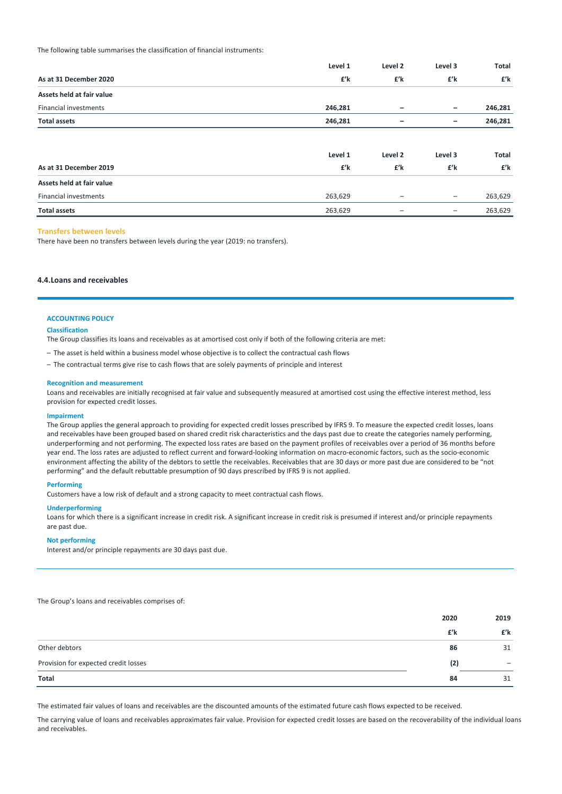The following table summarises the classification of financial instruments:

|                              | Level 1 | Level 2           | Level 3                  | Total   |
|------------------------------|---------|-------------------|--------------------------|---------|
| As at 31 December 2020       | £'k     | £'k               | £'k                      | £'k     |
| Assets held at fair value    |         |                   |                          |         |
| <b>Financial investments</b> | 246,281 | -                 | $\qquad \qquad -$        | 246,281 |
| <b>Total assets</b>          | 246,281 |                   | -                        | 246,281 |
|                              |         |                   |                          |         |
|                              | Level 1 | Level 2           | Level 3                  | Total   |
| As at 31 December 2019       | £'k     | £'k               | £'k                      | £'k     |
| Assets held at fair value    |         |                   |                          |         |
| <b>Financial investments</b> | 263,629 | $\qquad \qquad -$ | $\overline{\phantom{m}}$ | 263,629 |
| <b>Total assets</b>          | 263,629 | -                 | -                        | 263,629 |

#### **Transfers between levels**

There have been no transfers between levels during the year (2019: no transfers).

### **4.4.Loans and receivables**

### **ACCOUNTING POLICY**

#### **Classification**

The Group classifies its loans and receivables as at amortised cost only if both of the following criteria are met:

- The asset is held within a business model whose objective is to collect the contractual cash flows
- The contractual terms give rise to cash flows that are solely payments of principle and interest

#### **Recognition and measurement**

Loans and receivables are initially recognised at fair value and subsequently measured at amortised cost using the effective interest method, less provision for expected credit losses.

#### **Impairment**

The Group applies the general approach to providing for expected credit losses prescribed by IFRS 9. To measure the expected credit losses, loans and receivables have been grouped based on shared credit risk characteristics and the days past due to create the categories namely performing, underperforming and not performing. The expected loss rates are based on the payment profiles of receivables over a period of 36 months before year end. The loss rates are adjusted to reflect current and forward‐looking information on macro‐economic factors, such as the socio‐economic environment affecting the ability of the debtors to settle the receivables. Receivables that are 30 days or more past due are considered to be "not performing" and the default rebuttable presumption of 90 days prescribed by IFRS 9 is not applied.

### **Performing**

Customers have a low risk of default and a strong capacity to meet contractual cash flows.

#### **Underperforming**

Loans for which there is a significant increase in credit risk. A significant increase in credit risk is presumed if interest and/or principle repayments are past due.

### **Not performing**

Interest and/or principle repayments are 30 days past due.

The Group's loans and receivables comprises of:

|                                      | 2020 | 2019 |
|--------------------------------------|------|------|
|                                      | £'k  | £'k  |
| Other debtors                        | 86   | 31   |
| Provision for expected credit losses | (2)  |      |
| Total                                | 84   | 31   |

The estimated fair values of loans and receivables are the discounted amounts of the estimated future cash flows expected to be received.

The carrying value of loans and receivables approximates fair value. Provision for expected credit losses are based on the recoverability of the individual loans and receivables.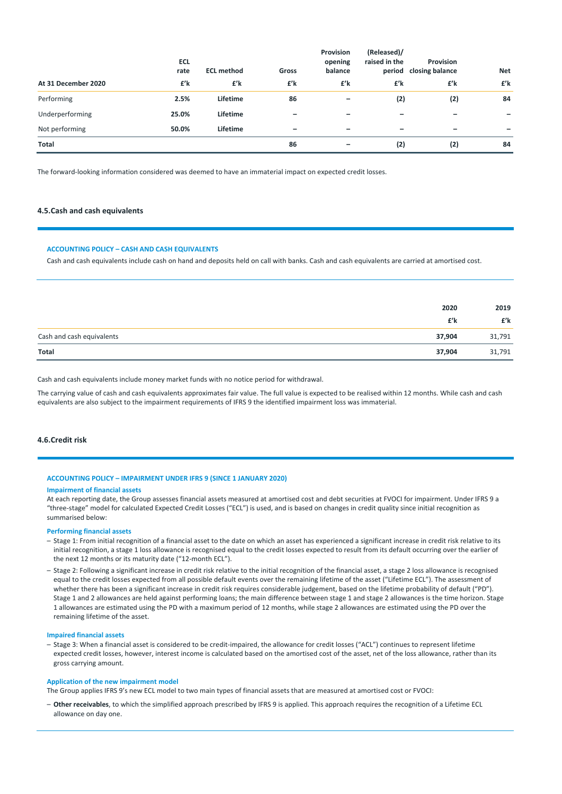|                     | <b>ECL</b><br>rate | <b>ECL method</b> | Gross                    | Provision<br>opening<br>balance | (Released)/<br>raised in the<br>period | <b>Provision</b><br>closing balance | <b>Net</b> |
|---------------------|--------------------|-------------------|--------------------------|---------------------------------|----------------------------------------|-------------------------------------|------------|
| At 31 December 2020 | £'k                | £'k               | £'k                      | £'k                             | £'k                                    | £'k                                 | £'k        |
| Performing          | 2.5%               | Lifetime          | 86                       |                                 | (2)                                    | (2)                                 | 84         |
| Underperforming     | 25.0%              | Lifetime          | $\overline{\phantom{m}}$ |                                 | -                                      |                                     |            |
| Not performing      | 50.0%              | Lifetime          | $\overline{\phantom{m}}$ |                                 | -                                      |                                     |            |
| Total               |                    |                   | 86                       |                                 | (2)                                    | (2)                                 | 84         |

The forward‐looking information considered was deemed to have an immaterial impact on expected credit losses.

### **4.5.Cash and cash equivalents**

#### **ACCOUNTING POLICY – CASH AND CASH EQUIVALENTS**

Cash and cash equivalents include cash on hand and deposits held on call with banks. Cash and cash equivalents are carried at amortised cost.

|                           | 2020   | 2019   |
|---------------------------|--------|--------|
|                           | £'k    | £'k    |
| Cash and cash equivalents | 37,904 | 31,791 |
| Total                     | 37,904 | 31,791 |

Cash and cash equivalents include money market funds with no notice period for withdrawal.

The carrying value of cash and cash equivalents approximates fair value. The full value is expected to be realised within 12 months. While cash and cash equivalents are also subject to the impairment requirements of IFRS 9 the identified impairment loss was immaterial.

### **4.6.Credit risk**

#### **ACCOUNTING POLICY – IMPAIRMENT UNDER IFRS 9 (SINCE 1 JANUARY 2020)**

#### **Impairment of financial assets**

At each reporting date, the Group assesses financial assets measured at amortised cost and debt securities at FVOCI for impairment. Under IFRS 9 a "three‐stage" model for calculated Expected Credit Losses ("ECL") is used, and is based on changes in credit quality since initial recognition as summarised below:

### **Performing financial assets**

- Stage 1: From initial recognition of a financial asset to the date on which an asset has experienced a significant increase in credit risk relative to its initial recognition, a stage 1 loss allowance is recognised equal to the credit losses expected to result from its default occurring over the earlier of the next 12 months or its maturity date ("12-month ECL").
- Stage 2: Following a significant increase in credit risk relative to the initial recognition of the financial asset, a stage 2 loss allowance is recognised equal to the credit losses expected from all possible default events over the remaining lifetime of the asset ("Lifetime ECL"). The assessment of whether there has been a significant increase in credit risk requires considerable judgement, based on the lifetime probability of default ("PD"). Stage 1 and 2 allowances are held against performing loans; the main difference between stage 1 and stage 2 allowances is the time horizon. Stage 1 allowances are estimated using the PD with a maximum period of 12 months, while stage 2 allowances are estimated using the PD over the remaining lifetime of the asset.

#### **Impaired financial assets**

– Stage 3: When a financial asset is considered to be credit‐impaired, the allowance for credit losses ("ACL") continues to represent lifetime expected credit losses, however, interest income is calculated based on the amortised cost of the asset, net of the loss allowance, rather than its gross carrying amount.

#### **Application of the new impairment model**

The Group applies IFRS 9's new ECL model to two main types of financial assets that are measured at amortised cost or FVOCI:

– **Other receivables**, to which the simplified approach prescribed by IFRS 9 is applied. This approach requires the recognition of a Lifetime ECL allowance on day one.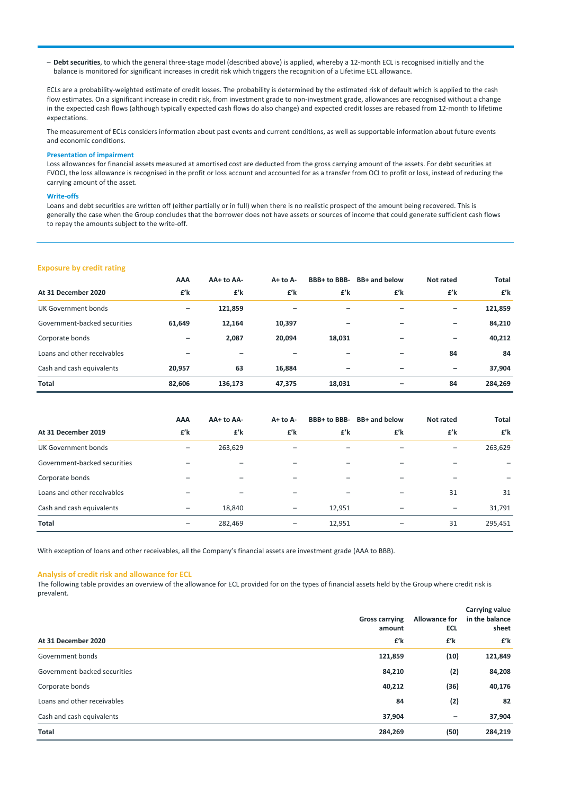– **Debt securities**, to which the general three‐stage model (described above) is applied, whereby a 12‐month ECL is recognised initially and the balance is monitored for significant increases in credit risk which triggers the recognition of a Lifetime ECL allowance.

ECLs are a probability-weighted estimate of credit losses. The probability is determined by the estimated risk of default which is applied to the cash flow estimates. On a significant increase in credit risk, from investment grade to non-investment grade, allowances are recognised without a change in the expected cash flows (although typically expected cash flows do also change) and expected credit losses are rebased from 12‐month to lifetime expectations.

The measurement of ECLs considers information about past events and current conditions, as well as supportable information about future events and economic conditions.

#### **Presentation of impairment**

Loss allowances for financial assets measured at amortised cost are deducted from the gross carrying amount of the assets. For debt securities at FVOCI, the loss allowance is recognised in the profit or loss account and accounted for as a transfer from OCI to profit or loss, instead of reducing the carrying amount of the asset.

#### **Write‐offs**

Loans and debt securities are written off (either partially or in full) when there is no realistic prospect of the amount being recovered. This is generally the case when the Group concludes that the borrower does not have assets or sources of income that could generate sufficient cash flows to repay the amounts subject to the write‐off.

### **Exposure by credit rating**

|                              | AAA    | AA+ to AA- | $A + to A -$ | BBB+ to BBB- | BB+ and below | Not rated                    | <b>Total</b> |
|------------------------------|--------|------------|--------------|--------------|---------------|------------------------------|--------------|
| At 31 December 2020          | £'k    | £'k        | £'k          | £'k          | £'k           | £'k                          | £'k          |
| UK Government bonds          | -      | 121,859    | -            |              |               | -                            | 121,859      |
| Government-backed securities | 61,649 | 12,164     | 10,397       |              | -             | $\qquad \qquad \blacksquare$ | 84,210       |
| Corporate bonds              | -      | 2,087      | 20,094       | 18,031       |               | $\overline{\phantom{0}}$     | 40,212       |
| Loans and other receivables  |        |            |              |              |               | 84                           | 84           |
| Cash and cash equivalents    | 20,957 | 63         | 16,884       |              | -             | $\overline{\phantom{0}}$     | 37,904       |
| <b>Total</b>                 | 82,606 | 136,173    | 47,375       | 18,031       | -             | 84                           | 284,269      |

|                              | AAA                      | AA+ to AA- | $A+$ to $A-$             |        | BBB+ to BBB- BB+ and below | Not rated                | <b>Total</b> |
|------------------------------|--------------------------|------------|--------------------------|--------|----------------------------|--------------------------|--------------|
| At 31 December 2019          | £'k                      | £'k        | £'k                      | £'k    | £'k                        | £'k                      | £'k          |
| UK Government bonds          | -                        | 263,629    | $\overline{\phantom{0}}$ |        |                            | $\overline{\phantom{0}}$ | 263,629      |
| Government-backed securities |                          |            | $\overline{\phantom{0}}$ |        |                            |                          |              |
| Corporate bonds              | -                        |            | $\overline{\phantom{0}}$ |        |                            |                          |              |
| Loans and other receivables  |                          |            |                          |        |                            | 31                       | 31           |
| Cash and cash equivalents    | $\overline{\phantom{0}}$ | 18,840     | $\qquad \qquad -$        | 12,951 |                            |                          | 31,791       |
| <b>Total</b>                 | $\overline{\phantom{0}}$ | 282,469    | $\qquad \qquad -$        | 12,951 |                            | 31                       | 295,451      |

With exception of loans and other receivables, all the Company's financial assets are investment grade (AAA to BBB).

#### **Analysis of credit risk and allowance for ECL**

The following table provides an overview of the allowance for ECL provided for on the types of financial assets held by the Group where credit risk is prevalent.

| At 31 December 2020          | <b>Gross carrying</b><br>amount<br>£'k | Allowance for<br><b>ECL</b><br>£'k | Carrying value<br>in the balance<br>sheet<br>£'k |
|------------------------------|----------------------------------------|------------------------------------|--------------------------------------------------|
| Government bonds             | 121,859                                | (10)                               | 121,849                                          |
| Government-backed securities | 84,210                                 | (2)                                | 84,208                                           |
| Corporate bonds              | 40,212                                 | (36)                               | 40,176                                           |
| Loans and other receivables  | 84                                     | (2)                                | 82                                               |
| Cash and cash equivalents    | 37,904                                 | -                                  | 37,904                                           |
| <b>Total</b>                 | 284,269                                | (50)                               | 284,219                                          |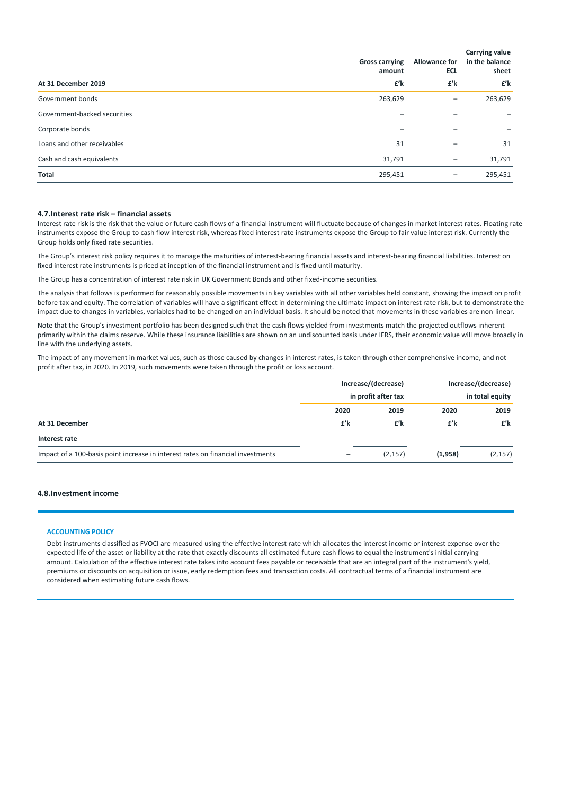|                              | <b>Gross carrying</b><br>amount | <b>Allowance for</b><br><b>ECL</b> | Carrying value<br>in the balance<br>sheet |
|------------------------------|---------------------------------|------------------------------------|-------------------------------------------|
| At 31 December 2019          | £'k                             | £'k                                | £'k                                       |
| Government bonds             | 263,629                         | $\qquad \qquad -$                  | 263,629                                   |
| Government-backed securities |                                 |                                    |                                           |
| Corporate bonds              |                                 |                                    |                                           |
| Loans and other receivables  | 31                              |                                    | 31                                        |
| Cash and cash equivalents    | 31,791                          |                                    | 31,791                                    |
| Total                        | 295,451                         |                                    | 295,451                                   |

### **4.7.Interest rate risk – financial assets**

Interest rate risk is the risk that the value or future cash flows of a financial instrument will fluctuate because of changes in market interest rates. Floating rate instruments expose the Group to cash flow interest risk, whereas fixed interest rate instruments expose the Group to fair value interest risk. Currently the Group holds only fixed rate securities.

The Group's interest risk policy requires it to manage the maturities of interest‐bearing financial assets and interest‐bearing financial liabilities. Interest on fixed interest rate instruments is priced at inception of the financial instrument and is fixed until maturity.

The Group has a concentration of interest rate risk in UK Government Bonds and other fixed‐income securities.

The analysis that follows is performed for reasonably possible movements in key variables with all other variables held constant, showing the impact on profit before tax and equity. The correlation of variables will have a significant effect in determining the ultimate impact on interest rate risk, but to demonstrate the impact due to changes in variables, variables had to be changed on an individual basis. It should be noted that movements in these variables are non‐linear.

Note that the Group's investment portfolio has been designed such that the cash flows yielded from investments match the projected outflows inherent primarily within the claims reserve. While these insurance liabilities are shown on an undiscounted basis under IFRS, their economic value will move broadly in line with the underlying assets.

The impact of any movement in market values, such as those caused by changes in interest rates, is taken through other comprehensive income, and not profit after tax, in 2020. In 2019, such movements were taken through the profit or loss account.

|                                                                                 |      | Increase/(decrease) |         | Increase/(decrease) |  |
|---------------------------------------------------------------------------------|------|---------------------|---------|---------------------|--|
|                                                                                 |      | in profit after tax |         | in total equity     |  |
|                                                                                 | 2020 | 2019                | 2020    | 2019                |  |
| At 31 December                                                                  | £'k  | £'k                 | £'k     | £'k                 |  |
| Interest rate                                                                   |      |                     |         |                     |  |
| Impact of a 100-basis point increase in interest rates on financial investments |      | (2, 157)            | (1,958) | (2, 157)            |  |

### **4.8.Investment income**

### **ACCOUNTING POLICY**

Debt instruments classified as FVOCI are measured using the effective interest rate which allocates the interest income or interest expense over the expected life of the asset or liability at the rate that exactly discounts all estimated future cash flows to equal the instrument's initial carrying amount. Calculation of the effective interest rate takes into account fees payable or receivable that are an integral part of the instrument's yield, premiums or discounts on acquisition or issue, early redemption fees and transaction costs. All contractual terms of a financial instrument are considered when estimating future cash flows.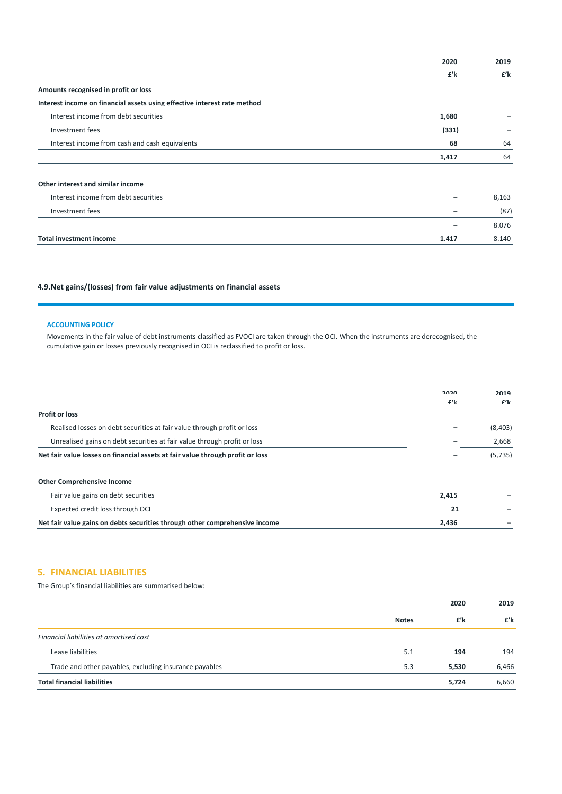|                                                                          | 2020  | 2019  |
|--------------------------------------------------------------------------|-------|-------|
|                                                                          | £'k   | £'k   |
| Amounts recognised in profit or loss                                     |       |       |
| Interest income on financial assets using effective interest rate method |       |       |
| Interest income from debt securities                                     | 1.680 |       |
| Investment fees                                                          | (331) |       |
| Interest income from cash and cash equivalents                           | 68    | 64    |
|                                                                          | 1,417 | 64    |
| Other interest and similar income                                        |       |       |
| Interest income from debt securities                                     |       | 8,163 |
| Investment fees                                                          |       | (87)  |
|                                                                          |       | 8,076 |
| <b>Total investment income</b>                                           | 1.417 | 8,140 |

## **4.9.Net gains/(losses) from fair value adjustments on financial assets**

### **ACCOUNTING POLICY**

Movements in the fair value of debt instruments classified as FVOCI are taken through the OCI. When the instruments are derecognised, the cumulative gain or losses previously recognised in OCI is reclassified to profit or loss.

|                                                                                | 2020  | 2019    |
|--------------------------------------------------------------------------------|-------|---------|
|                                                                                | £'L   | $f'$ k  |
| <b>Profit or loss</b>                                                          |       |         |
| Realised losses on debt securities at fair value through profit or loss        |       | (8,403) |
| Unrealised gains on debt securities at fair value through profit or loss       |       | 2,668   |
| Net fair value losses on financial assets at fair value through profit or loss |       | (5.735) |
| <b>Other Comprehensive Income</b>                                              |       |         |
| Fair value gains on debt securities                                            | 2.415 |         |
| Expected credit loss through OCI                                               | 21    |         |
| Net fair value gains on debts securities through other comprehensive income    | 2.436 |         |

## **5. FINANCIAL LIABILITIES**

The Group's financial liabilities are summarised below:

|                                                        |              | 2020  | 2019  |
|--------------------------------------------------------|--------------|-------|-------|
|                                                        | <b>Notes</b> | £'k   | £'k   |
| Financial liabilities at amortised cost                |              |       |       |
| Lease liabilities                                      | 5.1          | 194   | 194   |
| Trade and other payables, excluding insurance payables | 5.3          | 5.530 | 6.466 |
| <b>Total financial liabilities</b>                     |              | 5.724 | 6.660 |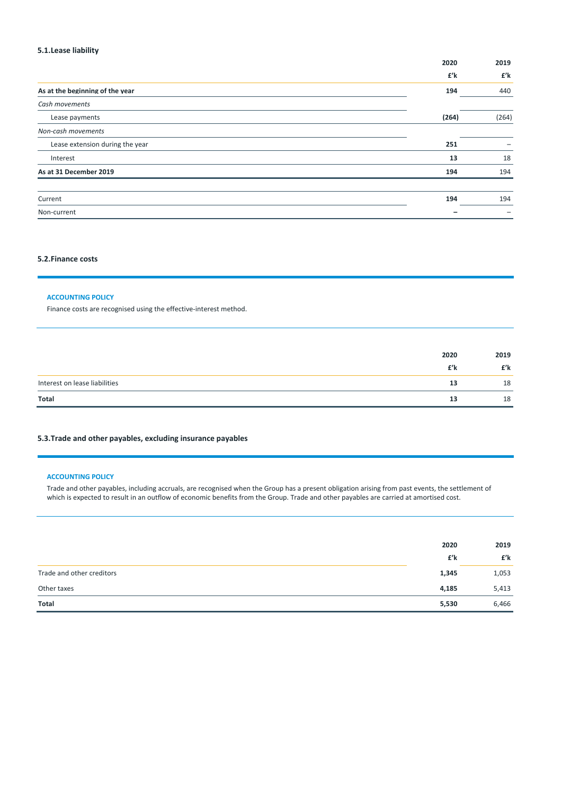## **5.1.Lease liability**

|                                 | 2020  | 2019  |
|---------------------------------|-------|-------|
|                                 | £'k   | £'k   |
| As at the beginning of the year | 194   | 440   |
| Cash movements                  |       |       |
| Lease payments                  | (264) | (264) |
| Non-cash movements              |       |       |
| Lease extension during the year | 251   |       |
| Interest                        | 13    | 18    |
| As at 31 December 2019          | 194   | 194   |
| Current                         | 194   | 194   |
| Non-current                     |       |       |
|                                 |       |       |

### **5.2.Finance costs**

### **ACCOUNTING POLICY**

Finance costs are recognised using the effective-interest method.

|                               | 2020 | 2019 |
|-------------------------------|------|------|
|                               | £'k  | £'k  |
| Interest on lease liabilities | 13   | 18   |
| Total                         | 13   | 18   |

## **5.3.Trade and other payables, excluding insurance payables**

### **ACCOUNTING POLICY**

Trade and other payables, including accruals, are recognised when the Group has a present obligation arising from past events, the settlement of which is expected to result in an outflow of economic benefits from the Group. Trade and other payables are carried at amortised cost.

|                           | 2020  | 2019  |
|---------------------------|-------|-------|
|                           | £'k   | £'k   |
| Trade and other creditors | 1,345 | 1,053 |
| Other taxes               | 4,185 | 5,413 |
| Total                     | 5,530 | 6,466 |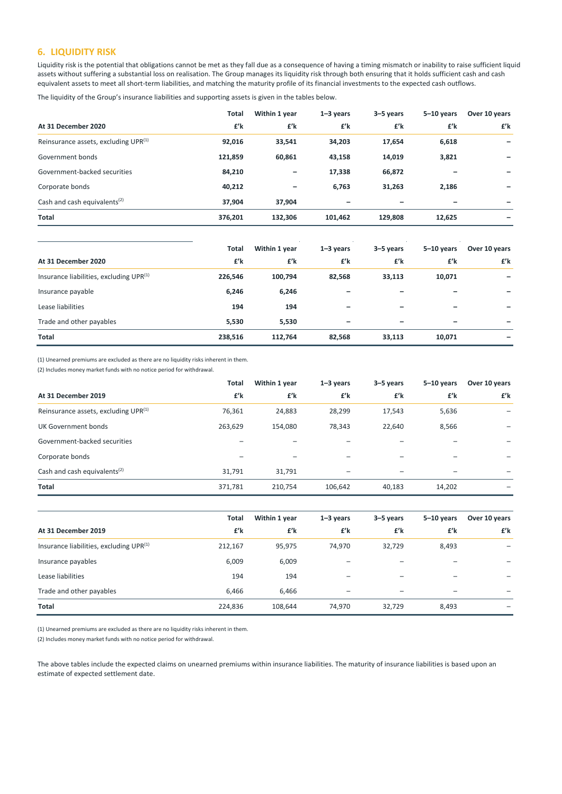## **6. LIQUIDITY RISK**

Liquidity risk is the potential that obligations cannot be met as they fall due as a consequence of having a timing mismatch or inability to raise sufficient liquid assets without suffering a substantial loss on realisation. The Group manages its liquidity risk through both ensuring that it holds sufficient cash and cash equivalent assets to meet all short-term liabilities, and matching the maturity profile of its financial investments to the expected cash outflows.

The liquidity of the Group's insurance liabilities and supporting assets is given in the tables below.

|                                          | <b>Total</b> | Within 1 year | $1 - 3$ years | 3-5 years | $5-10$ years | Over 10 years |
|------------------------------------------|--------------|---------------|---------------|-----------|--------------|---------------|
| At 31 December 2020                      | £'k          | £'k           | £'k           | £'k       | £'k          | £'k           |
| Reinsurance assets, excluding UPR(1)     | 92,016       | 33,541        | 34,203        | 17,654    | 6,618        |               |
| Government bonds                         | 121,859      | 60,861        | 43,158        | 14,019    | 3,821        |               |
| Government-backed securities             | 84,210       | -             | 17,338        | 66,872    |              |               |
| Corporate bonds                          | 40,212       |               | 6,763         | 31,263    | 2,186        |               |
| Cash and cash equivalents <sup>(2)</sup> | 37,904       | 37,904        |               |           |              |               |
| Total                                    | 376,201      | 132,306       | 101,462       | 129,808   | 12,625       |               |
|                                          |              |               |               |           |              |               |
|                                          | <b>Total</b> | Within 1 year | $1 - 3$ years | 3-5 years | $5-10$ years | Over 10 years |
| At 31 December 2020                      | £'k          | £'k           | £'k           | £'k       | £'k          | £'k           |
| Insurance liabilities, excluding UPR(1)  | 226,546      | 100,794       | 82,568        | 33,113    | 10,071       |               |
| Insurance payable                        | 6,246        | 6,246         |               |           |              |               |
| Lease liabilities                        | 194          | 194           |               |           |              |               |
| Trade and other payables                 | 5,530        | 5,530         |               |           |              |               |
| Total                                    | 238,516      | 112,764       | 82,568        | 33,113    | 10,071       |               |

(1) Unearned premiums are excluded as there are no liquidity risks inherent in them.

(2) Includes money market funds with no notice period for withdrawal.

|                                                  | Total   | Within 1 year | $1 - 3$ years | 3-5 years | $5 - 10$ years | Over 10 years |
|--------------------------------------------------|---------|---------------|---------------|-----------|----------------|---------------|
| At 31 December 2019                              | £'k     | £'k           | £'k           | £'k       | £'k            | £'k           |
| Reinsurance assets, excluding UPR <sup>(1)</sup> | 76,361  | 24,883        | 28,299        | 17,543    | 5,636          |               |
| UK Government bonds                              | 263,629 | 154,080       | 78,343        | 22,640    | 8,566          |               |
| Government-backed securities                     |         |               |               |           |                |               |
| Corporate bonds                                  |         |               |               |           |                |               |
| Cash and cash equivalents <sup>(2)</sup>         | 31,791  | 31,791        |               |           |                |               |
| <b>Total</b>                                     | 371,781 | 210,754       | 106,642       | 40,183    | 14,202         |               |

|                                                     | Total   | Within 1 year | $1 - 3$ years | 3-5 years | $5-10$ years             | Over 10 years |
|-----------------------------------------------------|---------|---------------|---------------|-----------|--------------------------|---------------|
| At 31 December 2019                                 | £'k     | £'k           | £'k           | £'k       | £'k                      | £'k           |
| Insurance liabilities, excluding UPR <sup>(1)</sup> | 212,167 | 95,975        | 74,970        | 32,729    | 8,493                    | -             |
| Insurance payables                                  | 6,009   | 6,009         |               |           |                          |               |
| Lease liabilities                                   | 194     | 194           |               |           |                          |               |
| Trade and other payables                            | 6,466   | 6,466         |               |           | $\overline{\phantom{0}}$ |               |
| <b>Total</b>                                        | 224,836 | 108,644       | 74,970        | 32,729    | 8,493                    |               |

(1) Unearned premiums are excluded as there are no liquidity risks inherent in them.

(2) Includes money market funds with no notice period for withdrawal.

The above tables include the expected claims on unearned premiums within insurance liabilities. The maturity of insurance liabilities is based upon an estimate of expected settlement date.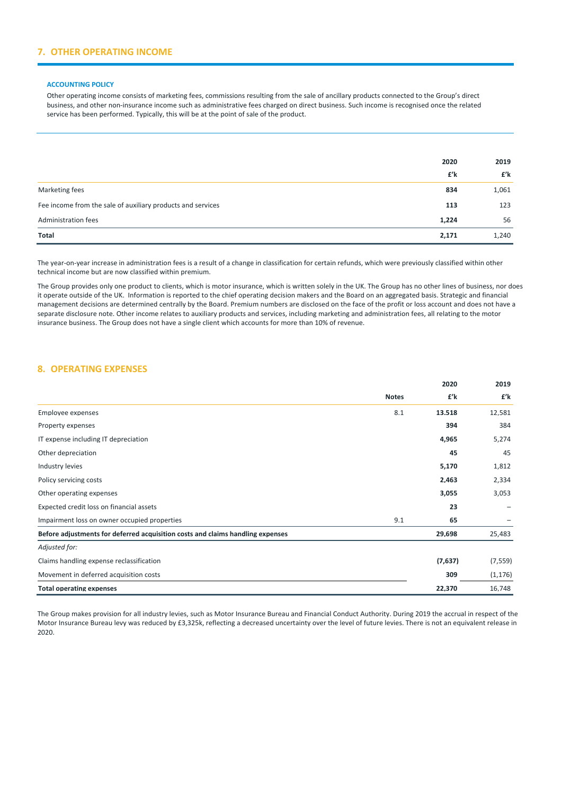## **7. OTHER OPERATING INCOME**

#### **ACCOUNTING POLICY**

Other operating income consists of marketing fees, commissions resulting from the sale of ancillary products connected to the Group's direct business, and other non‐insurance income such as administrative fees charged on direct business. Such income is recognised once the related service has been performed. Typically, this will be at the point of sale of the product.

|                                                             | 2020  | 2019  |
|-------------------------------------------------------------|-------|-------|
|                                                             | £'k   | £'k   |
| Marketing fees                                              | 834   | 1,061 |
| Fee income from the sale of auxiliary products and services | 113   | 123   |
| Administration fees                                         | 1,224 | 56    |
| Total                                                       | 2,171 | 1,240 |

The year-on-year increase in administration fees is a result of a change in classification for certain refunds, which were previously classified within other technical income but are now classified within premium.

The Group provides only one product to clients, which is motor insurance, which is written solely in the UK. The Group has no other lines of business, nor does it operate outside of the UK. Information is reported to the chief operating decision makers and the Board on an aggregated basis. Strategic and financial management decisions are determined centrally by the Board. Premium numbers are disclosed on the face of the profit or loss account and does not have a separate disclosure note. Other income relates to auxiliary products and services, including marketing and administration fees, all relating to the motor insurance business. The Group does not have a single client which accounts for more than 10% of revenue.

### **8. OPERATING EXPENSES**

|                                                                                |              | 2020    | 2019     |
|--------------------------------------------------------------------------------|--------------|---------|----------|
|                                                                                | <b>Notes</b> | £'k     | £'k      |
| Employee expenses                                                              | 8.1          | 13.518  | 12,581   |
| Property expenses                                                              |              | 394     | 384      |
| IT expense including IT depreciation                                           |              | 4,965   | 5,274    |
| Other depreciation                                                             |              | 45      | 45       |
| Industry levies                                                                |              | 5,170   | 1,812    |
| Policy servicing costs                                                         |              | 2,463   | 2,334    |
| Other operating expenses                                                       |              | 3,055   | 3,053    |
| Expected credit loss on financial assets                                       |              | 23      |          |
| Impairment loss on owner occupied properties                                   | 9.1          | 65      |          |
| Before adjustments for deferred acquisition costs and claims handling expenses |              | 29,698  | 25,483   |
| Adjusted for:                                                                  |              |         |          |
| Claims handling expense reclassification                                       |              | (7,637) | (7, 559) |
| Movement in deferred acquisition costs                                         |              | 309     | (1, 176) |
| <b>Total operating expenses</b>                                                |              | 22.370  | 16,748   |

The Group makes provision for all industry levies, such as Motor Insurance Bureau and Financial Conduct Authority. During 2019 the accrual in respect of the Motor Insurance Bureau levy was reduced by £3,325k, reflecting a decreased uncertainty over the level of future levies. There is not an equivalent release in 2020.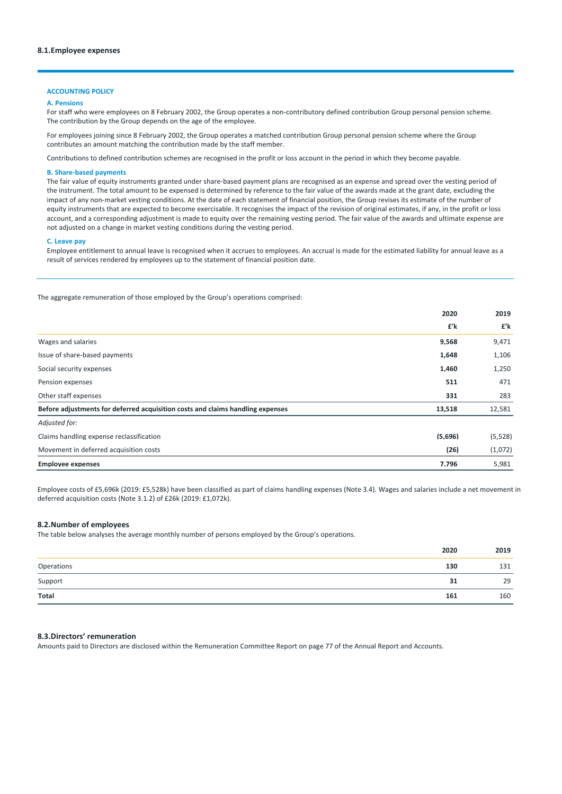### **ACCOUNTING POLICY**

#### **A. Pensions**

For staff who were employees on 8 February 2002, the Group operates a non-contributory defined contribution Group personal pension scheme. The contribution by the Group depends on the age of the employee.

For employees joining since 8 February 2002, the Group operates a matched contribution Group personal pension scheme where the Group contributes an amount matching the contribution made by the staff member.

Contributions to defined contribution schemes are recognised in the profit or loss account in the period in which they become payable.

### **B. Share‐based payments**

The fair value of equity instruments granted under share-based payment plans are recognised as an expense and spread over the vesting period of the instrument. The total amount to be expensed is determined by reference to the fair value of the awards made at the grant date, excluding the impact of any non-market vesting conditions. At the date of each statement of financial position, the Group revises its estimate of the number of equity instruments that are expected to become exercisable. It recognises the impact of the revision of original estimates, if any, in the profit or loss account, and a corresponding adjustment is made to equity over the remaining vesting period. The fair value of the awards and ultimate expense are not adjusted on a change in market vesting conditions during the vesting period.

### **C. Leave pay**

Employee entitlement to annual leave is recognised when it accrues to employees. An accrual is made for the estimated liability for annual leave as a result of services rendered by employees up to the statement of financial position date.

The aggregate remuneration of those employed by the Group's operations comprised:

|                                                                                | 2020    | 2019    |
|--------------------------------------------------------------------------------|---------|---------|
|                                                                                | £'k     | £'k     |
| Wages and salaries                                                             | 9.568   | 9,471   |
| Issue of share-based payments                                                  | 1,648   | 1,106   |
| Social security expenses                                                       | 1,460   | 1,250   |
| Pension expenses                                                               | 511     | 471     |
| Other staff expenses                                                           | 331     | 283     |
| Before adjustments for deferred acquisition costs and claims handling expenses | 13,518  | 12,581  |
| Adjusted for:                                                                  |         |         |
| Claims handling expense reclassification                                       | (5,696) | (5,528) |
| Movement in deferred acquisition costs                                         | (26)    | (1,072) |
| <b>Employee expenses</b>                                                       | 7.796   | 5,981   |

Employee costs of £5,696k (2019: £5,528k) have been classified as part of claims handling expenses (Note 3.4). Wages and salaries include a net movement in deferred acquisition costs (Note 3.1.2) of £26k (2019: £1,072k).

### **8.2.Number of employees**

The table below analyses the average monthly number of persons employed by the Group's operations.

|                                                 | 2020 | 2019 |
|-------------------------------------------------|------|------|
| Operations<br><u>and the state of the state</u> | 130  | 131  |
| $\underbrace{\text{Support}}$                   | 31   | 29   |
| Total                                           | 161  | 160  |
|                                                 |      |      |

### **8.3.Directors' remuneration**

Amounts paid to Directors are disclosed within the Remuneration Committee Report on page 77 of the Annual Report and Accounts.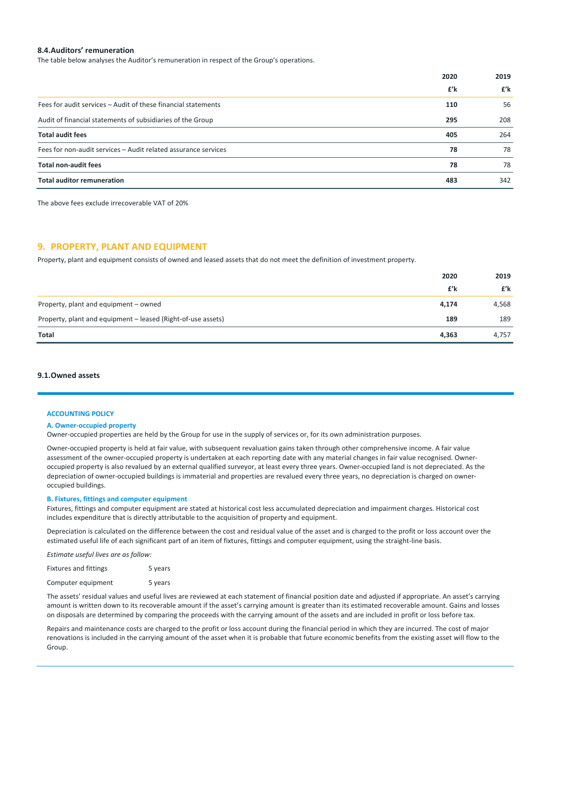### **8.4.Auditors' remuneration**

The table below analyses the Auditor's remuneration in respect of the Group's operations.

|                                                                | 2020 | 2019 |
|----------------------------------------------------------------|------|------|
|                                                                | £'k  | £'k  |
| Fees for audit services – Audit of these financial statements  | 110  | 56   |
| Audit of financial statements of subsidiaries of the Group     | 295  | 208  |
| <b>Total audit fees</b>                                        | 405  | 264  |
| Fees for non-audit services - Audit related assurance services | 78   | 78   |
| <b>Total non-audit fees</b>                                    | 78   | 78   |
| <b>Total auditor remuneration</b>                              | 483  | 342  |

The above fees exclude irrecoverable VAT of 20%

### **9. PROPERTY, PLANT AND EQUIPMENT**

Property, plant and equipment consists of owned and leased assets that do not meet the definition of investment property.

| Total<br>4,363                                                      | 4,757 |
|---------------------------------------------------------------------|-------|
| Property, plant and equipment - leased (Right-of-use assets)<br>189 | 189   |
| Property, plant and equipment – owned<br>4,174                      | 4,568 |
| £'k                                                                 | £'k   |
| 2020                                                                | 2019  |

### **9.1.Owned assets**

#### **ACCOUNTING POLICY**

#### **A. Owner‐occupied property**

Owner-occupied properties are held by the Group for use in the supply of services or, for its own administration purposes.

Owner‐occupied property is held at fair value, with subsequent revaluation gains taken through other comprehensive income. A fair value assessment of the owner‐occupied property is undertaken at each reporting date with any material changes in fair value recognised. Owner‐ occupied property is also revalued by an external qualified surveyor, at least every three years. Owner‐occupied land is not depreciated. As the depreciation of owner-occupied buildings is immaterial and properties are revalued every three years, no depreciation is charged on owneroccupied buildings.

### **B. Fixtures, fittings and computer equipment**

Fixtures, fittings and computer equipment are stated at historical cost less accumulated depreciation and impairment charges. Historical cost includes expenditure that is directly attributable to the acquisition of property and equipment.

Depreciation is calculated on the difference between the cost and residual value of the asset and is charged to the profit or loss account over the estimated useful life of each significant part of an item of fixtures, fittings and computer equipment, using the straight-line basis.

*Estimate useful lives are as follow:*

| <b>Fixtures and fittings</b> | 5 years |
|------------------------------|---------|
| Computer equipment           | 5 years |

The assets' residual values and useful lives are reviewed at each statement of financial position date and adjusted if appropriate. An asset's carrying amount is written down to its recoverable amount if the asset's carrying amount is greater than its estimated recoverable amount. Gains and losses on disposals are determined by comparing the proceeds with the carrying amount of the assets and are included in profit or loss before tax.

Repairs and maintenance costs are charged to the profit or loss account during the financial period in which they are incurred. The cost of major renovations is included in the carrying amount of the asset when it is probable that future economic benefits from the existing asset will flow to the Group.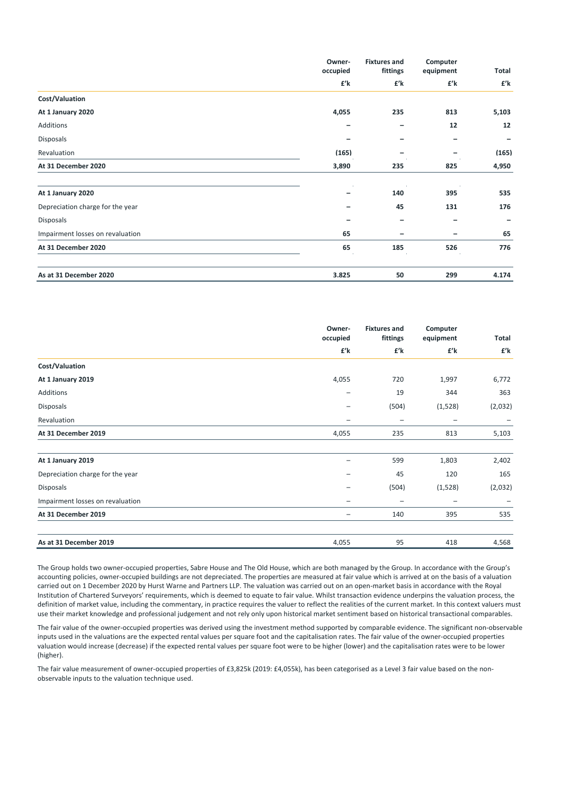|                                  | Owner-<br>occupied | <b>Fixtures and</b><br>fittings | Computer<br>equipment | Total |
|----------------------------------|--------------------|---------------------------------|-----------------------|-------|
|                                  | £'k                | £'k                             | £'k                   | £'k   |
| Cost/Valuation                   |                    |                                 |                       |       |
| At 1 January 2020                | 4,055              | 235                             | 813                   | 5,103 |
| Additions                        |                    | -                               | 12                    | 12    |
| <b>Disposals</b>                 |                    |                                 | -                     | -     |
| Revaluation                      | (165)              |                                 | -                     | (165) |
| At 31 December 2020              | 3,890              | 235                             | 825                   | 4,950 |
| At 1 January 2020                |                    | 140                             | 395                   | 535   |
| Depreciation charge for the year |                    | 45                              | 131                   | 176   |
| <b>Disposals</b>                 |                    |                                 |                       |       |
| Impairment losses on revaluation | 65                 | -                               |                       | 65    |
| At 31 December 2020              | 65                 | 185                             | 526                   | 776   |
| As at 31 December 2020           | 3.825              | 50                              | 299                   | 4.174 |

|                                  | Owner-                   | <b>Fixtures and</b><br>Computer<br>occupied<br>fittings<br>equipment |                          | Total   |
|----------------------------------|--------------------------|----------------------------------------------------------------------|--------------------------|---------|
|                                  | £'k                      | £'k                                                                  | £'k                      | £'k     |
| Cost/Valuation                   |                          |                                                                      |                          |         |
| At 1 January 2019                | 4,055                    | 720                                                                  | 1,997                    | 6,772   |
| Additions                        |                          | 19                                                                   | 344                      | 363     |
| <b>Disposals</b>                 | $\overline{\phantom{0}}$ | (504)                                                                | (1,528)                  | (2,032) |
| Revaluation                      | -                        | $\qquad \qquad -$                                                    | $\overline{\phantom{0}}$ |         |
| At 31 December 2019              | 4,055                    | 235                                                                  | 813                      | 5,103   |
| At 1 January 2019                | -                        | 599                                                                  | 1,803                    | 2,402   |
| Depreciation charge for the year |                          | 45                                                                   | 120                      | 165     |
| <b>Disposals</b>                 |                          | (504)                                                                | (1,528)                  | (2,032) |
| Impairment losses on revaluation | $\qquad \qquad -$        | $\overline{\phantom{0}}$                                             | -                        |         |
| At 31 December 2019              | $\qquad \qquad -$        | 140                                                                  | 395                      | 535     |
| As at 31 December 2019           | 4.055                    | 95                                                                   | 418                      | 4.568   |

The Group holds two owner‐occupied properties, Sabre House and The Old House, which are both managed by the Group. In accordance with the Group's accounting policies, owner‐occupied buildings are not depreciated. The properties are measured at fair value which is arrived at on the basis of a valuation carried out on 1 December 2020 by Hurst Warne and Partners LLP. The valuation was carried out on an open‐market basis in accordance with the Royal Institution of Chartered Surveyors' requirements, which is deemed to equate to fair value. Whilst transaction evidence underpins the valuation process, the definition of market value, including the commentary, in practice requires the valuer to reflect the realities of the current market. In this context valuers must use their market knowledge and professional judgement and not rely only upon historical market sentiment based on historical transactional comparables.

The fair value of the owner‐occupied properties was derived using the investment method supported by comparable evidence. The significant non‐observable inputs used in the valuations are the expected rental values per square foot and the capitalisation rates. The fair value of the owner-occupied properties valuation would increase (decrease) if the expected rental values per square foot were to be higher (lower) and the capitalisation rates were to be lower (higher).

The fair value measurement of owner-occupied properties of £3,825k (2019: £4,055k), has been categorised as a Level 3 fair value based on the nonobservable inputs to the valuation technique used.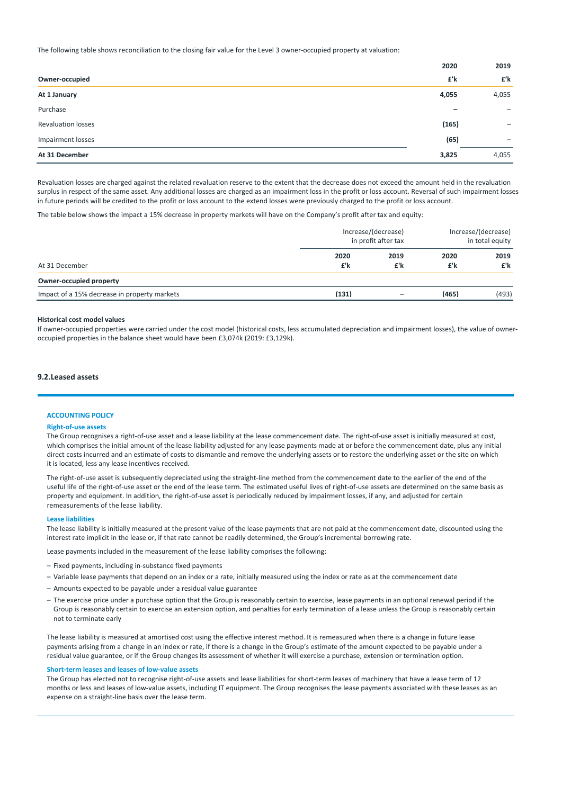The following table shows reconciliation to the closing fair value for the Level 3 owner‐occupied property at valuation:

|                           | 2020                     | 2019                     |
|---------------------------|--------------------------|--------------------------|
| Owner-occupied            | £'k                      | £'k                      |
| At 1 January              | 4,055                    | 4,055                    |
| Purchase                  | $\overline{\phantom{0}}$ | $\overline{\phantom{0}}$ |
| <b>Revaluation losses</b> | (165)                    | -                        |
| Impairment losses         | (65)                     | $\overline{\phantom{0}}$ |
| At 31 December            | 3,825                    | 4,055                    |

Revaluation losses are charged against the related revaluation reserve to the extent that the decrease does not exceed the amount held in the revaluation surplus in respect of the same asset. Any additional losses are charged as an impairment loss in the profit or loss account. Reversal of such impairment losses in future periods will be credited to the profit or loss account to the extend losses were previously charged to the profit or loss account.

The table below shows the impact a 15% decrease in property markets will have on the Company's profit after tax and equity:

|                                              | Increase/(decrease)<br>in profit after tax |             | Increase/(decrease)<br>in total equity |             |
|----------------------------------------------|--------------------------------------------|-------------|----------------------------------------|-------------|
| At 31 December                               | 2020<br>£'k                                | 2019<br>£'k | 2020<br>£'k                            | 2019<br>£'k |
| Owner-occupied property                      |                                            |             |                                        |             |
| Impact of a 15% decrease in property markets | (131)                                      |             | (465)                                  | (493)       |

### **Historical cost model values**

If owner-occupied properties were carried under the cost model (historical costs, less accumulated depreciation and impairment losses), the value of owneroccupied properties in the balance sheet would have been £3,074k (2019: £3,129k).

### **9.2.Leased assets**

### **ACCOUNTING POLICY**

### **Right‐of‐use assets**

The Group recognises a right-of-use asset and a lease liability at the lease commencement date. The right-of-use asset is initially measured at cost, which comprises the initial amount of the lease liability adjusted for any lease payments made at or before the commencement date, plus any initial direct costs incurred and an estimate of costs to dismantle and remove the underlying assets or to restore the underlying asset or the site on which it is located, less any lease incentives received.

The right-of-use asset is subsequently depreciated using the straight-line method from the commencement date to the earlier of the end of the useful life of the right‐of‐use asset or the end of the lease term. The estimated useful lives of right‐of‐use assets are determined on the same basis as property and equipment. In addition, the right‐of‐use asset is periodically reduced by impairment losses, if any, and adjusted for certain remeasurements of the lease liability.

### **Lease liabilities**

The lease liability is initially measured at the present value of the lease payments that are not paid at the commencement date, discounted using the interest rate implicit in the lease or, if that rate cannot be readily determined, the Group's incremental borrowing rate.

Lease payments included in the measurement of the lease liability comprises the following:

- Fixed payments, including in‐substance fixed payments
- Variable lease payments that depend on an index or a rate, initially measured using the index or rate as at the commencement date
- Amounts expected to be payable under a residual value guarantee
- The exercise price under a purchase option that the Group is reasonably certain to exercise, lease payments in an optional renewal period if the Group is reasonably certain to exercise an extension option, and penalties for early termination of a lease unless the Group is reasonably certain not to terminate early

The lease liability is measured at amortised cost using the effective interest method. It is remeasured when there is a change in future lease payments arising from a change in an index or rate, if there is a change in the Group's estimate of the amount expected to be payable under a residual value guarantee, or if the Group changes its assessment of whether it will exercise a purchase, extension or termination option.

#### **Short‐term leases and leases of low‐value assets**

The Group has elected not to recognise right-of-use assets and lease liabilities for short-term leases of machinery that have a lease term of 12 months or less and leases of low-value assets, including IT equipment. The Group recognises the lease payments associated with these leases as an expense on a straight‐line basis over the lease term.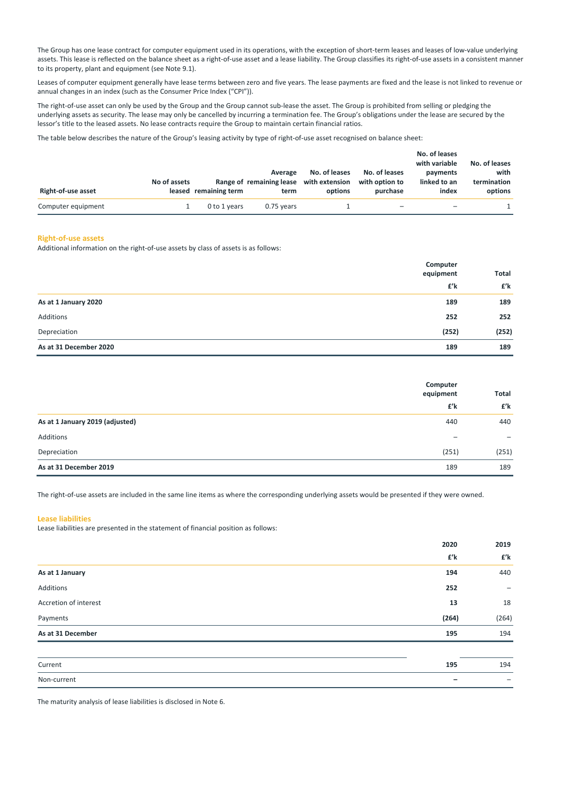The Group has one lease contract for computer equipment used in its operations, with the exception of short-term leases and leases of low-value underlying assets. This lease is reflected on the balance sheet as a right‐of‐use asset and a lease liability. The Group classifies its right‐of‐use assets in a consistent manner to its property, plant and equipment (see Note 9.1).

Leases of computer equipment generally have lease terms between zero and five years. The lease payments are fixed and the lease is not linked to revenue or annual changes in an index (such as the Consumer Price Index ("CPI")).

The right-of-use asset can only be used by the Group and the Group cannot sub-lease the asset. The Group is prohibited from selling or pledging the underlying assets as security. The lease may only be cancelled by incurring a termination fee. The Group's obligations under the lease are secured by the lessor's title to the leased assets. No lease contracts require the Group to maintain certain financial ratios.

The table below describes the nature of the Group's leasing activity by type of right-of-use asset recognised on balance sheet:

| Right-of-use asset | No of assets | leased remaining term | Average<br>Range of remaining lease<br>term | No. of leases<br>with extension<br>options | No. of leases<br>with option to<br>purchase | No. of leases<br>with variable<br>payments<br>linked to an<br>index | No. of leases<br>with<br>termination<br>options |
|--------------------|--------------|-----------------------|---------------------------------------------|--------------------------------------------|---------------------------------------------|---------------------------------------------------------------------|-------------------------------------------------|
| Computer equipment |              | 0 to 1 years          | $0.75$ years                                |                                            | -                                           |                                                                     |                                                 |

#### **Right‐of‐use assets**

Additional information on the right‐of‐use assets by class of assets is as follows:

| As at 31 December 2020 | 189                   | 189   |
|------------------------|-----------------------|-------|
| Depreciation           | (252)                 | (252) |
| Additions              | 252                   | 252   |
| As at 1 January 2020   | 189                   | 189   |
|                        | £'k                   | £'k   |
|                        | Computer<br>equipment |       |

|                                 | Computer<br>equipment    | Total                    |
|---------------------------------|--------------------------|--------------------------|
|                                 | £'k                      | £'k                      |
| As at 1 January 2019 (adjusted) | 440                      | 440                      |
| Additions                       | $\overline{\phantom{0}}$ | $\overline{\phantom{m}}$ |
| Depreciation                    | (251)                    | (251)                    |
| As at 31 December 2019          | 189                      | 189                      |

The right-of-use assets are included in the same line items as where the corresponding underlying assets would be presented if they were owned.

### **Lease liabilities**

Lease liabilities are presented in the statement of financial position as follows:

|                       | 2020  | 2019                     |
|-----------------------|-------|--------------------------|
|                       | £'k   | £'k                      |
| As at 1 January       | 194   | 440                      |
| Additions             | 252   | -                        |
| Accretion of interest | 13    | 18                       |
| Payments              | (264) | (264)                    |
| As at 31 December     | 195   | 194                      |
|                       |       |                          |
| Current               | 195   | 194                      |
| Non-current           |       | $\overline{\phantom{0}}$ |

The maturity analysis of lease liabilities is disclosed in Note 6.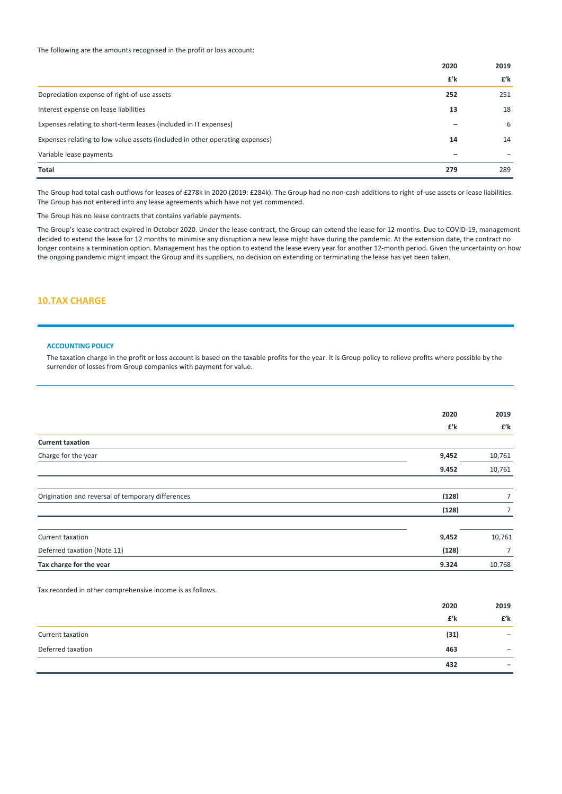The following are the amounts recognised in the profit or loss account:

|                                                                              | 2020 | 2019 |
|------------------------------------------------------------------------------|------|------|
|                                                                              | £'k  | £'k  |
| Depreciation expense of right-of-use assets                                  | 252  | 251  |
| Interest expense on lease liabilities                                        | 13   | 18   |
| Expenses relating to short-term leases (included in IT expenses)             |      | 6    |
| Expenses relating to low-value assets (included in other operating expenses) | 14   | 14   |
| Variable lease payments                                                      |      |      |
| <b>Total</b>                                                                 | 279  | 289  |

The Group had total cash outflows for leases of £278k in 2020 (2019: £284k). The Group had no non-cash additions to right-of-use assets or lease liabilities. The Group has not entered into any lease agreements which have not yet commenced.

The Group has no lease contracts that contains variable payments.

The Group's lease contract expired in October 2020. Under the lease contract, the Group can extend the lease for 12 months. Due to COVID‐19, management decided to extend the lease for 12 months to minimise any disruption a new lease might have during the pandemic. At the extension date, the contract no longer contains a termination option. Management has the option to extend the lease every year for another 12-month period. Given the uncertainty on how the ongoing pandemic might impact the Group and its suppliers, no decision on extending or terminating the lease has yet been taken.

## **10.TAX CHARGE**

#### **ACCOUNTING POLICY**

The taxation charge in the profit or loss account is based on the taxable profits for the year. It is Group policy to relieve profits where possible by the surrender of losses from Group companies with payment for value.

|                                                           | 2020  | 2019   |
|-----------------------------------------------------------|-------|--------|
|                                                           | £'k   | £'k    |
| <b>Current taxation</b>                                   |       |        |
| Charge for the year                                       | 9,452 | 10,761 |
|                                                           | 9.452 | 10,761 |
|                                                           |       |        |
| Origination and reversal of temporary differences         | (128) | 7      |
|                                                           | (128) | 7      |
|                                                           |       |        |
| Current taxation                                          | 9,452 | 10,761 |
| Deferred taxation (Note 11)                               | (128) | 7      |
| Tax charge for the vear                                   | 9.324 | 10.768 |
|                                                           |       |        |
| Tax recorded in other comprehensive income is as follows. |       |        |
|                                                           | 2020  | 2019   |
|                                                           | £'k   | £'k    |

|                   | I K  | I K                      |
|-------------------|------|--------------------------|
| Current taxation  | (31) | -                        |
| Deferred taxation | 463  | $\overline{\phantom{0}}$ |
|                   | 432  | $\overline{\phantom{0}}$ |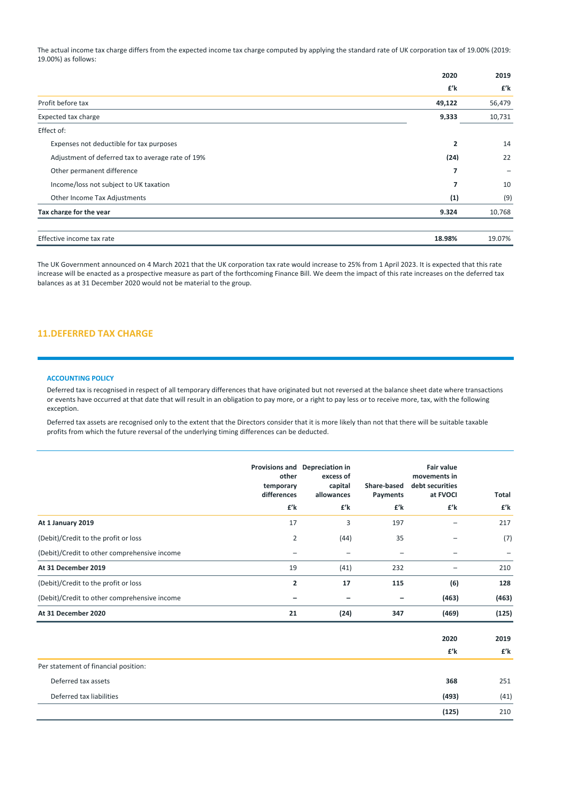The actual income tax charge differs from the expected income tax charge computed by applying the standard rate of UK corporation tax of 19.00% (2019: 19.00%) as follows:

|                                                   | 2020           | 2019   |
|---------------------------------------------------|----------------|--------|
|                                                   | £'k            | £'k    |
| Profit before tax                                 | 49,122         | 56,479 |
| Expected tax charge                               | 9,333          | 10,731 |
| Effect of:                                        |                |        |
| Expenses not deductible for tax purposes          | $\overline{2}$ | 14     |
| Adjustment of deferred tax to average rate of 19% | (24)           | 22     |
| Other permanent difference                        | 7              |        |
| Income/loss not subject to UK taxation            | 7              | 10     |
| Other Income Tax Adjustments                      | (1)            | (9)    |
| Tax charge for the vear                           | 9.324          | 10.768 |
| Effective income tax rate                         | 18.98%         | 19.07% |

The UK Government announced on 4 March 2021 that the UK corporation tax rate would increase to 25% from 1 April 2023. It is expected that this rate increase will be enacted as a prospective measure as part of the forthcoming Finance Bill. We deem the impact of this rate increases on the deferred tax balances as at 31 December 2020 would not be material to the group.

### **11.DEFERRED TAX CHARGE**

### **ACCOUNTING POLICY**

Deferred tax is recognised in respect of all temporary differences that have originated but not reversed at the balance sheet date where transactions or events have occurred at that date that will result in an obligation to pay more, or a right to pay less or to receive more, tax, with the following exception.

Deferred tax assets are recognised only to the extent that the Directors consider that it is more likely than not that there will be suitable taxable profits from which the future reversal of the underlying timing differences can be deducted.

|                                              | other<br>temporary<br>differences | Provisions and Depreciation in<br>excess of<br>capital<br>allowances | Share-based<br>Payments | <b>Fair value</b><br>movements in<br>debt securities<br>at FVOCI | <b>Total</b> |
|----------------------------------------------|-----------------------------------|----------------------------------------------------------------------|-------------------------|------------------------------------------------------------------|--------------|
|                                              | £'k                               | £'k                                                                  | £'k                     | £'k                                                              | £'k          |
| At 1 January 2019                            | 17                                | 3                                                                    | 197                     |                                                                  | 217          |
| (Debit)/Credit to the profit or loss         | 2                                 | (44)                                                                 | 35                      |                                                                  | (7)          |
| (Debit)/Credit to other comprehensive income |                                   |                                                                      |                         |                                                                  |              |
| At 31 December 2019                          | 19                                | (41)                                                                 | 232                     |                                                                  | 210          |
| (Debit)/Credit to the profit or loss         | $\overline{2}$                    | 17                                                                   | 115                     | (6)                                                              | 128          |
| (Debit)/Credit to other comprehensive income |                                   |                                                                      |                         | (463)                                                            | (463)        |
| At 31 December 2020                          | 21                                | (24)                                                                 | 347                     | (469)                                                            | (125)        |

|                                      | 2020  | 2019 |
|--------------------------------------|-------|------|
|                                      | £'k   | £'k  |
| Per statement of financial position: |       |      |
| Deferred tax assets                  | 368   | 251  |
| Deferred tax liabilities             | (493) | (41) |
|                                      | (125) | 210  |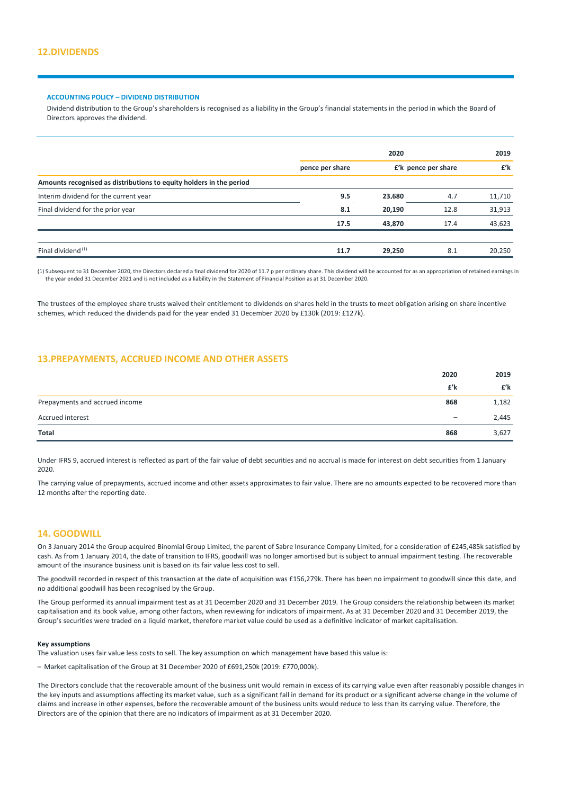### **ACCOUNTING POLICY – DIVIDEND DISTRIBUTION**

Dividend distribution to the Group's shareholders is recognised as a liability in the Group's financial statements in the period in which the Board of Directors approves the dividend.

|                                                                     | 2020            |                     | 2019 |        |
|---------------------------------------------------------------------|-----------------|---------------------|------|--------|
|                                                                     | pence per share | £'k pence per share |      | £'k    |
| Amounts recognised as distributions to equity holders in the period |                 |                     |      |        |
| Interim dividend for the current year                               | 9.5             | 23.680              | 4.7  | 11,710 |
| Final dividend for the prior year                                   | 8.1             | 20.190              | 12.8 | 31,913 |
|                                                                     | 17.5            | 43.870              | 17.4 | 43,623 |
|                                                                     |                 |                     |      |        |
| Final dividend <sup>(1)</sup>                                       | 11.7            | 29.250              | 8.1  | 20.250 |

(1) Subsequent to 31 December 2020, the Directors declared a final dividend for 2020 of 11.7 p per ordinary share. This dividend will be accounted for as an appropriation of retained earnings in the year ended 31 December 2021 and is not included as a liability in the Statement of Financial Position as at 31 December 2020.

The trustees of the employee share trusts waived their entitlement to dividends on shares held in the trusts to meet obligation arising on share incentive schemes, which reduced the dividends paid for the year ended 31 December 2020 by £130k (2019: £127k).

## **13.PREPAYMENTS, ACCRUED INCOME AND OTHER ASSETS**

|                                | 2020                     | 2019  |
|--------------------------------|--------------------------|-------|
|                                | £'k                      | £'k   |
| Prepayments and accrued income | 868                      | 1,182 |
| Accrued interest               | $\overline{\phantom{m}}$ | 2,445 |
| Total                          | 868                      | 3,627 |

Under IFRS 9, accrued interest is reflected as part of the fair value of debt securities and no accrual is made for interest on debt securities from 1 January 2020.

The carrying value of prepayments, accrued income and other assets approximates to fair value. There are no amounts expected to be recovered more than 12 months after the reporting date.

### **14. GOODWILL**

On 3 January 2014 the Group acquired Binomial Group Limited, the parent of Sabre Insurance Company Limited, for a consideration of £245,485k satisfied by cash. As from 1 January 2014, the date of transition to IFRS, goodwill was no longer amortised but is subject to annual impairment testing. The recoverable amount of the insurance business unit is based on its fair value less cost to sell.

The goodwill recorded in respect of this transaction at the date of acquisition was £156,279k. There has been no impairment to goodwill since this date, and no additional goodwill has been recognised by the Group.

The Group performed its annual impairment test as at 31 December 2020 and 31 December 2019. The Group considers the relationship between its market capitalisation and its book value, among other factors, when reviewing for indicators of impairment. As at 31 December 2020 and 31 December 2019, the Group's securities were traded on a liquid market, therefore market value could be used as a definitive indicator of market capitalisation.

### **Key assumptions**

The valuation uses fair value less costs to sell. The key assumption on which management have based this value is:

– Market capitalisation of the Group at 31 December 2020 of £691,250k (2019: £770,000k).

The Directors conclude that the recoverable amount of the business unit would remain in excess of its carrying value even after reasonably possible changes in the key inputs and assumptions affecting its market value, such as a significant fall in demand for its product or a significant adverse change in the volume of claims and increase in other expenses, before the recoverable amount of the business units would reduce to less than its carrying value. Therefore, the Directors are of the opinion that there are no indicators of impairment as at 31 December 2020.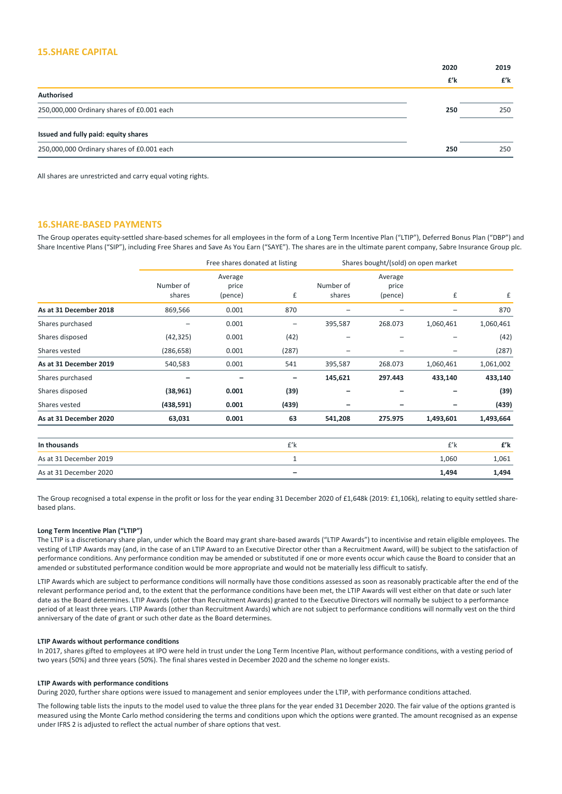### **15.SHARE CAPITAL**

| 2019 |
|------|
| £'k  |
|      |
| 250  |
|      |
| 250  |
|      |

All shares are unrestricted and carry equal voting rights.

### **16.SHARE‐BASED PAYMENTS**

The Group operates equity‐settled share‐based schemes for all employees in the form of a Long Term Incentive Plan ("LTIP"), Deferred Bonus Plan ("DBP") and Share Incentive Plans ("SIP"), including Free Shares and Save As You Earn ("SAYE"). The shares are in the ultimate parent company, Sabre Insurance Group plc.

|                        |                     | Free shares donated at listing |              |                     | Shares bought/(sold) on open market |           |           |
|------------------------|---------------------|--------------------------------|--------------|---------------------|-------------------------------------|-----------|-----------|
|                        | Number of<br>shares | Average<br>price<br>(pence)    | £            | Number of<br>shares | Average<br>price<br>(pence)         | £         | £         |
| As at 31 December 2018 | 869,566             | 0.001                          | 870          |                     |                                     |           | 870       |
| Shares purchased       |                     | 0.001                          | —            | 395,587             | 268.073                             | 1,060,461 | 1,060,461 |
| Shares disposed        | (42, 325)           | 0.001                          | (42)         | -                   | -                                   |           | (42)      |
| Shares vested          | (286, 658)          | 0.001                          | (287)        | -                   | -                                   | -         | (287)     |
| As at 31 December 2019 | 540,583             | 0.001                          | 541          | 395,587             | 268.073                             | 1,060,461 | 1,061,002 |
| Shares purchased       |                     |                                | -            | 145,621             | 297.443                             | 433,140   | 433,140   |
| Shares disposed        | (38, 961)           | 0.001                          | (39)         |                     | -                                   |           | (39)      |
| Shares vested          | (438, 591)          | 0.001                          | (439)        |                     | -                                   | -         | (439)     |
| As at 31 December 2020 | 63,031              | 0.001                          | 63           | 541,208             | 275.975                             | 1,493,601 | 1,493,664 |
| In thousands           |                     |                                | $f'$ k       |                     |                                     | $f'$ k    | £'k       |
| As at 31 December 2019 |                     |                                | $\mathbf{1}$ |                     |                                     | 1,060     | 1,061     |
| As at 31 December 2020 |                     |                                | -            |                     |                                     | 1,494     | 1,494     |

The Group recognised a total expense in the profit or loss for the year ending 31 December 2020 of £1,648k (2019: £1,106k), relating to equity settled sharebased plans.

### **Long Term Incentive Plan ("LTIP")**

The LTIP is a discretionary share plan, under which the Board may grant share-based awards ("LTIP Awards") to incentivise and retain eligible employees. The vesting of LTIP Awards may (and, in the case of an LTIP Award to an Executive Director other than a Recruitment Award, will) be subject to the satisfaction of performance conditions. Any performance condition may be amended or substituted if one or more events occur which cause the Board to consider that an amended or substituted performance condition would be more appropriate and would not be materially less difficult to satisfy.

LTIP Awards which are subject to performance conditions will normally have those conditions assessed as soon as reasonably practicable after the end of the relevant performance period and, to the extent that the performance conditions have been met, the LTIP Awards will vest either on that date or such later date as the Board determines. LTIP Awards (other than Recruitment Awards) granted to the Executive Directors will normally be subject to a performance period of at least three years. LTIP Awards (other than Recruitment Awards) which are not subject to performance conditions will normally vest on the third anniversary of the date of grant or such other date as the Board determines.

#### **LTIP Awards without performance conditions**

In 2017, shares gifted to employees at IPO were held in trust under the Long Term Incentive Plan, without performance conditions, with a vesting period of two years (50%) and three years (50%). The final shares vested in December 2020 and the scheme no longer exists.

### **LTIP Awards with performance conditions**

During 2020, further share options were issued to management and senior employees under the LTIP, with performance conditions attached.

The following table lists the inputs to the model used to value the three plans for the year ended 31 December 2020. The fair value of the options granted is measured using the Monte Carlo method considering the terms and conditions upon which the options were granted. The amount recognised as an expense under IFRS 2 is adjusted to reflect the actual number of share options that vest.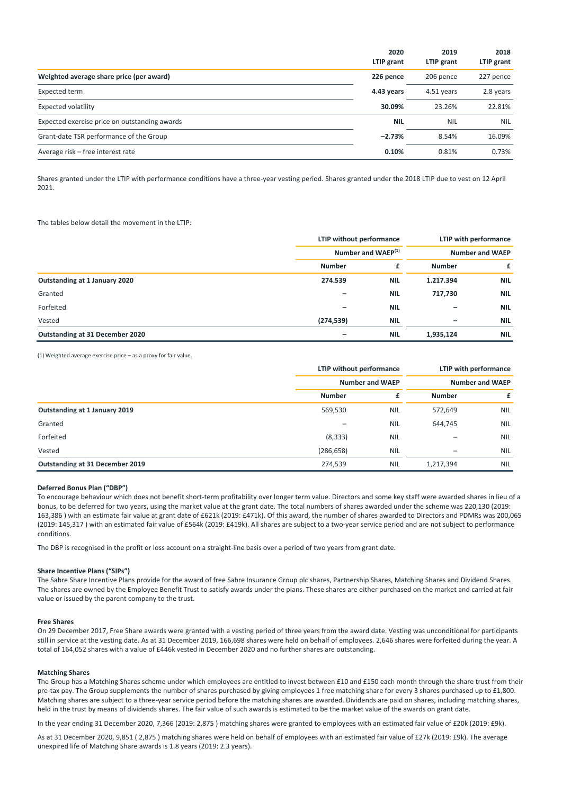|                                               | 2020<br>LTIP grant | 2019<br>LTIP grant | 2018<br>LTIP grant |
|-----------------------------------------------|--------------------|--------------------|--------------------|
| Weighted average share price (per award)      | 226 pence          | 206 pence          | 227 pence          |
| Expected term                                 | 4.43 years         | 4.51 years         | 2.8 years          |
| Expected volatility                           | 30.09%             | 23.26%             | 22.81%             |
| Expected exercise price on outstanding awards | <b>NIL</b>         | <b>NIL</b>         | <b>NIL</b>         |
| Grant-date TSR performance of the Group       | $-2.73%$           | 8.54%              | 16.09%             |
| Average risk – free interest rate             | 0.10%              | 0.81%              | 0.73%              |

Shares granted under the LTIP with performance conditions have a three‐year vesting period. Shares granted under the 2018 LTIP due to vest on 12 April 2021.

The tables below detail the movement in the LTIP:

|                                 |               | LTIP without performance<br>Number and WAEP <sup>(1)</sup> |                          | LTIP with performance  |  |
|---------------------------------|---------------|------------------------------------------------------------|--------------------------|------------------------|--|
|                                 |               |                                                            |                          | <b>Number and WAEP</b> |  |
|                                 | <b>Number</b> | £                                                          | <b>Number</b>            | £                      |  |
| Outstanding at 1 January 2020   | 274.539       | <b>NIL</b>                                                 | 1.217.394                | <b>NIL</b>             |  |
| Granted                         |               | <b>NIL</b>                                                 | 717.730                  | <b>NIL</b>             |  |
| Forfeited                       |               | <b>NIL</b>                                                 |                          | <b>NIL</b>             |  |
| Vested                          | (274, 539)    | <b>NIL</b>                                                 | $\overline{\phantom{0}}$ | <b>NIL</b>             |  |
| Outstanding at 31 December 2020 |               | <b>NIL</b>                                                 | 1.935.124                | <b>NIL</b>             |  |

(1) Weighted average exercise price – as a proxy for fair value.

|                                 |               | LTIP without performance<br><b>Number and WAEP</b> |                   | LTIP with performance<br><b>Number and WAEP</b> |  |
|---------------------------------|---------------|----------------------------------------------------|-------------------|-------------------------------------------------|--|
|                                 |               |                                                    |                   |                                                 |  |
|                                 | <b>Number</b> | £                                                  | <b>Number</b>     | £                                               |  |
| Outstanding at 1 January 2019   | 569,530       | <b>NIL</b>                                         | 572,649           | <b>NIL</b>                                      |  |
| Granted                         |               | <b>NIL</b>                                         | 644,745           | <b>NIL</b>                                      |  |
| Forfeited                       | (8, 333)      | <b>NIL</b>                                         |                   | <b>NIL</b>                                      |  |
| Vested                          | (286, 658)    | <b>NIL</b>                                         | $\qquad \qquad -$ | <b>NIL</b>                                      |  |
| Outstanding at 31 December 2019 | 274,539       | <b>NIL</b>                                         | 1,217,394         | <b>NIL</b>                                      |  |

#### **Deferred Bonus Plan ("DBP")**

To encourage behaviour which does not benefit short‐term profitability over longer term value. Directors and some key staff were awarded shares in lieu of a bonus, to be deferred for two years, using the market value at the grant date. The total numbers of shares awarded under the scheme was 220,130 (2019: 163,386 ) with an estimate fair value at grant date of £621k (2019: £471k). Of this award, the number of shares awarded to Directors and PDMRs was 200,065 (2019: 145,317) with an estimated fair value of £564k (2019: £419k). All shares are subject to a two-year service period and are not subject to performance conditions.

The DBP is recognised in the profit or loss account on a straight-line basis over a period of two years from grant date.

### **Share Incentive Plans ("SIPs")**

The Sabre Share Incentive Plans provide for the award of free Sabre Insurance Group plc shares, Partnership Shares, Matching Shares and Dividend Shares. The shares are owned by the Employee Benefit Trust to satisfy awards under the plans. These shares are either purchased on the market and carried at fair value or issued by the parent company to the trust.

#### **Free Shares**

On 29 December 2017, Free Share awards were granted with a vesting period of three years from the award date. Vesting was unconditional for participants still in service at the vesting date. As at 31 December 2019, 166,698 shares were held on behalf of employees. 2,646 shares were forfeited during the year. A total of 164,052 shares with a value of £446k vested in December 2020 and no further shares are outstanding.

#### **Matching Shares**

The Group has a Matching Shares scheme under which employees are entitled to invest between £10 and £150 each month through the share trust from their pre-tax pay. The Group supplements the number of shares purchased by giving employees 1 free matching share for every 3 shares purchased up to £1,800. Matching shares are subject to a three‐year service period before the matching shares are awarded. Dividends are paid on shares, including matching shares, held in the trust by means of dividends shares. The fair value of such awards is estimated to be the market value of the awards on grant date.

In the year ending 31 December 2020, 7,366 (2019: 2,875 ) matching shares were granted to employees with an estimated fair value of £20k (2019: £9k).

As at 31 December 2020, 9,851 ( 2,875 ) matching shares were held on behalf of employees with an estimated fair value of £27k (2019: £9k). The average unexpired life of Matching Share awards is 1.8 years (2019: 2.3 years).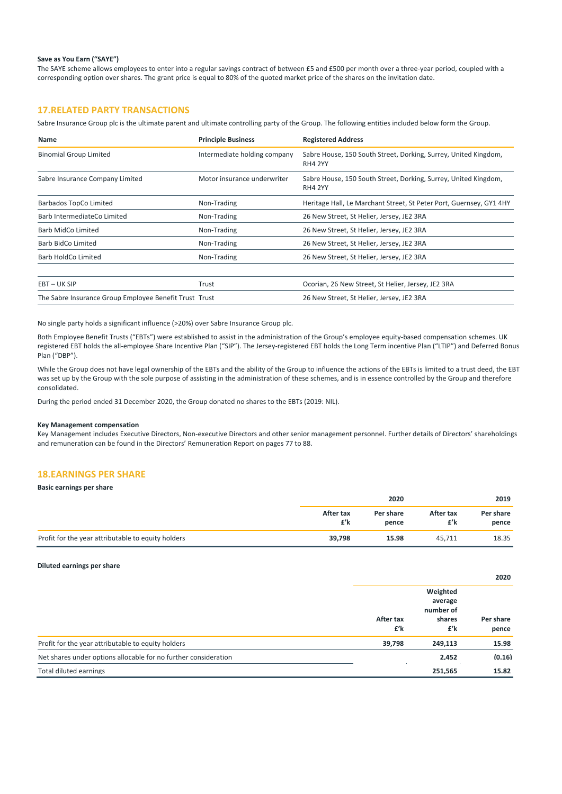### **Save as You Earn ("SAYE")**

The SAYE scheme allows employees to enter into a regular savings contract of between £5 and £500 per month over a three-year period, coupled with a corresponding option over shares. The grant price is equal to 80% of the quoted market price of the shares on the invitation date.

## **17.RELATED PARTY TRANSACTIONS**

Sabre Insurance Group plc is the ultimate parent and ultimate controlling party of the Group. The following entities included below form the Group.

| <b>Name</b>                                            | <b>Principle Business</b>    | <b>Registered Address</b>                                                         |
|--------------------------------------------------------|------------------------------|-----------------------------------------------------------------------------------|
| <b>Binomial Group Limited</b>                          | Intermediate holding company | Sabre House, 150 South Street, Dorking, Surrey, United Kingdom,<br><b>RH4 2YY</b> |
| Sabre Insurance Company Limited                        | Motor insurance underwriter  | Sabre House, 150 South Street, Dorking, Surrey, United Kingdom,<br><b>RH4 2YY</b> |
| Barbados TopCo Limited                                 | Non-Trading                  | Heritage Hall, Le Marchant Street, St Peter Port, Guernsey, GY1 4HY               |
| Barb IntermediateCo Limited                            | Non-Trading                  | 26 New Street, St Helier, Jersey, JE2 3RA                                         |
| Barb MidCo Limited                                     | Non-Trading                  | 26 New Street, St Helier, Jersey, JE2 3RA                                         |
| Barb BidCo Limited                                     | Non-Trading                  | 26 New Street, St Helier, Jersey, JE2 3RA                                         |
| Barb HoldCo Limited                                    | Non-Trading                  | 26 New Street, St Helier, Jersey, JE2 3RA                                         |
|                                                        |                              |                                                                                   |
| EBT-UK SIP                                             | Trust                        | Ocorian, 26 New Street, St Helier, Jersey, JE2 3RA                                |
| The Sabre Insurance Group Employee Benefit Trust Trust |                              | 26 New Street, St Helier, Jersey, JE2 3RA                                         |

No single party holds a significant influence (>20%) over Sabre Insurance Group plc.

Both Employee Benefit Trusts ("EBTs") were established to assist in the administration of the Group's employee equity-based compensation schemes. UK registered EBT holds the all-employee Share Incentive Plan ("SIP"). The Jersey-registered EBT holds the Long Term incentive Plan ("LTIP") and Deferred Bonus Plan ("DBP").

While the Group does not have legal ownership of the EBTs and the ability of the Group to influence the actions of the EBTs is limited to a trust deed, the EBT was set up by the Group with the sole purpose of assisting in the administration of these schemes, and is in essence controlled by the Group and therefore consolidated.

During the period ended 31 December 2020, the Group donated no shares to the EBTs (2019: NIL).

#### **Key Management compensation**

Key Management includes Executive Directors, Non‐executive Directors and other senior management personnel. Further details of Directors' shareholdings and remuneration can be found in the Directors' Remuneration Report on pages 77 to 88.

## **18.EARNINGS PER SHARE**

| Basic earnings per share                           |                  |                    |                  |                    |
|----------------------------------------------------|------------------|--------------------|------------------|--------------------|
|                                                    | 2020             |                    |                  | 2019               |
|                                                    | After tax<br>£'k | Per share<br>pence | After tax<br>£'k | Per share<br>pence |
| Profit for the year attributable to equity holders | 39,798           | 15.98              | 45.711           | 18.35              |

#### **Diluted earnings per share**

|                                                                 |                  |                                                   | 2020               |
|-----------------------------------------------------------------|------------------|---------------------------------------------------|--------------------|
|                                                                 | After tax<br>£'k | Weighted<br>average<br>number of<br>shares<br>£'k | Per share<br>pence |
| Profit for the year attributable to equity holders              | 39.798           | 249.113                                           | 15.98              |
| Net shares under options allocable for no further consideration |                  | 2.452                                             | (0.16)             |
| Total diluted earnings                                          |                  | 251.565                                           | 15.82              |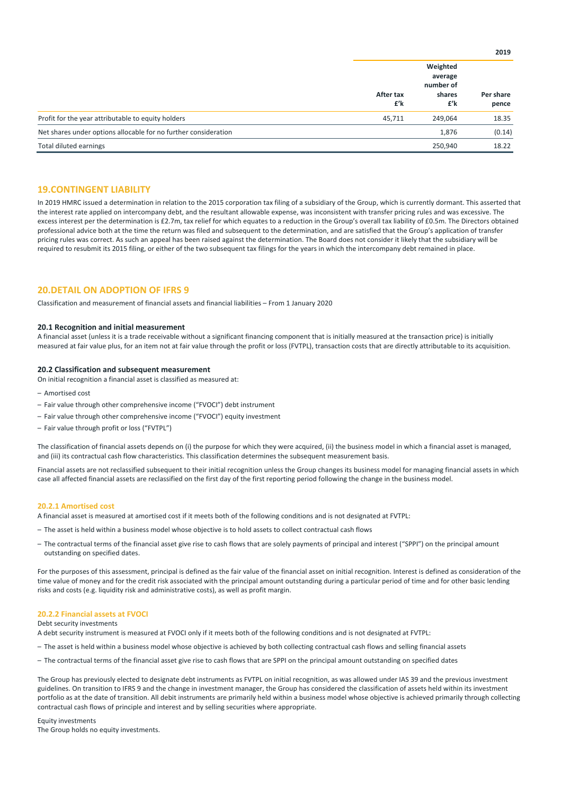|                                                                 |                  | Weighted<br>average<br>number of |                    |
|-----------------------------------------------------------------|------------------|----------------------------------|--------------------|
|                                                                 | After tax<br>£'k | shares<br>£'k                    | Per share<br>pence |
| Profit for the year attributable to equity holders              | 45,711           | 249.064                          | 18.35              |
| Net shares under options allocable for no further consideration |                  | 1.876                            | (0.14)             |
| Total diluted earnings                                          |                  | 250.940                          | 18.22              |

**2019**

### **19.CONTINGENT LIABILITY**

In 2019 HMRC issued a determination in relation to the 2015 corporation tax filing of a subsidiary of the Group, which is currently dormant. This asserted that the interest rate applied on intercompany debt, and the resultant allowable expense, was inconsistent with transfer pricing rules and was excessive. The excess interest per the determination is £2.7m, tax relief for which equates to a reduction in the Group's overall tax liability of £0.5m. The Directors obtained professional advice both at the time the return was filed and subsequent to the determination, and are satisfied that the Group's application of transfer pricing rules was correct. As such an appeal has been raised against the determination. The Board does not consider it likely that the subsidiary will be required to resubmit its 2015 filing, or either of the two subsequent tax filings for the years in which the intercompany debt remained in place.

### **20.DETAIL ON ADOPTION OF IFRS 9**

Classification and measurement of financial assets and financial liabilities – From 1 January 2020

#### **20.1 Recognition and initial measurement**

A financial asset (unless it is a trade receivable without a significant financing component that is initially measured at the transaction price) is initially measured at fair value plus, for an item not at fair value through the profit or loss (FVTPL), transaction costs that are directly attributable to its acquisition.

#### **20.2 Classification and subsequent measurement**

On initial recognition a financial asset is classified as measured at:

- Amortised cost
- Fair value through other comprehensive income ("FVOCI") debt instrument
- Fair value through other comprehensive income ("FVOCI") equity investment
- Fair value through profit or loss ("FVTPL")

The classification of financial assets depends on (i) the purpose for which they were acquired, (ii) the business model in which a financial asset is managed, and (iii) its contractual cash flow characteristics. This classification determines the subsequent measurement basis.

Financial assets are not reclassified subsequent to their initial recognition unless the Group changes its business model for managing financial assets in which case all affected financial assets are reclassified on the first day of the first reporting period following the change in the business model.

### **20.2.1 Amortised cost**

A financial asset is measured at amortised cost if it meets both of the following conditions and is not designated at FVTPL:

- The asset is held within a business model whose objective is to hold assets to collect contractual cash flows
- The contractual terms of the financial asset give rise to cash flows that are solely payments of principal and interest ("SPPI") on the principal amount outstanding on specified dates.

For the purposes of this assessment, principal is defined as the fair value of the financial asset on initial recognition. Interest is defined as consideration of the time value of money and for the credit risk associated with the principal amount outstanding during a particular period of time and for other basic lending risks and costs (e.g. liquidity risk and administrative costs), as well as profit margin.

### **20.2.2 Financial assets at FVOCI**

Debt security investments

A debt security instrument is measured at FVOCI only if it meets both of the following conditions and is not designated at FVTPL:

- The asset is held within a business model whose objective is achieved by both collecting contractual cash flows and selling financial assets
- The contractual terms of the financial asset give rise to cash flows that are SPPI on the principal amount outstanding on specified dates

The Group has previously elected to designate debt instruments as FVTPL on initial recognition, as was allowed under IAS 39 and the previous investment guidelines. On transition to IFRS 9 and the change in investment manager, the Group has considered the classification of assets held within its investment portfolio as at the date of transition. All debit instruments are primarily held within a business model whose objective is achieved primarily through collecting contractual cash flows of principle and interest and by selling securities where appropriate.

Equity investments

The Group holds no equity investments.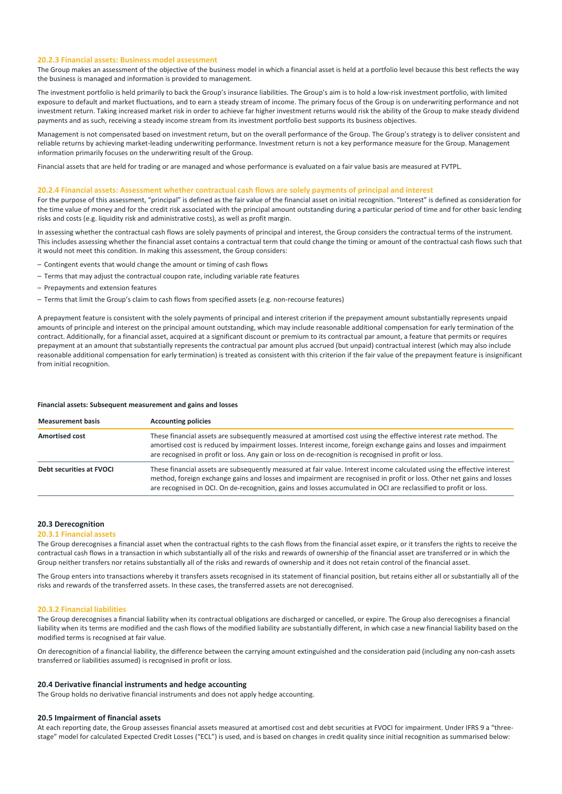### **20.2.3 Financial assets: Business model assessment**

The Group makes an assessment of the objective of the business model in which a financial asset is held at a portfolio level because this best reflects the way the business is managed and information is provided to management.

The investment portfolio is held primarily to back the Group's insurance liabilities. The Group's aim is to hold a low-risk investment portfolio, with limited exposure to default and market fluctuations, and to earn a steady stream of income. The primary focus of the Group is on underwriting performance and not investment return. Taking increased market risk in order to achieve far higher investment returns would risk the ability of the Group to make steady dividend payments and as such, receiving a steady income stream from its investment portfolio best supports its business objectives.

Management is not compensated based on investment return, but on the overall performance of the Group. The Group's strategy is to deliver consistent and reliable returns by achieving market‐leading underwriting performance. Investment return is not a key performance measure for the Group. Management information primarily focuses on the underwriting result of the Group.

Financial assets that are held for trading or are managed and whose performance is evaluated on a fair value basis are measured at FVTPL.

### **20.2.4 Financial assets: Assessment whether contractual cash flows are solely payments of principal and interest**

For the purpose of this assessment, "principal" is defined as the fair value of the financial asset on initial recognition. "Interest" is defined as consideration for the time value of money and for the credit risk associated with the principal amount outstanding during a particular period of time and for other basic lending risks and costs (e.g. liquidity risk and administrative costs), as well as profit margin.

In assessing whether the contractual cash flows are solely payments of principal and interest, the Group considers the contractual terms of the instrument. This includes assessing whether the financial asset contains a contractual term that could change the timing or amount of the contractual cash flows such that it would not meet this condition. In making this assessment, the Group considers:

- Contingent events that would change the amount or timing of cash flows
- Terms that may adjust the contractual coupon rate, including variable rate features
- Prepayments and extension features
- Terms that limit the Group's claim to cash flows from specified assets (e.g. non‐recourse features)

A prepayment feature is consistent with the solely payments of principal and interest criterion if the prepayment amount substantially represents unpaid amounts of principle and interest on the principal amount outstanding, which may include reasonable additional compensation for early termination of the contract. Additionally, for a financial asset, acquired at a significant discount or premium to its contractual par amount, a feature that permits or requires prepayment at an amount that substantially represents the contractual par amount plus accrued (but unpaid) contractual interest (which may also include reasonable additional compensation for early termination) is treated as consistent with this criterion if the fair value of the prepayment feature is insignificant from initial recognition.

#### **Financial assets: Subsequent measurement and gains and losses**

| <b>Measurement basis</b> | <b>Accounting policies</b>                                                                                                                                                                                                                                                                                                                                            |
|--------------------------|-----------------------------------------------------------------------------------------------------------------------------------------------------------------------------------------------------------------------------------------------------------------------------------------------------------------------------------------------------------------------|
| <b>Amortised cost</b>    | These financial assets are subsequently measured at amortised cost using the effective interest rate method. The<br>amortised cost is reduced by impairment losses. Interest income, foreign exchange gains and losses and impairment<br>are recognised in profit or loss. Any gain or loss on de-recognition is recognised in profit or loss.                        |
| Debt securities at FVOCI | These financial assets are subsequently measured at fair value. Interest income calculated using the effective interest<br>method, foreign exchange gains and losses and impairment are recognised in profit or loss. Other net gains and losses<br>are recognised in OCI. On de-recognition, gains and losses accumulated in OCI are reclassified to profit or loss. |

### **20.3 Derecognition**

### **20.3.1 Financial assets**

The Group derecognises a financial asset when the contractual rights to the cash flows from the financial asset expire, or it transfers the rights to receive the contractual cash flows in a transaction in which substantially all of the risks and rewards of ownership of the financial asset are transferred or in which the Group neither transfers nor retains substantially all of the risks and rewards of ownership and it does not retain control of the financial asset.

The Group enters into transactions whereby it transfers assets recognised in its statement of financial position, but retains either all or substantially all of the risks and rewards of the transferred assets. In these cases, the transferred assets are not derecognised.

#### **20.3.2 Financial liabilities**

The Group derecognises a financial liability when its contractual obligations are discharged or cancelled, or expire. The Group also derecognises a financial liability when its terms are modified and the cash flows of the modified liability are substantially different, in which case a new financial liability based on the modified terms is recognised at fair value.

On derecognition of a financial liability, the difference between the carrying amount extinguished and the consideration paid (including any non-cash assets transferred or liabilities assumed) is recognised in profit or loss.

#### **20.4 Derivative financial instruments and hedge accounting**

The Group holds no derivative financial instruments and does not apply hedge accounting.

#### **20.5 Impairment of financial assets**

At each reporting date, the Group assesses financial assets measured at amortised cost and debt securities at FVOCI for impairment. Under IFRS 9 a "threestage" model for calculated Expected Credit Losses ("ECL") is used, and is based on changes in credit quality since initial recognition as summarised below: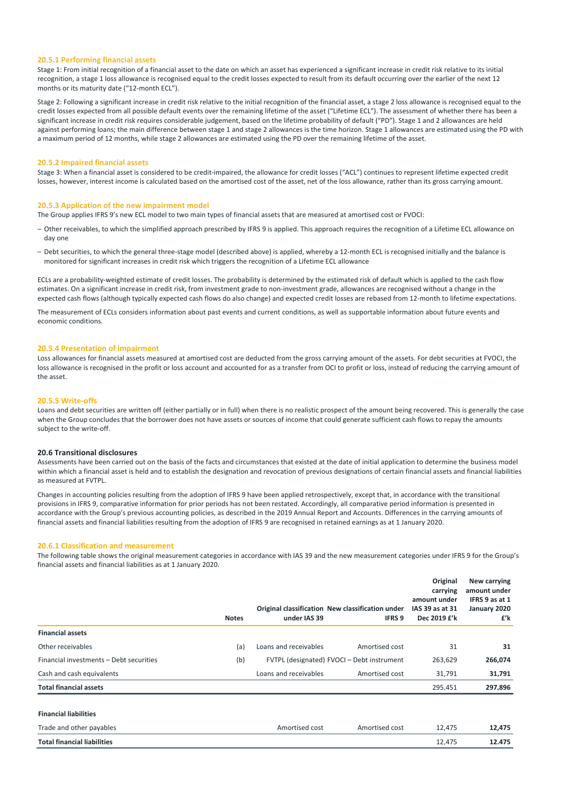#### **20.5.1 Performing financial assets**

Stage 1: From initial recognition of a financial asset to the date on which an asset has experienced a significant increase in credit risk relative to its initial recognition, a stage 1 loss allowance is recognised equal to the credit losses expected to result from its default occurring over the earlier of the next 12 months or its maturity date ("12‐month ECL").

Stage 2: Following a significant increase in credit risk relative to the initial recognition of the financial asset, a stage 2 loss allowance is recognised equal to the credit losses expected from all possible default events over the remaining lifetime of the asset ("Lifetime ECL"). The assessment of whether there has been a significant increase in credit risk requires considerable judgement, based on the lifetime probability of default ("PD"). Stage 1 and 2 allowances are held against performing loans; the main difference between stage 1 and stage 2 allowances is the time horizon. Stage 1 allowances are estimated using the PD with a maximum period of 12 months, while stage 2 allowances are estimated using the PD over the remaining lifetime of the asset.

### **20.5.2 Impaired financial assets**

Stage 3: When a financial asset is considered to be credit-impaired, the allowance for credit losses ("ACL") continues to represent lifetime expected credit losses, however, interest income is calculated based on the amortised cost of the asset, net of the loss allowance, rather than its gross carrying amount.

#### **20.5.3 Application of the new impairment model**

The Group applies IFRS 9's new ECL model to two main types of financial assets that are measured at amortised cost or FVOCI:

- Other receivables, to which the simplified approach prescribed by IFRS 9 is applied. This approach requires the recognition of a Lifetime ECL allowance on day one
- Debt securities, to which the general three‐stage model (described above) is applied, whereby a 12‐month ECL is recognised initially and the balance is monitored for significant increases in credit risk which triggers the recognition of a Lifetime ECL allowance

ECLs are a probability-weighted estimate of credit losses. The probability is determined by the estimated risk of default which is applied to the cash flow estimates. On a significant increase in credit risk, from investment grade to non-investment grade, allowances are recognised without a change in the expected cash flows (although typically expected cash flows do also change) and expected credit losses are rebased from 12-month to lifetime expectations.

The measurement of ECLs considers information about past events and current conditions, as well as supportable information about future events and economic conditions.

#### **20.5.4 Presentation of impairment**

Loss allowances for financial assets measured at amortised cost are deducted from the gross carrying amount of the assets. For debt securities at FVOCI, the loss allowance is recognised in the profit or loss account and accounted for as a transfer from OCI to profit or loss, instead of reducing the carrying amount of the asset.

### **20.5.5 Write‐offs**

Loans and debt securities are written off (either partially or in full) when there is no realistic prospect of the amount being recovered. This is generally the case when the Group concludes that the borrower does not have assets or sources of income that could generate sufficient cash flows to repay the amounts subject to the write‐off.

### **20.6 Transitional disclosures**

Assessments have been carried out on the basis of the facts and circumstances that existed at the date of initial application to determine the business model within which a financial asset is held and to establish the designation and revocation of previous designations of certain financial assets and financial liabilities as measured at FVTPL.

Changes in accounting policies resulting from the adoption of IFRS 9 have been applied retrospectively, except that, in accordance with the transitional provisions in IFRS 9, comparative information for prior periods has not been restated. Accordingly, all comparative period information is presented in accordance with the Group's previous accounting policies, as described in the 2019 Annual Report and Accounts. Differences in the carrying amounts of financial assets and financial liabilities resulting from the adoption of IFRS 9 are recognised in retained earnings as at 1 January 2020.

#### **20.6.1 Classification and measurement**

The following table shows the original measurement categories in accordance with IAS 39 and the new measurement categories under IFRS 9 for the Group's financial assets and financial liabilities as at 1 January 2020.

|                                         | <b>Notes</b> | under IAS 39          | Original classification New classification under<br><b>IFRS 9</b> | Original<br>carrying<br>amount under<br>IAS 39 as at 31<br>Dec 2019 £'k | New carrying<br>amount under<br>IFRS 9 as at 1<br>January 2020<br>£'k |
|-----------------------------------------|--------------|-----------------------|-------------------------------------------------------------------|-------------------------------------------------------------------------|-----------------------------------------------------------------------|
| <b>Financial assets</b>                 |              |                       |                                                                   |                                                                         |                                                                       |
| Other receivables                       | (a)          | Loans and receivables | Amortised cost                                                    | 31                                                                      | 31                                                                    |
| Financial investments - Debt securities | (b)          |                       | FVTPL (designated) FVOCI - Debt instrument                        | 263,629                                                                 | 266,074                                                               |
| Cash and cash equivalents               |              | Loans and receivables | Amortised cost                                                    | 31,791                                                                  | 31,791                                                                |
| <b>Total financial assets</b>           |              |                       |                                                                   | 295,451                                                                 | 297.896                                                               |
| <b>Financial liabilities</b>            |              |                       |                                                                   |                                                                         |                                                                       |
| Trade and other payables                |              | Amortised cost        | Amortised cost                                                    | 12,475                                                                  | 12.475                                                                |
| <b>Total financial liabilities</b>      |              |                       |                                                                   | 12,475                                                                  | 12.475                                                                |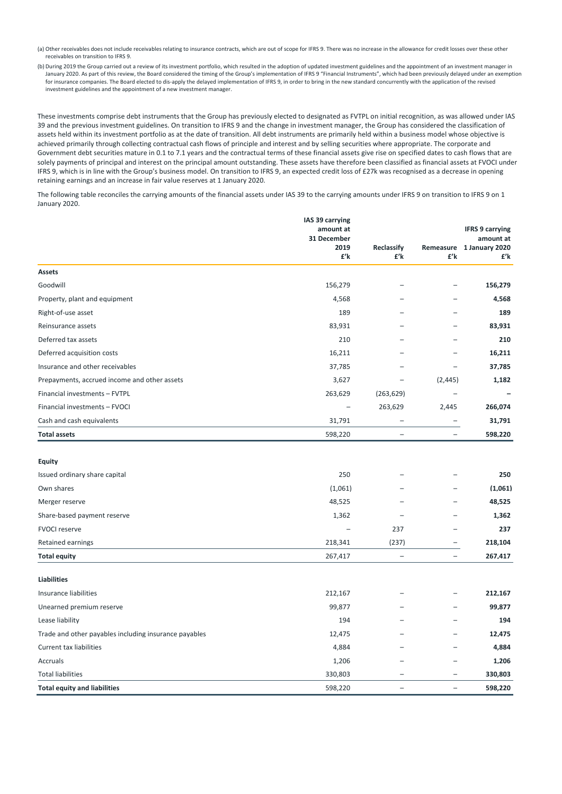- (a) Other receivables does not include receivables relating to insurance contracts, which are out of scope for IFRS 9. There was no increase in the allowance for credit losses over these other receivables on transition to IFRS 9.
- (b) During 2019 the Group carried out a review of its investment portfolio, which resulted in the adoption of updated investment guidelines and the appointment of an investment manager in January 2020. As part of this review, the Board considered the timing of the Group's implementation of IFRS 9 "Financial Instruments", which had been previously delayed under an exemption for insurance companies. The Board elected to dis‐apply the delayed implementation of IFRS 9, in order to bring in the new standard concurrently with the application of the revised investment guidelines and the appointment of a new investment manager.

These investments comprise debt instruments that the Group has previously elected to designated as FVTPL on initial recognition, as was allowed under IAS 39 and the previous investment guidelines. On transition to IFRS 9 and the change in investment manager, the Group has considered the classification of assets held within its investment portfolio as at the date of transition. All debt instruments are primarily held within a business model whose objective is achieved primarily through collecting contractual cash flows of principle and interest and by selling securities where appropriate. The corporate and Government debt securities mature in 0.1 to 7.1 years and the contractual terms of these financial assets give rise on specified dates to cash flows that are solely payments of principal and interest on the principal amount outstanding. These assets have therefore been classified as financial assets at FVOCI under IFRS 9, which is in line with the Group's business model. On transition to IFRS 9, an expected credit loss of £27k was recognised as a decrease in opening retaining earnings and an increase in fair value reserves at 1 January 2020.

The following table reconciles the carrying amounts of the financial assets under IAS 39 to the carrying amounts under IFRS 9 on transition to IFRS 9 on 1 January 2020.

|                                                       | IAS 39 carrying<br>amount at<br>31 December<br>2019<br>£'k | Reclassify<br>£'k        | Remeasure<br>£'k         | <b>IFRS 9 carrying</b><br>amount at<br>1 January 2020<br>£'k |
|-------------------------------------------------------|------------------------------------------------------------|--------------------------|--------------------------|--------------------------------------------------------------|
| Assets                                                |                                                            |                          |                          |                                                              |
| Goodwill                                              | 156,279                                                    |                          |                          | 156,279                                                      |
| Property, plant and equipment                         | 4,568                                                      |                          |                          | 4,568                                                        |
| Right-of-use asset                                    | 189                                                        |                          |                          | 189                                                          |
| Reinsurance assets                                    | 83,931                                                     |                          |                          | 83,931                                                       |
| Deferred tax assets                                   | 210                                                        |                          |                          | 210                                                          |
| Deferred acquisition costs                            | 16,211                                                     |                          |                          | 16,211                                                       |
| Insurance and other receivables                       | 37,785                                                     |                          |                          | 37.785                                                       |
| Prepayments, accrued income and other assets          | 3,627                                                      |                          | (2, 445)                 | 1,182                                                        |
| Financial investments - FVTPL                         | 263,629                                                    | (263, 629)               | L,                       |                                                              |
| Financial investments - FVOCI                         |                                                            | 263,629                  | 2,445                    | 266,074                                                      |
| Cash and cash equivalents                             | 31,791                                                     |                          |                          | 31,791                                                       |
| <b>Total assets</b>                                   | 598,220                                                    | $\overline{\phantom{0}}$ | $\overline{\phantom{0}}$ | 598,220                                                      |
|                                                       |                                                            |                          |                          |                                                              |
| <b>Equity</b>                                         |                                                            |                          |                          |                                                              |
| Issued ordinary share capital                         | 250                                                        |                          |                          | 250                                                          |
| Own shares                                            | (1,061)                                                    |                          |                          | (1,061)                                                      |
| Merger reserve                                        | 48,525                                                     |                          |                          | 48,525                                                       |
| Share-based payment reserve                           | 1,362                                                      |                          |                          | 1.362                                                        |
| <b>FVOCI reserve</b>                                  |                                                            | 237                      |                          | 237                                                          |
| Retained earnings                                     | 218,341                                                    | (237)                    | L                        | 218.104                                                      |
| <b>Total equity</b>                                   | 267,417                                                    | $\overline{a}$           | $\overline{\phantom{0}}$ | 267,417                                                      |
| <b>Liabilities</b>                                    |                                                            |                          |                          |                                                              |
| Insurance liabilities                                 | 212,167                                                    |                          |                          | 212.167                                                      |
| Unearned premium reserve                              | 99,877                                                     |                          |                          | 99.877                                                       |
| Lease liability                                       | 194                                                        |                          |                          | 194                                                          |
| Trade and other payables including insurance payables | 12,475                                                     |                          |                          | 12,475                                                       |
| <b>Current tax liabilities</b>                        | 4,884                                                      |                          |                          | 4,884                                                        |
| Accruals                                              | 1,206                                                      |                          |                          | 1,206                                                        |
| <b>Total liabilities</b>                              | 330,803                                                    |                          | $\overline{\phantom{0}}$ | 330.803                                                      |
| <b>Total equity and liabilities</b>                   | 598,220                                                    |                          | L.                       | 598.220                                                      |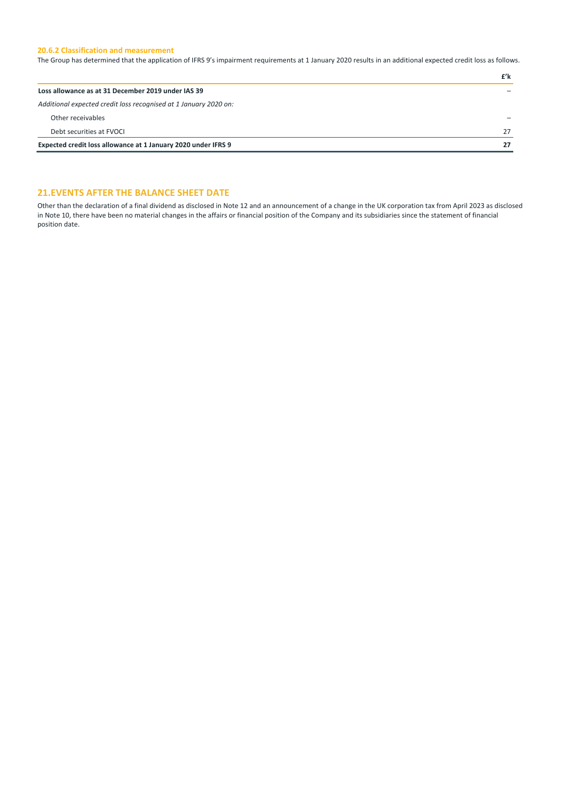### **20.6.2 Classification and measurement**

The Group has determined that the application of IFRS 9's impairment requirements at 1 January 2020 results in an additional expected credit loss as follows.

|                                                                  | £'k |
|------------------------------------------------------------------|-----|
| Loss allowance as at 31 December 2019 under IAS 39               |     |
| Additional expected credit loss recognised at 1 January 2020 on: |     |
| Other receivables                                                |     |
| Debt securities at FVOCL                                         | 27  |
| Expected credit loss allowance at 1 January 2020 under IFRS 9    | 27  |

## **21.EVENTS AFTER THE BALANCE SHEET DATE**

Other than the declaration of a final dividend as disclosed in Note 12 and an announcement of a change in the UK corporation tax from April 2023 as disclosed in Note 10, there have been no material changes in the affairs or financial position of the Company and its subsidiaries since the statement of financial position date.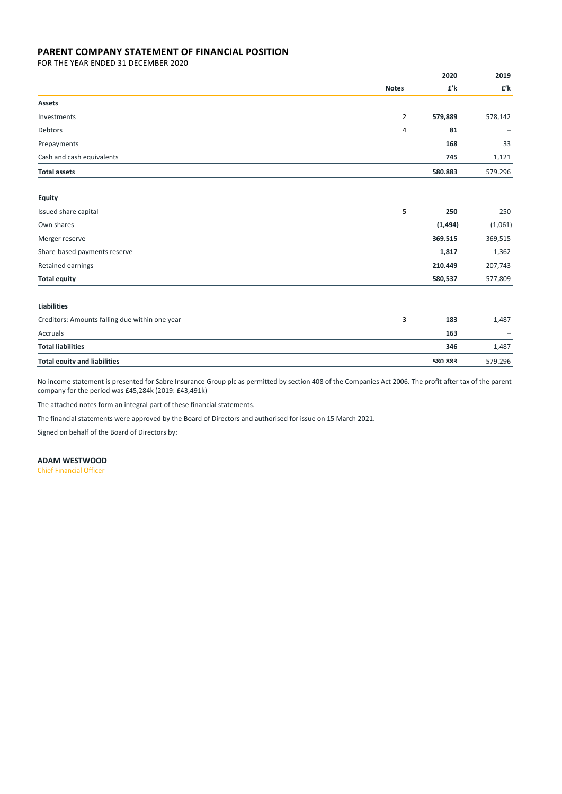## **PARENT COMPANY STATEMENT OF FINANCIAL POSITION**

FOR THE YEAR ENDED 31 DECEMBER 2020

|                                                |                | 2020     | 2019    |
|------------------------------------------------|----------------|----------|---------|
|                                                | <b>Notes</b>   | £'k      | £'k     |
| Assets                                         |                |          |         |
| Investments                                    | $\overline{2}$ | 579,889  | 578,142 |
| Debtors                                        | 4              | 81       |         |
| Prepayments                                    |                | 168      | 33      |
| Cash and cash equivalents                      |                | 745      | 1,121   |
| <b>Total assets</b>                            |                | 580.883  | 579.296 |
|                                                |                |          |         |
| <b>Equity</b>                                  |                |          |         |
| Issued share capital                           | 5              | 250      | 250     |
| Own shares                                     |                | (1, 494) | (1,061) |
| Merger reserve                                 |                | 369,515  | 369,515 |
| Share-based payments reserve                   |                | 1,817    | 1,362   |
| Retained earnings                              |                | 210,449  | 207,743 |
| <b>Total equity</b>                            |                | 580,537  | 577,809 |
| <b>Liabilities</b>                             |                |          |         |
| Creditors: Amounts falling due within one year | 3              | 183      | 1,487   |
|                                                |                |          |         |
| Accruals                                       |                | 163      |         |
| <b>Total liabilities</b>                       |                | 346      | 1,487   |
| <b>Total equity and liabilities</b>            |                | 580.883  | 579.296 |

No income statement is presented for Sabre Insurance Group plc as permitted by section 408 of the Companies Act 2006. The profit after tax of the parent company for the period was £45,284k (2019: £43,491k)

The attached notes form an integral part of these financial statements.

The financial statements were approved by the Board of Directors and authorised for issue on 15 March 2021.

Signed on behalf of the Board of Directors by:

**ADAM WESTWOOD**

Chief Financial Officer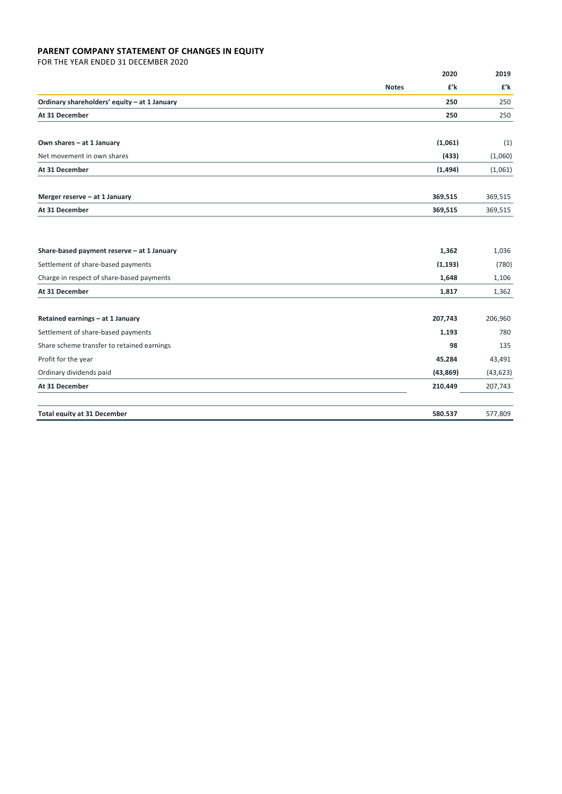## **PARENT COMPANY STATEMENT OF CHANGES IN EQUITY**

FOR THE YEAR ENDED 31 DECEMBER 2020

|                                              | 2020                | 2019      |
|----------------------------------------------|---------------------|-----------|
|                                              | £'k<br><b>Notes</b> | £'k       |
| Ordinary shareholders' equity - at 1 January | 250                 | 250       |
| At 31 December                               | 250                 | 250       |
| Own shares - at 1 January                    | (1,061)             | (1)       |
| Net movement in own shares                   | (433)               | (1,060)   |
| At 31 December                               | (1, 494)            | (1,061)   |
| Merger reserve - at 1 January                | 369,515             | 369,515   |
| At 31 December                               | 369,515             | 369,515   |
| Share-based payment reserve - at 1 January   | 1.362               | 1,036     |
| Settlement of share-based payments           | (1.193)             | (780)     |
| Charge in respect of share-based payments    | 1,648               | 1,106     |
| At 31 December                               | 1,817               | 1,362     |
| Retained earnings - at 1 January             | 207.743             | 206,960   |
| Settlement of share-based payments           | 1,193               | 780       |
| Share scheme transfer to retained earnings   | 98                  | 135       |
| Profit for the year                          | 45,284              | 43,491    |
| Ordinary dividends paid                      | (43.869)            | (43, 623) |
| At 31 December                               | 210,449             | 207,743   |
| <b>Total equity at 31 December</b>           | 580.537             | 577,809   |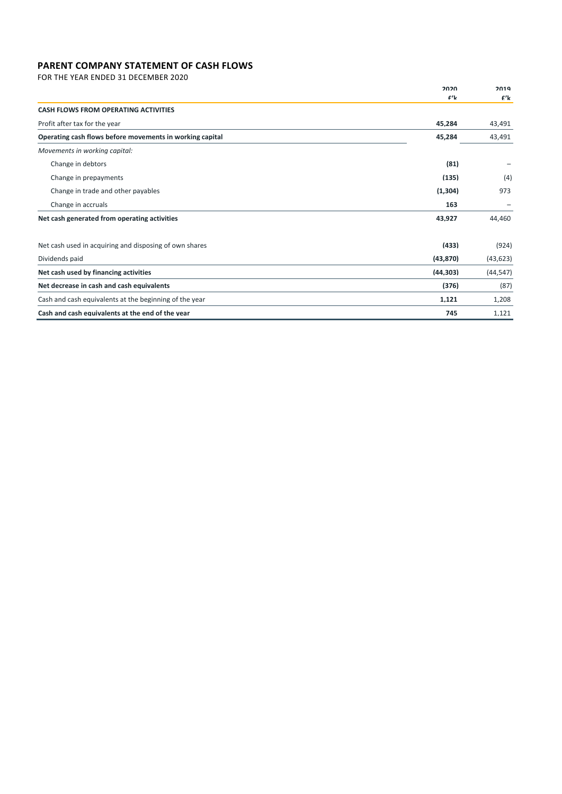## **PARENT COMPANY STATEMENT OF CASH FLOWS**

FOR THE YEAR ENDED 31 DECEMBER 2020

|                                                          | 2020      | 2019      |
|----------------------------------------------------------|-----------|-----------|
|                                                          | f'        | $f'$ k    |
| <b>CASH FLOWS FROM OPERATING ACTIVITIES</b>              |           |           |
| Profit after tax for the year                            | 45,284    | 43,491    |
| Operating cash flows before movements in working capital | 45,284    | 43,491    |
| Movements in working capital:                            |           |           |
| Change in debtors                                        | (81)      |           |
| Change in prepayments                                    | (135)     | (4)       |
| Change in trade and other payables                       | (1,304)   | 973       |
| Change in accruals                                       | 163       |           |
| Net cash generated from operating activities             | 43.927    | 44.460    |
| Net cash used in acquiring and disposing of own shares   | (433)     | (924)     |
| Dividends paid                                           | (43, 870) | (43, 623) |
| Net cash used by financing activities                    | (44, 303) | (44, 547) |
| Net decrease in cash and cash equivalents                | (376)     | (87)      |
| Cash and cash equivalents at the beginning of the year   | 1,121     | 1,208     |
| Cash and cash equivalents at the end of the year         | 745       | 1.121     |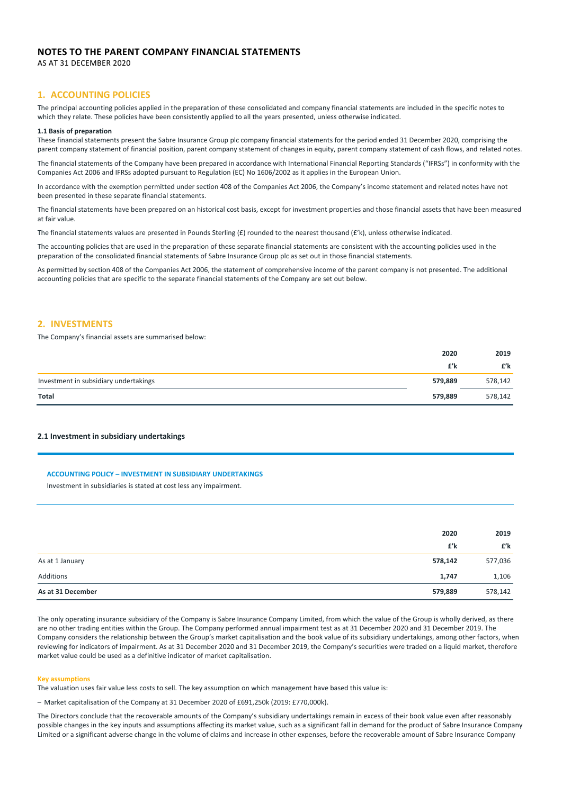## **NOTES TO THE PARENT COMPANY FINANCIAL STATEMENTS**

AS AT 31 DECEMBER 2020

### **1. ACCOUNTING POLICIES**

The principal accounting policies applied in the preparation of these consolidated and company financial statements are included in the specific notes to which they relate. These policies have been consistently applied to all the years presented, unless otherwise indicated.

#### **1.1 Basis of preparation**

These financial statements present the Sabre Insurance Group plc company financial statements for the period ended 31 December 2020, comprising the parent company statement of financial position, parent company statement of changes in equity, parent company statement of cash flows, and related notes.

The financial statements of the Company have been prepared in accordance with International Financial Reporting Standards ("IFRSs") in conformity with the Companies Act 2006 and IFRSs adopted pursuant to Regulation (EC) No 1606/2002 as it applies in the European Union.

In accordance with the exemption permitted under section 408 of the Companies Act 2006, the Company's income statement and related notes have not been presented in these separate financial statements.

The financial statements have been prepared on an historical cost basis, except for investment properties and those financial assets that have been measured at fair value.

The financial statements values are presented in Pounds Sterling (£) rounded to the nearest thousand (£'k), unless otherwise indicated.

The accounting policies that are used in the preparation of these separate financial statements are consistent with the accounting policies used in the preparation of the consolidated financial statements of Sabre Insurance Group plc as set out in those financial statements.

As permitted by section 408 of the Companies Act 2006, the statement of comprehensive income of the parent company is not presented. The additional accounting policies that are specific to the separate financial statements of the Company are set out below.

### **2. INVESTMENTS**

The Company's financial assets are summarised below:

|                                       | 2020    | 2019    |
|---------------------------------------|---------|---------|
|                                       | £'k     | £'k     |
| Investment in subsidiary undertakings | 579,889 | 578,142 |
| <b>Total</b>                          | 579,889 | 578,142 |

### **2.1 Investment in subsidiary undertakings**

### **ACCOUNTING POLICY – INVESTMENT IN SUBSIDIARY UNDERTAKINGS**

Investment in subsidiaries is stated at cost less any impairment.

|                   | 2020    | 2019    |
|-------------------|---------|---------|
|                   | £'k     | £'k     |
| As at 1 January   | 578,142 | 577,036 |
| Additions         | 1,747   | 1,106   |
| As at 31 December | 579,889 | 578,142 |

The only operating insurance subsidiary of the Company is Sabre Insurance Company Limited, from which the value of the Group is wholly derived, as there are no other trading entities within the Group. The Company performed annual impairment test as at 31 December 2020 and 31 December 2019. The Company considers the relationship between the Group's market capitalisation and the book value of its subsidiary undertakings, among other factors, when reviewing for indicators of impairment. As at 31 December 2020 and 31 December 2019, the Company's securities were traded on a liquid market, therefore market value could be used as a definitive indicator of market capitalisation.

#### **Key assumptions**

The valuation uses fair value less costs to sell. The key assumption on which management have based this value is:

– Market capitalisation of the Company at 31 December 2020 of £691,250k (2019: £770,000k).

The Directors conclude that the recoverable amounts of the Company's subsidiary undertakings remain in excess of their book value even after reasonably possible changes in the key inputs and assumptions affecting its market value, such as a significant fall in demand for the product of Sabre Insurance Company Limited or a significant adverse change in the volume of claims and increase in other expenses, before the recoverable amount of Sabre Insurance Company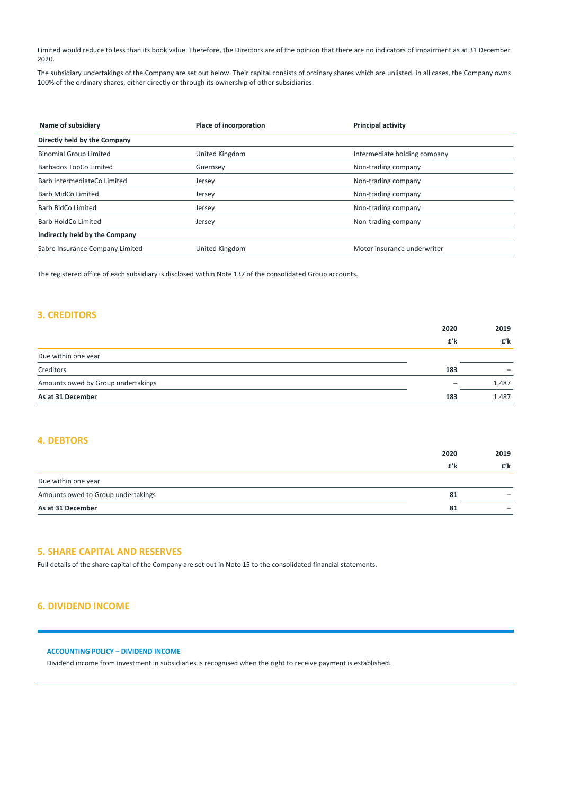Limited would reduce to less than its book value. Therefore, the Directors are of the opinion that there are no indicators of impairment as at 31 December 2020.

The subsidiary undertakings of the Company are set out below. Their capital consists of ordinary shares which are unlisted. In all cases, the Company owns 100% of the ordinary shares, either directly or through its ownership of other subsidiaries.

| Name of subsidiary              | Place of incorporation | <b>Principal activity</b>    |  |
|---------------------------------|------------------------|------------------------------|--|
| Directly held by the Company    |                        |                              |  |
| <b>Binomial Group Limited</b>   | <b>United Kingdom</b>  | Intermediate holding company |  |
| Barbados TopCo Limited          | Guernsey               | Non-trading company          |  |
| Barb IntermediateCo Limited     | Jersey                 | Non-trading company          |  |
| Barb MidCo Limited              | Jersey                 | Non-trading company          |  |
| Barb BidCo Limited              | Jersey                 | Non-trading company          |  |
| Barb HoldCo Limited             | Jersey                 | Non-trading company          |  |
| Indirectly held by the Company  |                        |                              |  |
| Sabre Insurance Company Limited | United Kingdom         | Motor insurance underwriter  |  |

The registered office of each subsidiary is disclosed within Note 137 of the consolidated Group accounts.

## **3. CREDITORS**

|                                    | 2020                     | 2019  |
|------------------------------------|--------------------------|-------|
|                                    | £'k                      | £'k   |
| Due within one year                |                          |       |
| Creditors                          | 183                      | -     |
| Amounts owed by Group undertakings | $\overline{\phantom{0}}$ | 1,487 |
| As at 31 December                  | 183                      | 1,487 |

## **4. DEBTORS**

|                                    | 2020 | 2019 |
|------------------------------------|------|------|
|                                    | £'k  | £'k  |
| Due within one year                |      |      |
| Amounts owed to Group undertakings | 81   |      |
| As at 31 December                  | 81   |      |

## **5. SHARE CAPITAL AND RESERVES**

Full details of the share capital of the Company are set out in Note 15 to the consolidated financial statements.

## **6. DIVIDEND INCOME**

## **ACCOUNTING POLICY – DIVIDEND INCOME**

Dividend income from investment in subsidiaries is recognised when the right to receive payment is established.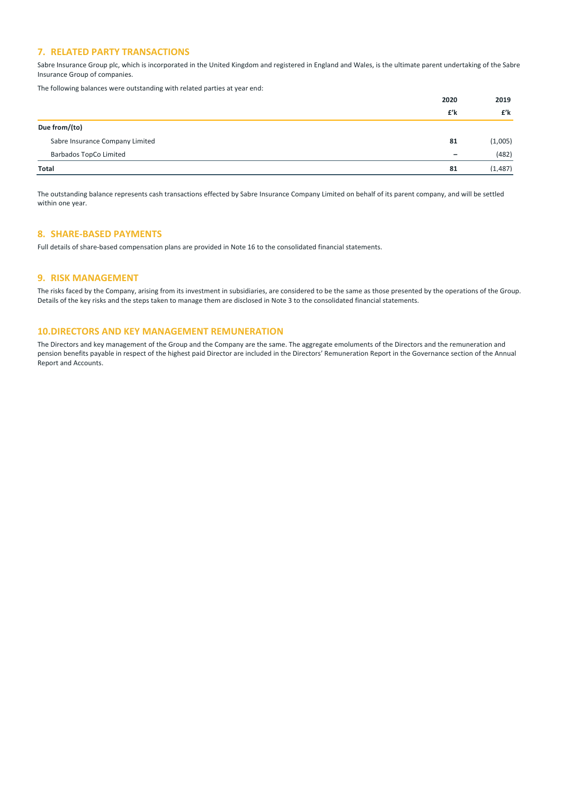### **7. RELATED PARTY TRANSACTIONS**

Sabre Insurance Group plc, which is incorporated in the United Kingdom and registered in England and Wales, is the ultimate parent undertaking of the Sabre Insurance Group of companies.

The following balances were outstanding with related parties at year end:

|                                 | 2020                         | 2019    |
|---------------------------------|------------------------------|---------|
|                                 | £'k                          | £'k     |
| Due from/(to)                   |                              |         |
| Sabre Insurance Company Limited | 81                           | (1,005) |
| Barbados TopCo Limited          | $\qquad \qquad \blacksquare$ | (482)   |
| Total                           | 81                           | (1.487) |

The outstanding balance represents cash transactions effected by Sabre Insurance Company Limited on behalf of its parent company, and will be settled within one year.

## **8. SHARE‐BASED PAYMENTS**

Full details of share‐based compensation plans are provided in Note 16 to the consolidated financial statements.

### **9. RISK MANAGEMENT**

The risks faced by the Company, arising from its investment in subsidiaries, are considered to be the same as those presented by the operations of the Group. Details of the key risks and the steps taken to manage them are disclosed in Note 3 to the consolidated financial statements.

### **10.DIRECTORS AND KEY MANAGEMENT REMUNERATION**

The Directors and key management of the Group and the Company are the same. The aggregate emoluments of the Directors and the remuneration and pension benefits payable in respect of the highest paid Director are included in the Directors' Remuneration Report in the Governance section of the Annual Report and Accounts.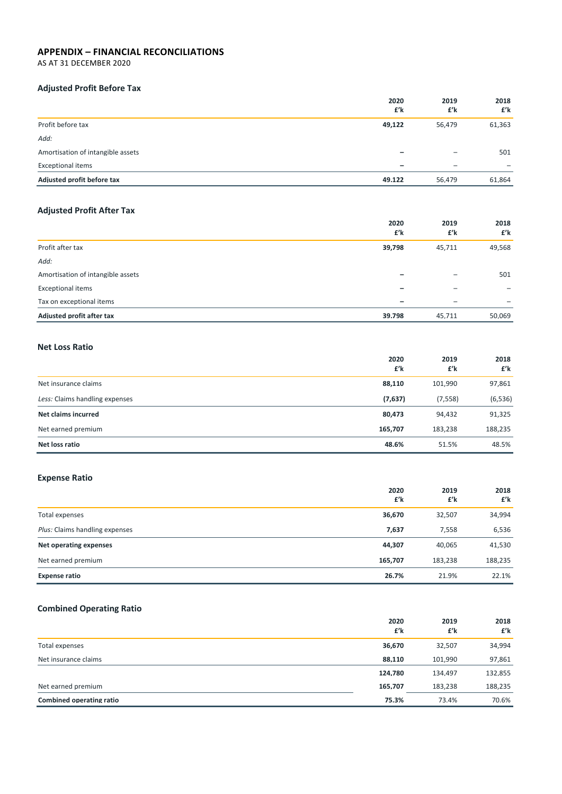## **APPENDIX – FINANCIAL RECONCILIATIONS**

AS AT 31 DECEMBER 2020

## **Adjusted Profit Before Tax**

|                                   | 2020<br>£'k | 2019<br>£'k              | 2018<br>£'k |
|-----------------------------------|-------------|--------------------------|-------------|
| Profit before tax                 | 49,122      | 56,479                   | 61,363      |
| Add:                              |             |                          |             |
| Amortisation of intangible assets |             |                          | 501         |
| <b>Exceptional items</b>          | -           | $\overline{\phantom{a}}$ |             |
| Adjusted profit before tax        | 49.122      | 56.479                   | 61,864      |

## **Adjusted Profit After Tax**

|                                   | 2020<br>£'k | 2019<br>£'k | 2018<br>£'k |
|-----------------------------------|-------------|-------------|-------------|
| Profit after tax                  | 39,798      | 45,711      | 49,568      |
| Add:                              |             |             |             |
| Amortisation of intangible assets |             |             | 501         |
| <b>Exceptional items</b>          |             |             |             |
| Tax on exceptional items          | -           | -           |             |
| Adjusted profit after tax         | 39.798      | 45,711      | 50,069      |

## **Net Loss Ratio**

|                                | 2020<br>£'k | 2019<br>£'k | 2018<br>£'k |
|--------------------------------|-------------|-------------|-------------|
| Net insurance claims           | 88,110      | 101,990     | 97,861      |
| Less: Claims handling expenses | (7,637)     | (7, 558)    | (6, 536)    |
| Net claims incurred            | 80,473      | 94,432      | 91,325      |
| Net earned premium             | 165,707     | 183,238     | 188,235     |
| Net loss ratio                 | 48.6%       | 51.5%       | 48.5%       |

## **Expense Ratio**

|                                | 2020<br>£'k | 2019<br>£'k | 2018<br>£'k |
|--------------------------------|-------------|-------------|-------------|
| Total expenses                 | 36,670      | 32,507      | 34,994      |
| Plus: Claims handling expenses | 7,637       | 7,558       | 6,536       |
| Net operating expenses         | 44,307      | 40,065      | 41,530      |
| Net earned premium             | 165,707     | 183,238     | 188,235     |
| <b>Expense ratio</b>           | 26.7%       | 21.9%       | 22.1%       |

# **Combined Operating Ratio**

|                          | 2020<br>£'k | 2019<br>£'k | 2018<br>£'k |
|--------------------------|-------------|-------------|-------------|
| Total expenses           | 36,670      | 32,507      | 34,994      |
| Net insurance claims     | 88.110      | 101,990     | 97,861      |
|                          | 124.780     | 134.497     | 132,855     |
| Net earned premium       | 165.707     | 183,238     | 188,235     |
| Combined operating ratio | 75.3%       | 73.4%       | 70.6%       |